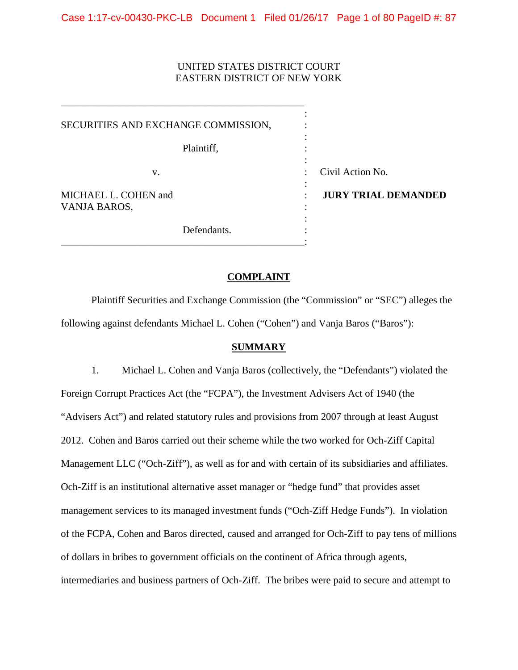# UNITED STATES DISTRICT COURT EASTERN DISTRICT OF NEW YORK

\_\_\_\_\_\_\_\_\_\_\_\_\_\_\_\_\_\_\_\_\_\_\_\_\_\_\_\_\_\_\_\_\_\_\_\_\_\_\_\_\_\_\_\_\_\_\_\_

 $\ddot{\cdot}$  : SECURITIES AND EXCHANGE COMMISSION, :  VANJA BAROS, :  $\ddot{\cdot}$ : Plaintiff, v. Civil Action No. MICHAEL L. COHEN and **: JURY TRIAL DEMANDED** : Defendants.  $\qquad \qquad :$ <br> $\qquad \qquad :$ 

## **COMPLAINT**

 following against defendants Michael L. Cohen ("Cohen") and Vanja Baros ("Baros"): Plaintiff Securities and Exchange Commission (the "Commission" or "SEC") alleges the

## **SUMMARY**

 Foreign Corrupt Practices Act (the "FCPA"), the Investment Advisers Act of 1940 (the "Advisers Act") and related statutory rules and provisions from 2007 through at least August 2012. Cohen and Baros carried out their scheme while the two worked for Och-Ziff Capital Management LLC ("Och-Ziff"), as well as for and with certain of its subsidiaries and affiliates. management services to its managed investment funds ("Och-Ziff Hedge Funds"). In violation of the FCPA, Cohen and Baros directed, caused and arranged for Och-Ziff to pay tens of millions intermediaries and business partners of Och-Ziff. The bribes were paid to secure and attempt to 1. Michael L. Cohen and Vanja Baros (collectively, the "Defendants") violated the Och-Ziff is an institutional alternative asset manager or "hedge fund" that provides asset of dollars in bribes to government officials on the continent of Africa through agents,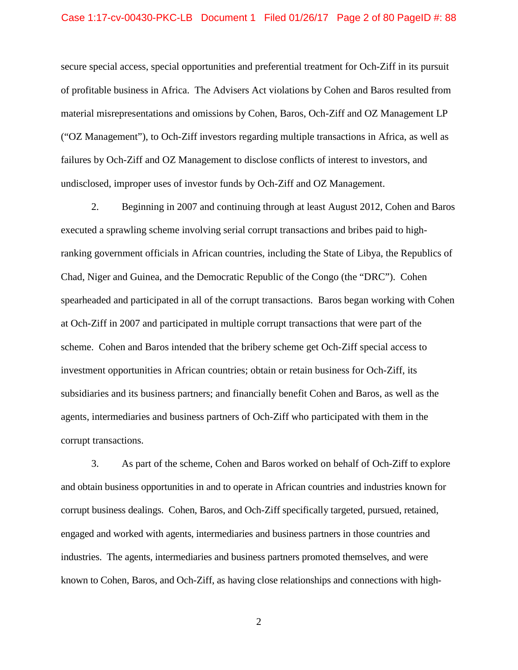#### Case 1:17-cv-00430-PKC-LB Document 1 Filed 01/26/17 Page 2 of 80 PageID #: 88

 of profitable business in Africa. The Advisers Act violations by Cohen and Baros resulted from ("OZ Management"), to Och-Ziff investors regarding multiple transactions in Africa, as well as secure special access, special opportunities and preferential treatment for Och-Ziff in its pursuit material misrepresentations and omissions by Cohen, Baros, Och-Ziff and OZ Management LP failures by Och-Ziff and OZ Management to disclose conflicts of interest to investors, and undisclosed, improper uses of investor funds by Och-Ziff and OZ Management.

 2. Beginning in 2007 and continuing through at least August 2012, Cohen and Baros ranking government officials in African countries, including the State of Libya, the Republics of scheme. Cohen and Baros intended that the bribery scheme get Och-Ziff special access to agents, intermediaries and business partners of Och-Ziff who participated with them in the corrupt transactions. corrupt transactions. 3. As part of the scheme, Cohen and Baros worked on behalf of Och-Ziff to explore executed a sprawling scheme involving serial corrupt transactions and bribes paid to high-Chad, Niger and Guinea, and the Democratic Republic of the Congo (the "DRC"). Cohen spearheaded and participated in all of the corrupt transactions. Baros began working with Cohen at Och-Ziff in 2007 and participated in multiple corrupt transactions that were part of the investment opportunities in African countries; obtain or retain business for Och-Ziff, its subsidiaries and its business partners; and financially benefit Cohen and Baros, as well as the

 and obtain business opportunities in and to operate in African countries and industries known for industries. The agents, intermediaries and business partners promoted themselves, and were corrupt business dealings. Cohen, Baros, and Och-Ziff specifically targeted, pursued, retained, engaged and worked with agents, intermediaries and business partners in those countries and known to Cohen, Baros, and Och-Ziff, as having close relationships and connections with high-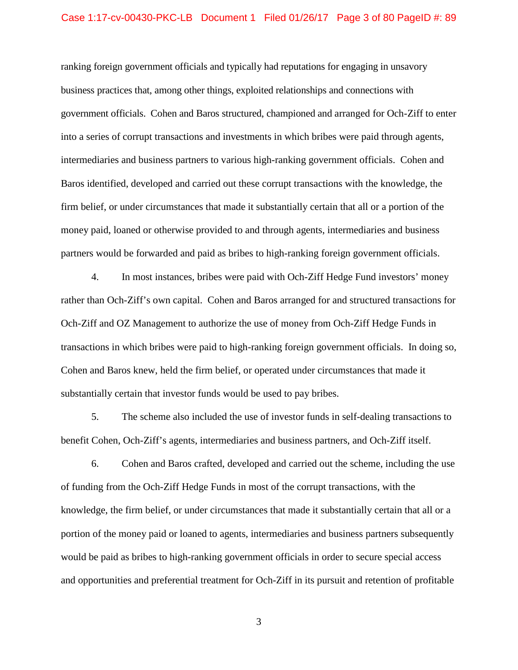#### Case 1:17-cv-00430-PKC-LB Document 1 Filed 01/26/17 Page 3 of 80 PageID #: 89

 government officials. Cohen and Baros structured, championed and arranged for Och-Ziff to enter into a series of corrupt transactions and investments in which bribes were paid through agents, intermediaries and business partners to various high-ranking government officials. Cohen and Baros identified, developed and carried out these corrupt transactions with the knowledge, the partners would be forwarded and paid as bribes to high-ranking foreign government officials.<br>4. In most instances, bribes were paid with Och-Ziff Hedge Fund investors' money ranking foreign government officials and typically had reputations for engaging in unsavory business practices that, among other things, exploited relationships and connections with firm belief, or under circumstances that made it substantially certain that all or a portion of the money paid, loaned or otherwise provided to and through agents, intermediaries and business

In most instances, bribes were paid with Och-Ziff Hedge Fund investors' money rather than Och-Ziff's own capital. Cohen and Baros arranged for and structured transactions for Och-Ziff and OZ Management to authorize the use of money from Och-Ziff Hedge Funds in transactions in which bribes were paid to high-ranking foreign government officials. In doing so, substantially certain that investor funds would be used to pay bribes. Cohen and Baros knew, held the firm belief, or operated under circumstances that made it

5. The scheme also included the use of investor funds in self-dealing transactions to

benefit Cohen, Och-Ziff's agents, intermediaries and business partners, and Och-Ziff itself.<br>6. Cohen and Baros crafted, developed and carried out the scheme, including the use of funding from the Och-Ziff Hedge Funds in most of the corrupt transactions, with the knowledge, the firm belief, or under circumstances that made it substantially certain that all or a and opportunities and preferential treatment for Och-Ziff in its pursuit and retention of profitable portion of the money paid or loaned to agents, intermediaries and business partners subsequently would be paid as bribes to high-ranking government officials in order to secure special access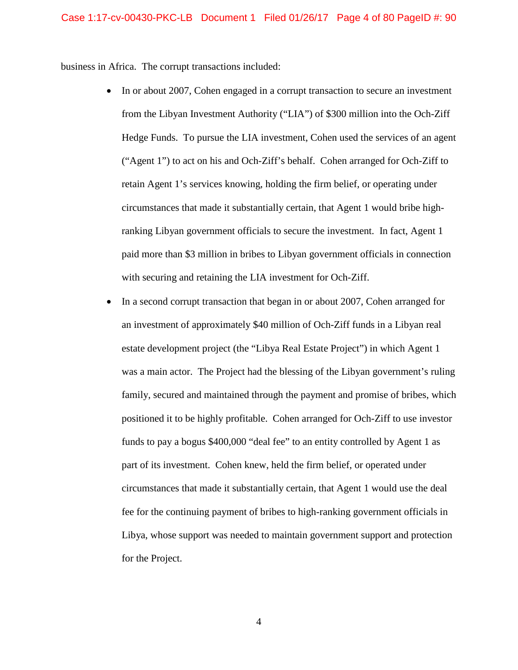business in Africa. The corrupt transactions included:

- from the Libyan Investment Authority ("LIA") of \$300 million into the Och-Ziff Hedge Funds. To pursue the LIA investment, Cohen used the services of an agent ("Agent 1") to act on his and Och-Ziff's behalf. Cohen arranged for Och-Ziff to retain Agent 1's services knowing, holding the firm belief, or operating under circumstances that made it substantially certain, that Agent 1 would bribe high- ranking Libyan government officials to secure the investment. In fact, Agent 1 with securing and retaining the LIA investment for Och-Ziff. • In or about 2007, Cohen engaged in a corrupt transaction to secure an investment paid more than \$3 million in bribes to Libyan government officials in connection
- was a main actor. The Project had the blessing of the Libyan government's ruling family, secured and maintained through the payment and promise of bribes, which positioned it to be highly profitable. Cohen arranged for Och-Ziff to use investor funds to pay a bogus \$400,000 "deal fee" to an entity controlled by Agent 1 as part of its investment. Cohen knew, held the firm belief, or operated under fee for the continuing payment of bribes to high-ranking government officials in • In a second corrupt transaction that began in or about 2007, Cohen arranged for an investment of approximately \$40 million of Och-Ziff funds in a Libyan real estate development project (the "Libya Real Estate Project") in which Agent 1 circumstances that made it substantially certain, that Agent 1 would use the deal Libya, whose support was needed to maintain government support and protection for the Project.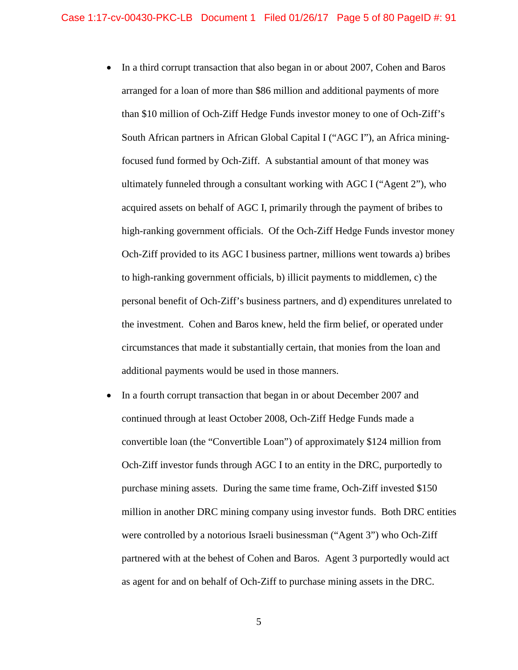- In a third corrupt transaction that also began in or about 2007, Cohen and Baros than \$10 million of Och-Ziff Hedge Funds investor money to one of Och-Ziff's South African partners in African Global Capital I ("AGC I"), an Africa mining- focused fund formed by Och-Ziff. A substantial amount of that money was high-ranking government officials. Of the Och-Ziff Hedge Funds investor money Och-Ziff provided to its AGC I business partner, millions went towards a) bribes the investment. Cohen and Baros knew, held the firm belief, or operated under arranged for a loan of more than \$86 million and additional payments of more ultimately funneled through a consultant working with AGC I ("Agent 2"), who acquired assets on behalf of AGC I, primarily through the payment of bribes to to high-ranking government officials, b) illicit payments to middlemen, c) the personal benefit of Och-Ziff's business partners, and d) expenditures unrelated to circumstances that made it substantially certain, that monies from the loan and additional payments would be used in those manners.
- Och-Ziff investor funds through AGC I to an entity in the DRC, purportedly to purchase mining assets. During the same time frame, Och-Ziff invested \$150 million in another DRC mining company using investor funds. Both DRC entities as agent for and on behalf of Och-Ziff to purchase mining assets in the DRC. • In a fourth corrupt transaction that began in or about December 2007 and continued through at least October 2008, Och-Ziff Hedge Funds made a convertible loan (the "Convertible Loan") of approximately \$124 million from were controlled by a notorious Israeli businessman ("Agent 3") who Och-Ziff partnered with at the behest of Cohen and Baros. Agent 3 purportedly would act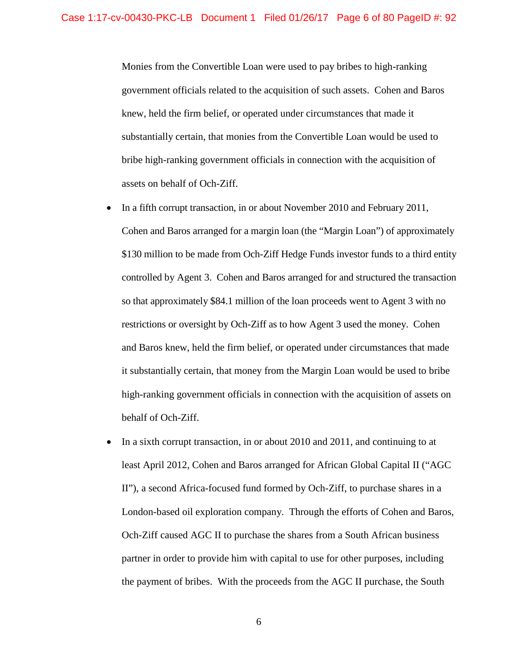government officials related to the acquisition of such assets. Cohen and Baros assets on behalf of Och-Ziff. Monies from the Convertible Loan were used to pay bribes to high-ranking knew, held the firm belief, or operated under circumstances that made it substantially certain, that monies from the Convertible Loan would be used to bribe high-ranking government officials in connection with the acquisition of

- In a fifth corrupt transaction, in or about November 2010 and February 2011, Cohen and Baros arranged for a margin loan (the "Margin Loan") of approximately \$130 million to be made from Och-Ziff Hedge Funds investor funds to a third entity controlled by Agent 3. Cohen and Baros arranged for and structured the transaction restrictions or oversight by Och-Ziff as to how Agent 3 used the money. Cohen behalf of Och-Ziff. so that approximately \$84.1 million of the loan proceeds went to Agent 3 with no and Baros knew, held the firm belief, or operated under circumstances that made it substantially certain, that money from the Margin Loan would be used to bribe high-ranking government officials in connection with the acquisition of assets on
- In a sixth corrupt transaction, in or about 2010 and 2011, and continuing to at Och-Ziff caused AGC II to purchase the shares from a South African business the payment of bribes. With the proceeds from the AGC II purchase, the South least April 2012, Cohen and Baros arranged for African Global Capital II ("AGC II"), a second Africa-focused fund formed by Och-Ziff, to purchase shares in a London-based oil exploration company. Through the efforts of Cohen and Baros, partner in order to provide him with capital to use for other purposes, including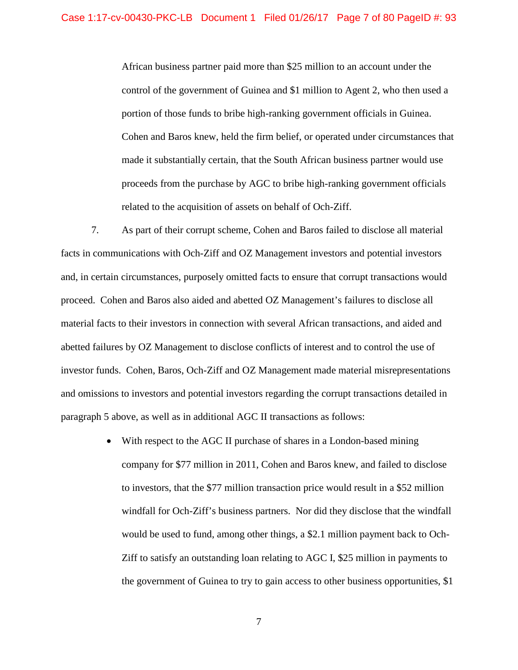control of the government of Guinea and \$1 million to Agent 2, who then used a portion of those funds to bribe high-ranking government officials in Guinea. proceeds from the purchase by AGC to bribe high-ranking government officials related to the acquisition of assets on behalf of Och-Ziff. African business partner paid more than \$25 million to an account under the Cohen and Baros knew, held the firm belief, or operated under circumstances that made it substantially certain, that the South African business partner would use

related to the acquisition of assets on behalf of Och-Ziff.<br>7. As part of their corrupt scheme, Cohen and Baros failed to disclose all material facts in communications with Och-Ziff and OZ Management investors and potential investors proceed. Cohen and Baros also aided and abetted OZ Management's failures to disclose all abetted failures by OZ Management to disclose conflicts of interest and to control the use of investor funds. Cohen, Baros, Och-Ziff and OZ Management made material misrepresentations and omissions to investors and potential investors regarding the corrupt transactions detailed in paragraph 5 above, as well as in additional AGC II transactions as follows: and, in certain circumstances, purposely omitted facts to ensure that corrupt transactions would material facts to their investors in connection with several African transactions, and aided and

> • With respect to the AGC II purchase of shares in a London-based mining would be used to fund, among other things, a \$2.1 million payment back to Och- Ziff to satisfy an outstanding loan relating to AGC I, \$25 million in payments to company for \$77 million in 2011, Cohen and Baros knew, and failed to disclose to investors, that the \$77 million transaction price would result in a \$52 million windfall for Och-Ziff's business partners. Nor did they disclose that the windfall the government of Guinea to try to gain access to other business opportunities, \$1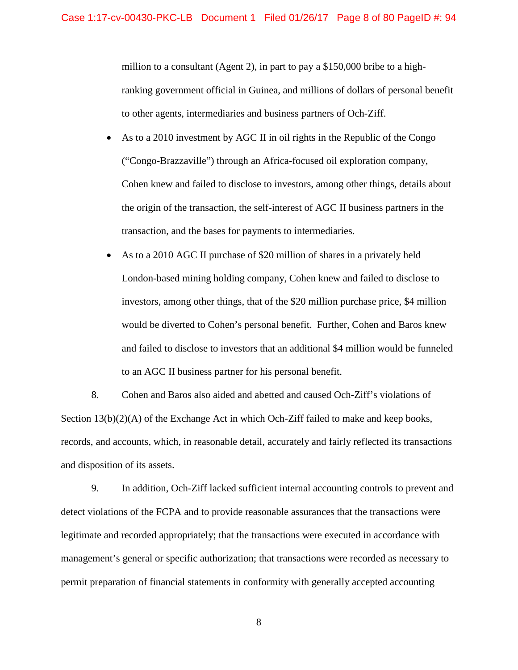million to a consultant (Agent 2), in part to pay a \$150,000 bribe to a high- ranking government official in Guinea, and millions of dollars of personal benefit to other agents, intermediaries and business partners of Och-Ziff.

- As to a 2010 investment by AGC II in oil rights in the Republic of the Congo ("Congo-Brazzaville") through an Africa-focused oil exploration company, the origin of the transaction, the self-interest of AGC II business partners in the transaction, and the bases for payments to intermediaries. Cohen knew and failed to disclose to investors, among other things, details about
- London-based mining holding company, Cohen knew and failed to disclose to investors, among other things, that of the \$20 million purchase price, \$4 million to an AGC II business partner for his personal benefit. • As to a 2010 AGC II purchase of \$20 million of shares in a privately held would be diverted to Cohen's personal benefit. Further, Cohen and Baros knew and failed to disclose to investors that an additional \$4 million would be funneled

 records, and accounts, which, in reasonable detail, accurately and fairly reflected its transactions and disposition of its assets. 8. Cohen and Baros also aided and abetted and caused Och-Ziff's violations of Section 13(b)(2)(A) of the Exchange Act in which Och-Ziff failed to make and keep books,

9. In addition, Och-Ziff lacked sufficient internal accounting controls to prevent and detect violations of the FCPA and to provide reasonable assurances that the transactions were legitimate and recorded appropriately; that the transactions were executed in accordance with management's general or specific authorization; that transactions were recorded as necessary to permit preparation of financial statements in conformity with generally accepted accounting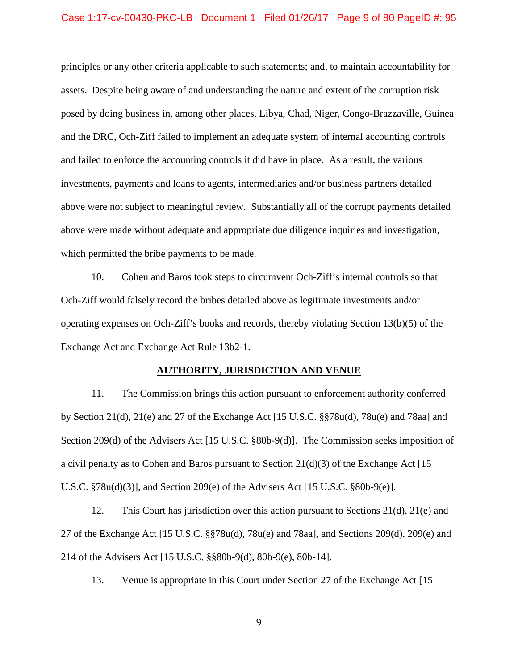### Case 1:17-cv-00430-PKC-LB Document 1 Filed 01/26/17 Page 9 of 80 PageID #: 95

 principles or any other criteria applicable to such statements; and, to maintain accountability for assets. Despite being aware of and understanding the nature and extent of the corruption risk investments, payments and loans to agents, intermediaries and/or business partners detailed which permitted the bribe payments to be made. posed by doing business in, among other places, Libya, Chad, Niger, Congo-Brazzaville, Guinea and the DRC, Och-Ziff failed to implement an adequate system of internal accounting controls and failed to enforce the accounting controls it did have in place. As a result, the various above were not subject to meaningful review. Substantially all of the corrupt payments detailed above were made without adequate and appropriate due diligence inquiries and investigation,

 Och-Ziff would falsely record the bribes detailed above as legitimate investments and/or operating expenses on Och-Ziff's books and records, thereby violating Section 13(b)(5) of the Exchange Act and Exchange Act Rule 13b2-1. 10. Cohen and Baros took steps to circumvent Och-Ziff's internal controls so that

#### **AUTHORITY, JURISDICTION AND VENUE**

U.S.C.  $$78u(d)(3)]$ , and Section 209(e) of the Advisers Act [15 U.S.C.  $$80b-9(e)]$ . 11. The Commission brings this action pursuant to enforcement authority conferred by Section 21(d), 21(e) and 27 of the Exchange Act [15 U.S.C.  $\S$  $\S$ 78u(d), 78u(e) and 78aa] and Section 209(d) of the Advisers Act [15 U.S.C. §80b-9(d)]. The Commission seeks imposition of a civil penalty as to Cohen and Baros pursuant to Section  $21(d)(3)$  of the Exchange Act [15]

12. This Court has jurisdiction over this action pursuant to Sections  $21(d)$ ,  $21(e)$  and 27 of the Exchange Act [15 U.S.C. §§78u(d), 78u(e) and 78aa], and Sections 209(d), 209(e) and 214 of the Advisers Act [15 U.S.C. §§80b-9(d), 80b-9(e), 80b-14].

13. Venue is appropriate in this Court under Section 27 of the Exchange Act [15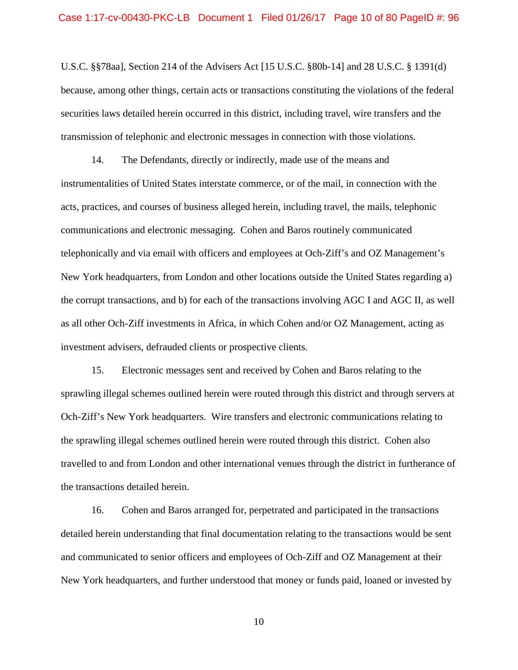U.S.C. §§78aa], Section 214 of the Advisers Act [15 U.S.C. §80b-14] and 28 U.S.C. § 1391(d) because, among other things, certain acts or transactions constituting the violations of the federal securities laws detailed herein occurred in this district, including travel, wire transfers and the transmission of telephonic and electronic messages in connection with those violations.

 acts, practices, and courses of business alleged herein, including travel, the mails, telephonic communications and electronic messaging. Cohen and Baros routinely communicated telephonically and via email with officers and employees at Och-Ziff's and OZ Management's New York headquarters, from London and other locations outside the United States regarding a) the corrupt transactions, and b) for each of the transactions involving AGC I and AGC II, as well as all other Och-Ziff investments in Africa, in which Cohen and/or OZ Management, acting as investment advisers, defrauded clients or prospective clients. 14. The Defendants, directly or indirectly, made use of the means and instrumentalities of United States interstate commerce, or of the mail, in connection with the

 sprawling illegal schemes outlined herein were routed through this district and through servers at Och-Ziff's New York headquarters. Wire transfers and electronic communications relating to the sprawling illegal schemes outlined herein were routed through this district. Cohen also travelled to and from London and other international venues through the district in furtherance of the transactions detailed herein. the transactions detailed herein.<br>16. Cohen and Baros arranged for, perpetrated and participated in the transactions 15. Electronic messages sent and received by Cohen and Baros relating to the

detailed herein understanding that final documentation relating to the transactions would be sent and communicated to senior officers and employees of Och-Ziff and OZ Management at their New York headquarters, and further understood that money or funds paid, loaned or invested by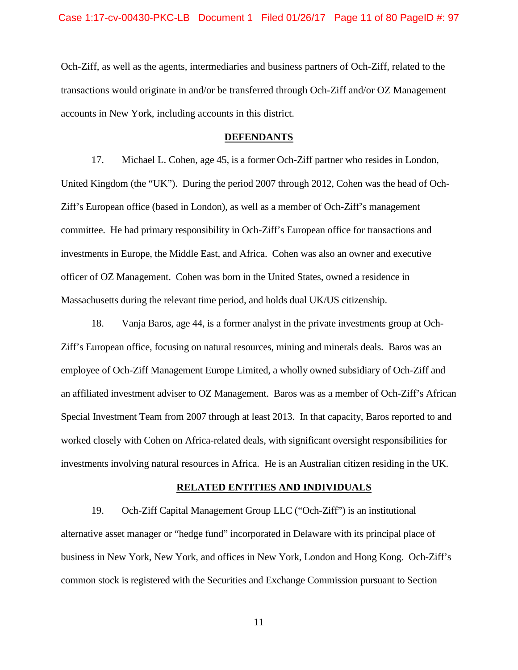accounts in New York, including accounts in this district. Och-Ziff, as well as the agents, intermediaries and business partners of Och-Ziff, related to the transactions would originate in and/or be transferred through Och-Ziff and/or OZ Management

## **DEFENDANTS**

 Ziff's European office (based in London), as well as a member of Och-Ziff's management committee. He had primary responsibility in Och-Ziff's European office for transactions and investments in Europe, the Middle East, and Africa. Cohen was also an owner and executive officer of OZ Management. Cohen was born in the United States, owned a residence in 17. Michael L. Cohen, age 45, is a former Och-Ziff partner who resides in London, United Kingdom (the "UK"). During the period 2007 through 2012, Cohen was the head of Och-

 Massachusetts during the relevant time period, and holds dual UK/US citizenship. 18. Vanja Baros, age 44, is a former analyst in the private investments group at Och- Ziff's European office, focusing on natural resources, mining and minerals deals. Baros was an an affiliated investment adviser to OZ Management. Baros was as a member of Och-Ziff's African Special Investment Team from 2007 through at least 2013. In that capacity, Baros reported to and investments involving natural resources in Africa. He is an Australian citizen residing in the UK. employee of Och-Ziff Management Europe Limited, a wholly owned subsidiary of Och-Ziff and worked closely with Cohen on Africa-related deals, with significant oversight responsibilities for

#### **RELATED ENTITIES AND INDIVIDUALS**

 alternative asset manager or "hedge fund" incorporated in Delaware with its principal place of business in New York, New York, and offices in New York, London and Hong Kong. Och-Ziff's 19. Och-Ziff Capital Management Group LLC ("Och-Ziff") is an institutional common stock is registered with the Securities and Exchange Commission pursuant to Section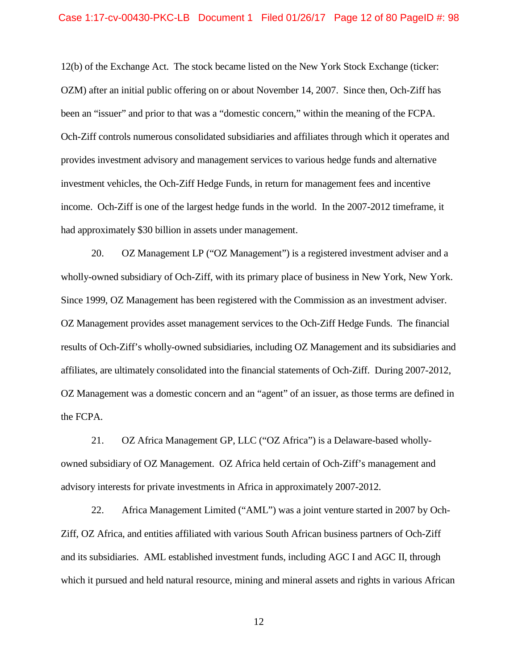## Case 1:17-cv-00430-PKC-LB Document 1 Filed 01/26/17 Page 12 of 80 PageID #: 98

 12(b) of the Exchange Act. The stock became listed on the New York Stock Exchange (ticker: OZM) after an initial public offering on or about November 14, 2007. Since then, Och-Ziff has been an "issuer" and prior to that was a "domestic concern," within the meaning of the FCPA. Och-Ziff controls numerous consolidated subsidiaries and affiliates through which it operates and income. Och-Ziff is one of the largest hedge funds in the world. In the 2007-2012 timeframe, it provides investment advisory and management services to various hedge funds and alternative investment vehicles, the Och-Ziff Hedge Funds, in return for management fees and incentive had approximately \$30 billion in assets under management.

 20. OZ Management LP ("OZ Management") is a registered investment adviser and a wholly-owned subsidiary of Och-Ziff, with its primary place of business in New York, New York. Since 1999, OZ Management has been registered with the Commission as an investment adviser. Since 1999, OZ Management has been registered with the Commission as an investment adviser. OZ Management provides asset management services to the Och-Ziff Hedge Funds. The financial affiliates, are ultimately consolidated into the financial statements of Och-Ziff. During 2007-2012, OZ Management was a domestic concern and an "agent" of an issuer, as those terms are defined in results of Och-Ziff's wholly-owned subsidiaries, including OZ Management and its subsidiaries and the FCPA.

 owned subsidiary of OZ Management. OZ Africa held certain of Och-Ziff's management and 21. OZ Africa Management GP, LLC ("OZ Africa") is a Delaware-based whollyadvisory interests for private investments in Africa in approximately 2007-2012.

 22. Africa Management Limited ("AML") was a joint venture started in 2007 by Och- Ziff, OZ Africa, and entities affiliated with various South African business partners of Och-Ziff and its subsidiaries. AML established investment funds, including AGC I and AGC II, through which it pursued and held natural resource, mining and mineral assets and rights in various African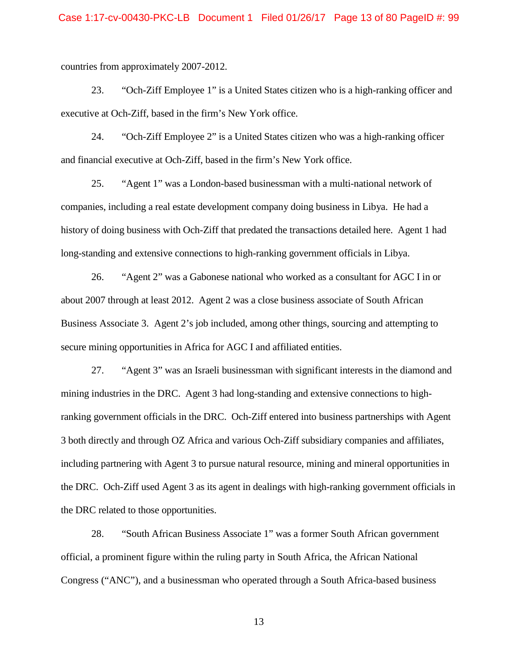countries from approximately 2007-2012.

 countries from approximately 2007-2012. 23. "Och-Ziff Employee 1" is a United States citizen who is a high-ranking officer and executive at Och-Ziff, based in the firm's New York office. executive at Och-Ziff, based in the firm's New York office.<br>24. "Och-Ziff Employee 2" is a United States citizen who was a high-ranking officer

and financial executive at Och-Ziff, based in the firm's New York office.

long-standing and extensive connections to high-ranking government officials in Libya. 25. "Agent 1" was a London-based businessman with a multi-national network of companies, including a real estate development company doing business in Libya. He had a history of doing business with Och-Ziff that predated the transactions detailed here. Agent 1 had

 Business Associate 3. Agent 2's job included, among other things, sourcing and attempting to secure mining opportunities in Africa for AGC I and affiliated entities. 26. "Agent 2" was a Gabonese national who worked as a consultant for AGC I in or about 2007 through at least 2012. Agent 2 was a close business associate of South African

 mining industries in the DRC. Agent 3 had long-standing and extensive connections to high- ranking government officials in the DRC. Och-Ziff entered into business partnerships with Agent 27. "Agent 3" was an Israeli businessman with significant interests in the diamond and 3 both directly and through OZ Africa and various Och-Ziff subsidiary companies and affiliates, including partnering with Agent 3 to pursue natural resource, mining and mineral opportunities in the DRC. Och-Ziff used Agent 3 as its agent in dealings with high-ranking government officials in the DRC related to those opportunities.

28. "South African Business Associate 1" was a former South African government official, a prominent figure within the ruling party in South Africa, the African National Congress ("ANC"), and a businessman who operated through a South Africa-based business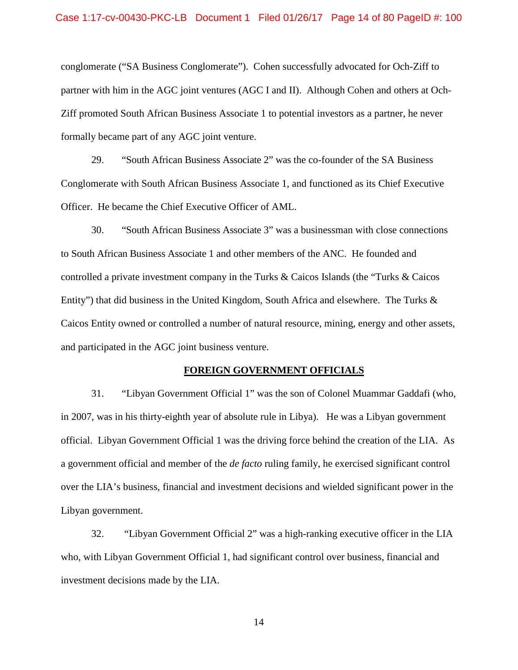## Case 1:17-cv-00430-PKC-LB Document 1 Filed 01/26/17 Page 14 of 80 PageID #: 100

 partner with him in the AGC joint ventures (AGC I and II). Although Cohen and others at Ochconglomerate ("SA Business Conglomerate"). Cohen successfully advocated for Och-Ziff to Ziff promoted South African Business Associate 1 to potential investors as a partner, he never formally became part of any AGC joint venture.

 29. "South African Business Associate 2" was the co-founder of the SA Business Officer. He became the Chief Executive Officer of AML. Conglomerate with South African Business Associate 1, and functioned as its Chief Executive

 to South African Business Associate 1 and other members of the ANC. He founded and controlled a private investment company in the Turks & Caicos Islands (the "Turks & Caicos Caicos Entity owned or controlled a number of natural resource, mining, energy and other assets, and participated in the AGC joint business venture. 30. "South African Business Associate 3" was a businessman with close connections Entity") that did business in the United Kingdom, South Africa and elsewhere. The Turks &

#### **FOREIGN GOVERNMENT OFFICIALS**

 31. "Libyan Government Official 1" was the son of Colonel Muammar Gaddafi (who, in 2007, was in his thirty-eighth year of absolute rule in Libya). He was a Libyan government over the LIA's business, financial and investment decisions and wielded significant power in the official. Libyan Government Official 1 was the driving force behind the creation of the LIA. As a government official and member of the *de facto* ruling family, he exercised significant control Libyan government.

 32. "Libyan Government Official 2" was a high-ranking executive officer in the LIA investment decisions made by the LIA.<br>14 who, with Libyan Government Official 1, had significant control over business, financial and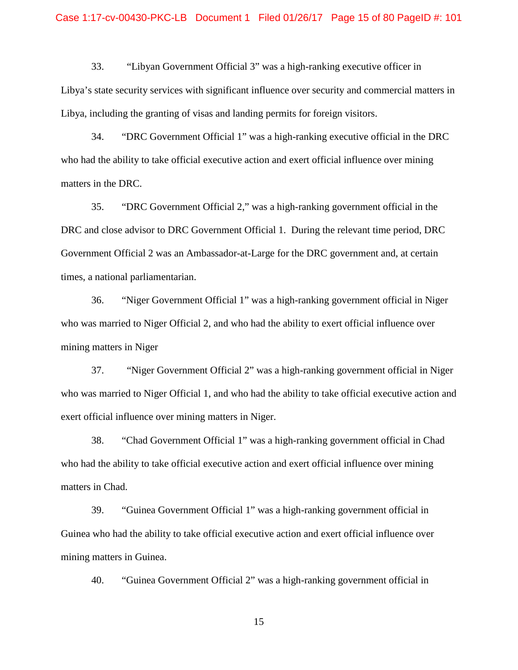## Case 1:17-cv-00430-PKC-LB Document 1 Filed 01/26/17 Page 15 of 80 PageID #: 101

 Libya, including the granting of visas and landing permits for foreign visitors. 33. "Libyan Government Official 3" was a high-ranking executive officer in Libya's state security services with significant influence over security and commercial matters in

34. "DRC Government Official 1" was a high-ranking executive official in the DRC who had the ability to take official executive action and exert official influence over mining matters in the DRC.

 DRC and close advisor to DRC Government Official 1. During the relevant time period, DRC Government Official 2 was an Ambassador-at-Large for the DRC government and, at certain 35. "DRC Government Official 2," was a high-ranking government official in the times, a national parliamentarian.

mining matters in Niger 36. "Niger Government Official 1" was a high-ranking government official in Niger who was married to Niger Official 2, and who had the ability to exert official influence over

exert official influence over mining matters in Niger. 37. "Niger Government Official 2" was a high-ranking government official in Niger who was married to Niger Official 1, and who had the ability to take official executive action and

38. "Chad Government Official 1" was a high-ranking government official in Chad who had the ability to take official executive action and exert official influence over mining matters in Chad.

 39. "Guinea Government Official 1" was a high-ranking government official in Guinea who had the ability to take official executive action and exert official influence over mining matters in Guinea.

40. "Guinea Government Official 2" was a high-ranking government official in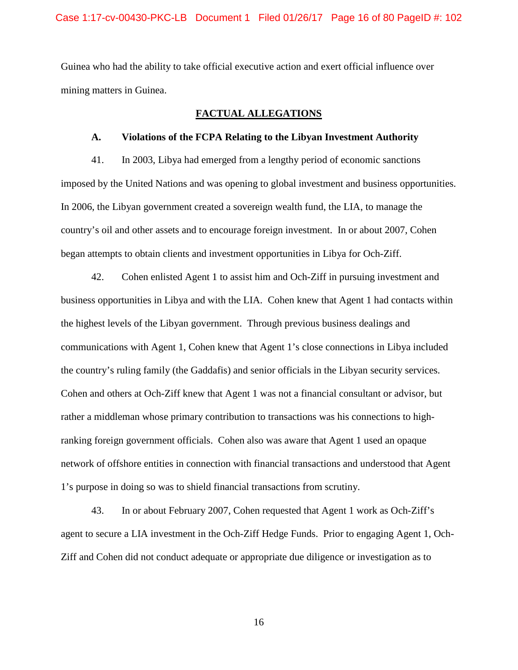Guinea who had the ability to take official executive action and exert official influence over mining matters in Guinea.

## **FACTUAL ALLEGATIONS**

### **A. Violations of the FCPA Relating to the Libyan Investment Authority**

 In 2006, the Libyan government created a sovereign wealth fund, the LIA, to manage the began attempts to obtain clients and investment opportunities in Libya for Och-Ziff. 41. In 2003, Libya had emerged from a lengthy period of economic sanctions imposed by the United Nations and was opening to global investment and business opportunities. country's oil and other assets and to encourage foreign investment. In or about 2007, Cohen

 42. Cohen enlisted Agent 1 to assist him and Och-Ziff in pursuing investment and business opportunities in Libya and with the LIA. Cohen knew that Agent 1 had contacts within the highest levels of the Libyan government. Through previous business dealings and the country's ruling family (the Gaddafis) and senior officials in the Libyan security services. the country's ruling family (the Gaddafis) and senior officials in the Libyan security services. Cohen and others at Och-Ziff knew that Agent 1 was not a financial consultant or advisor, but network of offshore entities in connection with financial transactions and understood that Agent communications with Agent 1, Cohen knew that Agent 1's close connections in Libya included rather a middleman whose primary contribution to transactions was his connections to highranking foreign government officials. Cohen also was aware that Agent 1 used an opaque 1's purpose in doing so was to shield financial transactions from scrutiny.

 43. In or about February 2007, Cohen requested that Agent 1 work as Och-Ziff's agent to secure a LIA investment in the Och-Ziff Hedge Funds. Prior to engaging Agent 1, Och-Ziff and Cohen did not conduct adequate or appropriate due diligence or investigation as to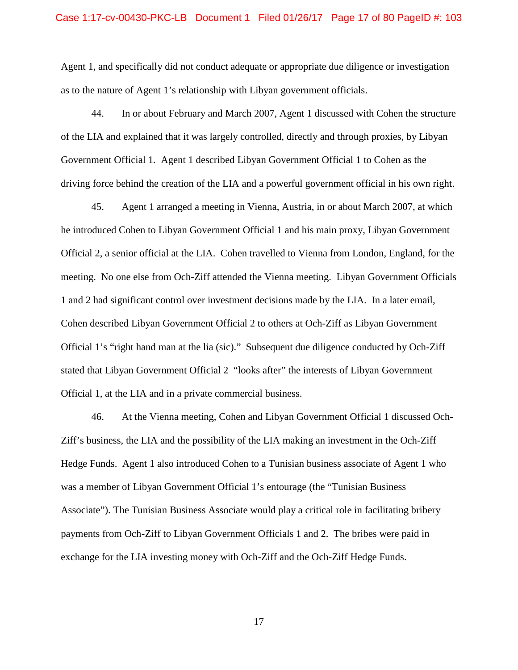as to the nature of Agent 1's relationship with Libyan government officials. Agent 1, and specifically did not conduct adequate or appropriate due diligence or investigation

 of the LIA and explained that it was largely controlled, directly and through proxies, by Libyan driving force behind the creation of the LIA and a powerful government official in his own right. 44. In or about February and March 2007, Agent 1 discussed with Cohen the structure Government Official 1. Agent 1 described Libyan Government Official 1 to Cohen as the

 45. Agent 1 arranged a meeting in Vienna, Austria, in or about March 2007, at which Official 2, a senior official at the LIA. Cohen travelled to Vienna from London, England, for the meeting. No one else from Och-Ziff attended the Vienna meeting. Libyan Government Officials 1 and 2 had significant control over investment decisions made by the LIA. In a later email, Official 1's "right hand man at the lia (sic)." Subsequent due diligence conducted by Och-Ziff stated that Libyan Government Official 2 "looks after" the interests of Libyan Government Official 1, at the LIA and in a private commercial business. he introduced Cohen to Libyan Government Official 1 and his main proxy, Libyan Government Cohen described Libyan Government Official 2 to others at Och-Ziff as Libyan Government

 Ziff's business, the LIA and the possibility of the LIA making an investment in the Och-Ziff was a member of Libyan Government Official 1's entourage (the "Tunisian Business Associate"). The Tunisian Business Associate would play a critical role in facilitating bribery exchange for the LIA investing money with Och-Ziff and the Och-Ziff Hedge Funds.<br>
17 46. At the Vienna meeting, Cohen and Libyan Government Official 1 discussed Och-Hedge Funds. Agent 1 also introduced Cohen to a Tunisian business associate of Agent 1 who payments from Och-Ziff to Libyan Government Officials 1 and 2. The bribes were paid in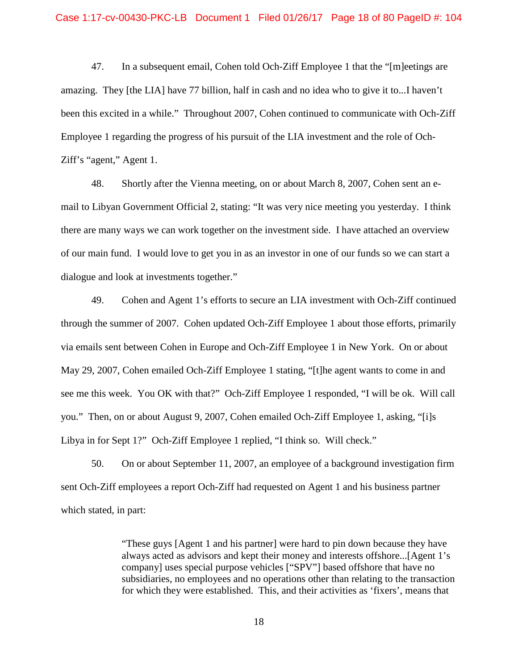been this excited in a while." Throughout 2007, Cohen continued to communicate with Och-Ziff Employee 1 regarding the progress of his pursuit of the LIA investment and the role of Och- Ziff's "agent," Agent 1. 47. In a subsequent email, Cohen told Och-Ziff Employee 1 that the "[m]eetings are amazing. They [the LIA] have 77 billion, half in cash and no idea who to give it to...I haven't

 there are many ways we can work together on the investment side. I have attached an overview of our main fund. I would love to get you in as an investor in one of our funds so we can start a dialogue and look at investments together." 48. Shortly after the Vienna meeting, on or about March 8, 2007, Cohen sent an email to Libyan Government Official 2, stating: "It was very nice meeting you yesterday. I think

 via emails sent between Cohen in Europe and Och-Ziff Employee 1 in New York. On or about see me this week. You OK with that?" Och-Ziff Employee 1 responded, "I will be ok. Will call Libya in for Sept 1?" Och-Ziff Employee 1 replied, "I think so. Will check." 49. Cohen and Agent 1's efforts to secure an LIA investment with Och-Ziff continued through the summer of 2007. Cohen updated Och-Ziff Employee 1 about those efforts, primarily May 29, 2007, Cohen emailed Och-Ziff Employee 1 stating, "[t]he agent wants to come in and you." Then, on or about August 9, 2007, Cohen emailed Och-Ziff Employee 1, asking, "[i]s

which stated, in part: which stated, in part:<br>
"These guys [Agent 1 and his partner] were hard to pin down because they have 50. On or about September 11, 2007, an employee of a background investigation firm sent Och-Ziff employees a report Och-Ziff had requested on Agent 1 and his business partner

always acted as advisors and kept their money and interests offshore...[Agent 1's company] uses special purpose vehicles ["SPV"] based offshore that have no subsidiaries, no employees and no operations other than relating to the transaction for which they were established. This, and their activities as 'fixers', means that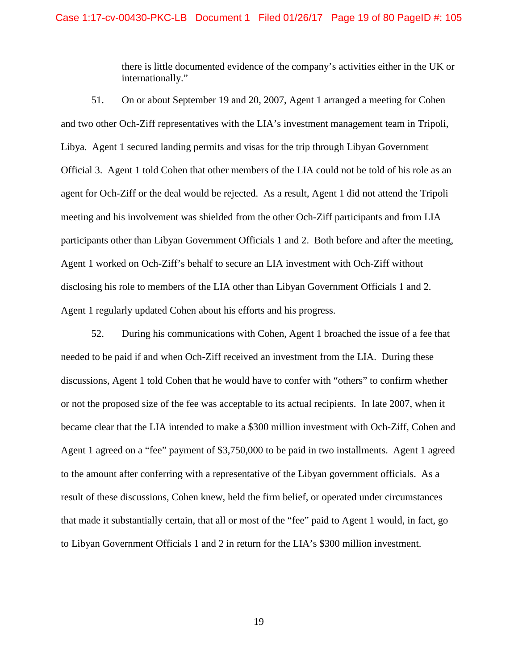there is little documented evidence of the company's activities either in the UK or internationally."

 51. On or about September 19 and 20, 2007, Agent 1 arranged a meeting for Cohen agent for Och-Ziff or the deal would be rejected. As a result, Agent 1 did not attend the Tripoli participants other than Libyan Government Officials 1 and 2. Both before and after the meeting, Agent 1 worked on Och-Ziff's behalf to secure an LIA investment with Och-Ziff without disclosing his role to members of the LIA other than Libyan Government Officials 1 and 2. Agent 1 regularly updated Cohen about his efforts and his progress. and two other Och-Ziff representatives with the LIA's investment management team in Tripoli, Libya. Agent 1 secured landing permits and visas for the trip through Libyan Government Official 3. Agent 1 told Cohen that other members of the LIA could not be told of his role as an meeting and his involvement was shielded from the other Och-Ziff participants and from LIA

 or not the proposed size of the fee was acceptable to its actual recipients. In late 2007, when it to the amount after conferring with a representative of the Libyan government officials. As a 52. During his communications with Cohen, Agent 1 broached the issue of a fee that needed to be paid if and when Och-Ziff received an investment from the LIA. During these discussions, Agent 1 told Cohen that he would have to confer with "others" to confirm whether became clear that the LIA intended to make a \$300 million investment with Och-Ziff, Cohen and Agent 1 agreed on a "fee" payment of \$3,750,000 to be paid in two installments. Agent 1 agreed result of these discussions, Cohen knew, held the firm belief, or operated under circumstances that made it substantially certain, that all or most of the "fee" paid to Agent 1 would, in fact, go to Libyan Government Officials 1 and 2 in return for the LIA's \$300 million investment.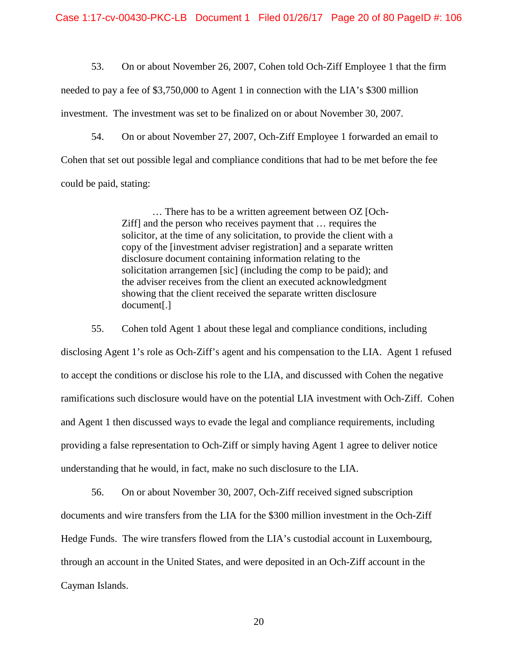53. On or about November 26, 2007, Cohen told Och-Ziff Employee 1 that the firm needed to pay a fee of \$3,750,000 to Agent 1 in connection with the LIA's \$300 million investment. The investment was set to be finalized on or about November 30, 2007.

 Cohen that set out possible legal and compliance conditions that had to be met before the fee 54. On or about November 27, 2007, Och-Ziff Employee 1 forwarded an email to could be paid, stating:

> $document[.]$ … There has to be a written agreement between OZ [Och-Ziff] and the person who receives payment that … requires the solicitor, at the time of any solicitation, to provide the client with a copy of the [investment adviser registration] and a separate written disclosure document containing information relating to the solicitation arrangemen [sic] (including the comp to be paid); and the adviser receives from the client an executed acknowledgment showing that the client received the separate written disclosure

document[.]<br>55. Cohen told Agent 1 about these legal and compliance conditions, including

 to accept the conditions or disclose his role to the LIA, and discussed with Cohen the negative and Agent 1 then discussed ways to evade the legal and compliance requirements, including understanding that he would, in fact, make no such disclosure to the LIA. disclosing Agent 1's role as Och-Ziff's agent and his compensation to the LIA. Agent 1 refused ramifications such disclosure would have on the potential LIA investment with Och-Ziff. Cohen providing a false representation to Och-Ziff or simply having Agent 1 agree to deliver notice

 Hedge Funds. The wire transfers flowed from the LIA's custodial account in Luxembourg, 56. On or about November 30, 2007, Och-Ziff received signed subscription documents and wire transfers from the LIA for the \$300 million investment in the Och-Ziff through an account in the United States, and were deposited in an Och-Ziff account in the Cayman Islands.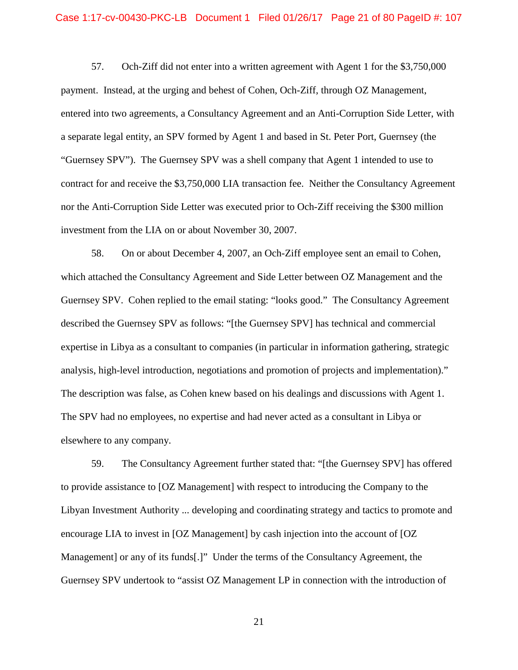payment. Instead, at the urging and behest of Cohen, Och-Ziff, through OZ Management, "Guernsey SPV"). The Guernsey SPV was a shell company that Agent 1 intended to use to contract for and receive the \$3,750,000 LIA transaction fee. Neither the Consultancy Agreement nor the Anti-Corruption Side Letter was executed prior to Och-Ziff receiving the \$300 million investment from the LIA on or about November 30, 2007. 57. Och-Ziff did not enter into a written agreement with Agent 1 for the \$3,750,000 entered into two agreements, a Consultancy Agreement and an Anti-Corruption Side Letter, with a separate legal entity, an SPV formed by Agent 1 and based in St. Peter Port, Guernsey (the

 58. On or about December 4, 2007, an Och-Ziff employee sent an email to Cohen, which attached the Consultancy Agreement and Side Letter between OZ Management and the described the Guernsey SPV as follows: "[the Guernsey SPV] has technical and commercial expertise in Libya as a consultant to companies (in particular in information gathering, strategic analysis, high-level introduction, negotiations and promotion of projects and implementation)." analysis, high-level introduction, negotiations and promotion of projects and implementation)." The description was false, as Cohen knew based on his dealings and discussions with Agent 1. elsewhere to any company. Guernsey SPV. Cohen replied to the email stating: "looks good." The Consultancy Agreement The SPV had no employees, no expertise and had never acted as a consultant in Libya or

 elsewhere to any company. 59. The Consultancy Agreement further stated that: "[the Guernsey SPV] has offered Libyan Investment Authority ... developing and coordinating strategy and tactics to promote and to provide assistance to [OZ Management] with respect to introducing the Company to the encourage LIA to invest in [OZ Management] by cash injection into the account of [OZ Management] or any of its funds[.]" Under the terms of the Consultancy Agreement, the Guernsey SPV undertook to "assist OZ Management LP in connection with the introduction of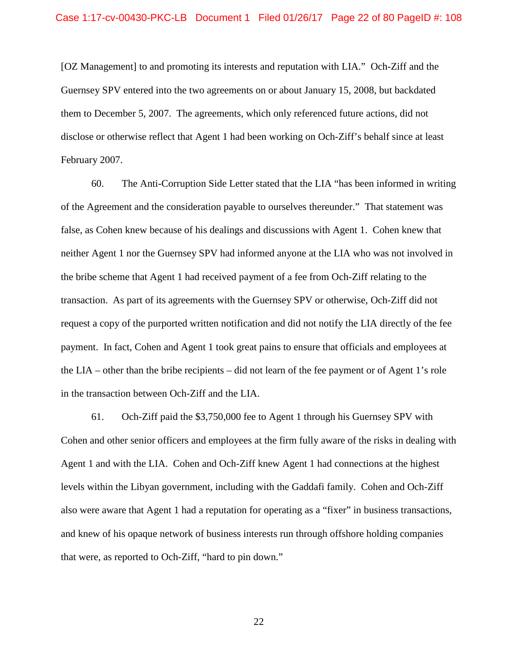[OZ Management] to and promoting its interests and reputation with LIA." Och-Ziff and the them to December 5, 2007. The agreements, which only referenced future actions, did not disclose or otherwise reflect that Agent 1 had been working on Och-Ziff's behalf since at least Guernsey SPV entered into the two agreements on or about January 15, 2008, but backdated February 2007.

 60. The Anti-Corruption Side Letter stated that the LIA "has been informed in writing of the Agreement and the consideration payable to ourselves thereunder." That statement was neither Agent 1 nor the Guernsey SPV had informed anyone at the LIA who was not involved in request a copy of the purported written notification and did not notify the LIA directly of the fee payment. In fact, Cohen and Agent 1 took great pains to ensure that officials and employees at the LIA – other than the bribe recipients – did not learn of the fee payment or of Agent 1's role false, as Cohen knew because of his dealings and discussions with Agent 1. Cohen knew that the bribe scheme that Agent 1 had received payment of a fee from Och-Ziff relating to the transaction. As part of its agreements with the Guernsey SPV or otherwise, Och-Ziff did not in the transaction between Och-Ziff and the LIA.

 61. Och-Ziff paid the \$3,750,000 fee to Agent 1 through his Guernsey SPV with Cohen and other senior officers and employees at the firm fully aware of the risks in dealing with Agent 1 and with the LIA. Cohen and Och-Ziff knew Agent 1 had connections at the highest levels within the Libyan government, including with the Gaddafi family. Cohen and Och-Ziff also were aware that Agent 1 had a reputation for operating as a "fixer" in business transactions, and knew of his opaque network of business interests run through offshore holding companies that were, as reported to Och-Ziff, "hard to pin down."<br>
22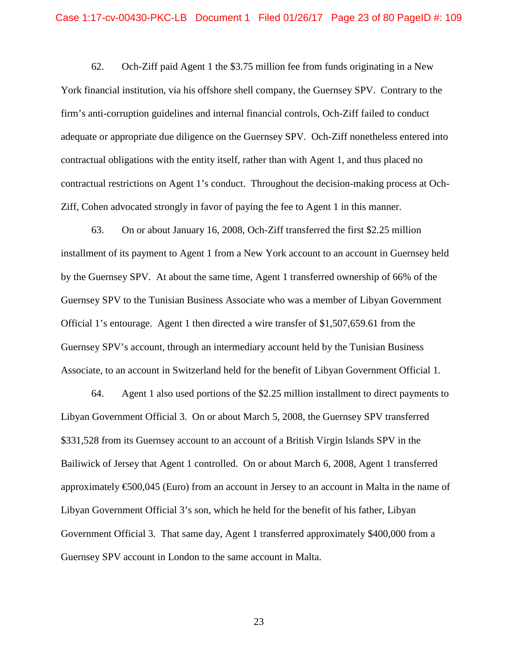62. Och-Ziff paid Agent 1 the \$3.75 million fee from funds originating in a New York financial institution, via his offshore shell company, the Guernsey SPV. Contrary to the contractual restrictions on Agent 1's conduct. Throughout the decision-making process at Ochfirm's anti-corruption guidelines and internal financial controls, Och-Ziff failed to conduct adequate or appropriate due diligence on the Guernsey SPV. Och-Ziff nonetheless entered into contractual obligations with the entity itself, rather than with Agent 1, and thus placed no Ziff, Cohen advocated strongly in favor of paying the fee to Agent 1 in this manner.

 Guernsey SPV to the Tunisian Business Associate who was a member of Libyan Government Official 1's entourage. Agent 1 then directed a wire transfer of \$1,507,659.61 from the 63. On or about January 16, 2008, Och-Ziff transferred the first \$2.25 million installment of its payment to Agent 1 from a New York account to an account in Guernsey held by the Guernsey SPV. At about the same time, Agent 1 transferred ownership of 66% of the Guernsey SPV's account, through an intermediary account held by the Tunisian Business Associate, to an account in Switzerland held for the benefit of Libyan Government Official 1.

 Libyan Government Official 3. On or about March 5, 2008, the Guernsey SPV transferred \$331,528 from its Guernsey account to an account of a British Virgin Islands SPV in the Bailiwick of Jersey that Agent 1 controlled. On or about March 6, 2008, Agent 1 transferred approximately €500,045 (Euro) from an account in Jersey to an account in Malta in the name of Government Official 3. That same day, Agent 1 transferred approximately \$400,000 from a Guernsey SPV account in London to the same account in Malta. 64. Agent 1 also used portions of the \$2.25 million installment to direct payments to Libyan Government Official 3's son, which he held for the benefit of his father, Libyan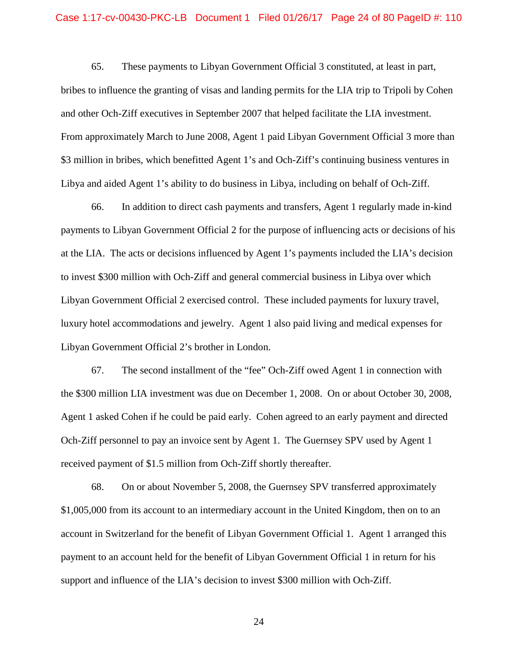## Case 1:17-cv-00430-PKC-LB Document 1 Filed 01/26/17 Page 24 of 80 PageID #: 110

 bribes to influence the granting of visas and landing permits for the LIA trip to Tripoli by Cohen and other Och-Ziff executives in September 2007 that helped facilitate the LIA investment. and other Och-Ziff executives in September 2007 that helped facilitate the LIA investment.<br>From approximately March to June 2008, Agent 1 paid Libyan Government Official 3 more than Libya and aided Agent 1's ability to do business in Libya, including on behalf of Och-Ziff. 65. These payments to Libyan Government Official 3 constituted, at least in part, \$3 million in bribes, which benefitted Agent 1's and Och-Ziff's continuing business ventures in

 payments to Libyan Government Official 2 for the purpose of influencing acts or decisions of his luxury hotel accommodations and jewelry. Agent 1 also paid living and medical expenses for Libyan Government Official 2's brother in London. 66. In addition to direct cash payments and transfers, Agent 1 regularly made in-kind at the LIA. The acts or decisions influenced by Agent 1's payments included the LIA's decision to invest \$300 million with Och-Ziff and general commercial business in Libya over which Libyan Government Official 2 exercised control. These included payments for luxury travel,

 Libyan Government Official 2's brother in London. 67. The second installment of the "fee" Och-Ziff owed Agent 1 in connection with Och-Ziff personnel to pay an invoice sent by Agent 1. The Guernsey SPV used by Agent 1 the \$300 million LIA investment was due on December 1, 2008. On or about October 30, 2008, Agent 1 asked Cohen if he could be paid early. Cohen agreed to an early payment and directed received payment of \$1.5 million from Och-Ziff shortly thereafter.

 account in Switzerland for the benefit of Libyan Government Official 1. Agent 1 arranged this payment to an account held for the benefit of Libyan Government Official 1 in return for his support and influence of the LIA's decision to invest \$300 million with Och-Ziff. 68. On or about November 5, 2008, the Guernsey SPV transferred approximately \$1,005,000 from its account to an intermediary account in the United Kingdom, then on to an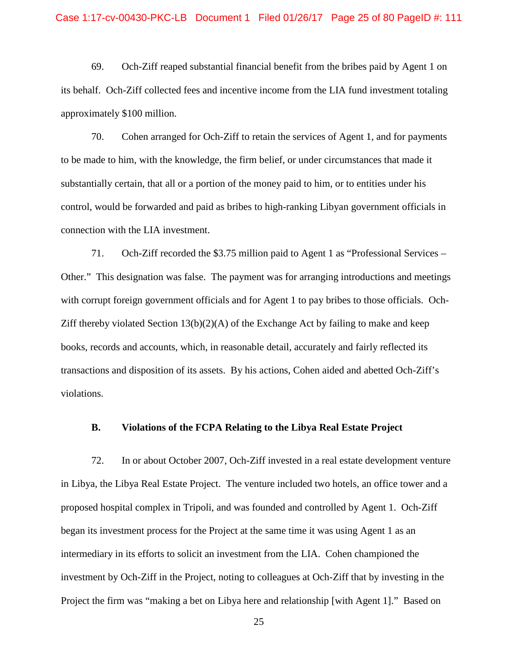69. Och-Ziff reaped substantial financial benefit from the bribes paid by Agent 1 on its behalf. Och-Ziff collected fees and incentive income from the LIA fund investment totaling approximately \$100 million.

 connection with the LIA investment. 70. Cohen arranged for Och-Ziff to retain the services of Agent 1, and for payments to be made to him, with the knowledge, the firm belief, or under circumstances that made it substantially certain, that all or a portion of the money paid to him, or to entities under his control, would be forwarded and paid as bribes to high-ranking Libyan government officials in

 71. Och-Ziff recorded the \$3.75 million paid to Agent 1 as "Professional Services – Other." This designation was false. The payment was for arranging introductions and meetings with corrupt foreign government officials and for Agent 1 to pay bribes to those officials. Och-Ziff thereby violated Section  $13(b)(2)(A)$  of the Exchange Act by failing to make and keep books, records and accounts, which, in reasonable detail, accurately and fairly reflected its transactions and disposition of its assets. By his actions, Cohen aided and abetted Och-Ziff's violations.

## **B. Violations of the FCPA Relating to the Libya Real Estate Project**

 in Libya, the Libya Real Estate Project. The venture included two hotels, an office tower and a proposed hospital complex in Tripoli, and was founded and controlled by Agent 1. Och-Ziff began its investment process for the Project at the same time it was using Agent 1 as an intermediary in its efforts to solicit an investment from the LIA. Cohen championed the investment by Och-Ziff in the Project, noting to colleagues at Och-Ziff that by investing in the Project the firm was "making a bet on Libya here and relationship [with Agent 1]." Based on 72. In or about October 2007, Och-Ziff invested in a real estate development venture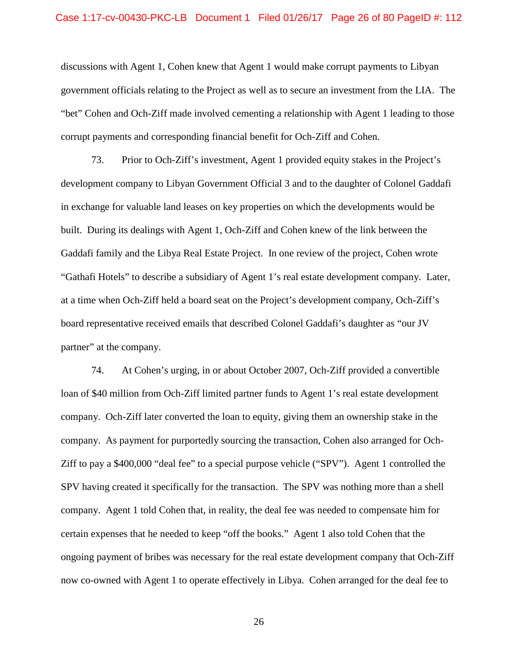#### Case 1:17-cv-00430-PKC-LB Document 1 Filed 01/26/17 Page 26 of 80 PageID #: 112

 government officials relating to the Project as well as to secure an investment from the LIA. The "bet" Cohen and Och-Ziff made involved cementing a relationship with Agent 1 leading to those corrupt payments and corresponding financial benefit for Och-Ziff and Cohen. discussions with Agent 1, Cohen knew that Agent 1 would make corrupt payments to Libyan

 development company to Libyan Government Official 3 and to the daughter of Colonel Gaddafi in exchange for valuable land leases on key properties on which the developments would be Gaddafi family and the Libya Real Estate Project. In one review of the project, Cohen wrote at a time when Och-Ziff held a board seat on the Project's development company, Och-Ziff's board representative received emails that described Colonel Gaddafi's daughter as "our JV partner" at the company. 73. Prior to Och-Ziff's investment, Agent 1 provided equity stakes in the Project's built. During its dealings with Agent 1, Och-Ziff and Cohen knew of the link between the "Gathafi Hotels" to describe a subsidiary of Agent 1's real estate development company. Later,

 74. At Cohen's urging, in or about October 2007, Och-Ziff provided a convertible company. As payment for purportedly sourcing the transaction, Cohen also arranged for Och- Ziff to pay a \$400,000 "deal fee" to a special purpose vehicle ("SPV"). Agent 1 controlled the company. Agent 1 told Cohen that, in reality, the deal fee was needed to compensate him for ongoing payment of bribes was necessary for the real estate development company that Och-Ziff now co-owned with Agent 1 to operate effectively in Libya. Cohen arranged for the deal fee to loan of \$40 million from Och-Ziff limited partner funds to Agent 1's real estate development company. Och-Ziff later converted the loan to equity, giving them an ownership stake in the SPV having created it specifically for the transaction. The SPV was nothing more than a shell certain expenses that he needed to keep "off the books." Agent 1 also told Cohen that the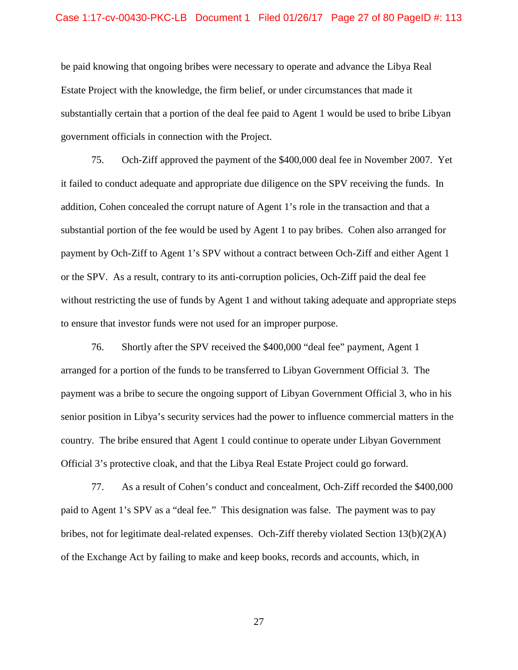## Case 1:17-cv-00430-PKC-LB Document 1 Filed 01/26/17 Page 27 of 80 PageID #: 113

 be paid knowing that ongoing bribes were necessary to operate and advance the Libya Real substantially certain that a portion of the deal fee paid to Agent 1 would be used to bribe Libyan government officials in connection with the Project. Estate Project with the knowledge, the firm belief, or under circumstances that made it

 it failed to conduct adequate and appropriate due diligence on the SPV receiving the funds. In addition, Cohen concealed the corrupt nature of Agent 1's role in the transaction and that a substantial portion of the fee would be used by Agent 1 to pay bribes. Cohen also arranged for payment by Och-Ziff to Agent 1's SPV without a contract between Och-Ziff and either Agent 1 without restricting the use of funds by Agent 1 and without taking adequate and appropriate steps 75. Och-Ziff approved the payment of the \$400,000 deal fee in November 2007. Yet or the SPV. As a result, contrary to its anti-corruption policies, Och-Ziff paid the deal fee to ensure that investor funds were not used for an improper purpose.

 arranged for a portion of the funds to be transferred to Libyan Government Official 3. The payment was a bribe to secure the ongoing support of Libyan Government Official 3, who in his country. The bribe ensured that Agent 1 could continue to operate under Libyan Government 76. Shortly after the SPV received the \$400,000 "deal fee" payment, Agent 1 senior position in Libya's security services had the power to influence commercial matters in the Official 3's protective cloak, and that the Libya Real Estate Project could go forward.

 paid to Agent 1's SPV as a "deal fee." This designation was false. The payment was to pay bribes, not for legitimate deal-related expenses. Och-Ziff thereby violated Section 13(b)(2)(A) 77. As a result of Cohen's conduct and concealment, Och-Ziff recorded the \$400,000 of the Exchange Act by failing to make and keep books, records and accounts, which, in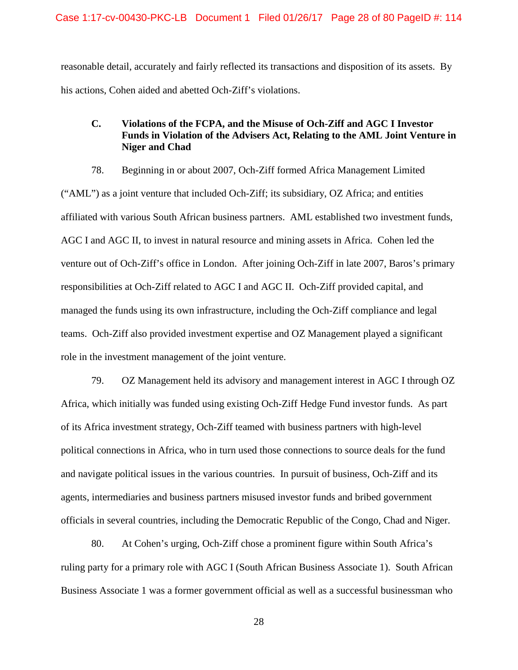reasonable detail, accurately and fairly reflected its transactions and disposition of its assets. By his actions, Cohen aided and abetted Och-Ziff's violations.

# **C. Violations of the FCPA, and the Misuse of Och-Ziff and AGC I Investor Funds in Violation of the Advisers Act, Relating to the AML Joint Venture in Niger and Chad**

 78. Beginning in or about 2007, Och-Ziff formed Africa Management Limited AGC I and AGC II, to invest in natural resource and mining assets in Africa. Cohen led the venture out of Och-Ziff's office in London. After joining Och-Ziff in late 2007, Baros's primary responsibilities at Och-Ziff related to AGC I and AGC II. Och-Ziff provided capital, and managed the funds using its own infrastructure, including the Och-Ziff compliance and legal teams. Och-Ziff also provided investment expertise and OZ Management played a significant role in the investment management of the joint venture. ("AML") as a joint venture that included Och-Ziff; its subsidiary, OZ Africa; and entities affiliated with various South African business partners. AML established two investment funds,

 agents, intermediaries and business partners misused investor funds and bribed government 79. OZ Management held its advisory and management interest in AGC I through OZ Africa, which initially was funded using existing Och-Ziff Hedge Fund investor funds. As part of its Africa investment strategy, Och-Ziff teamed with business partners with high-level political connections in Africa, who in turn used those connections to source deals for the fund and navigate political issues in the various countries. In pursuit of business, Och-Ziff and its officials in several countries, including the Democratic Republic of the Congo, Chad and Niger.

 ruling party for a primary role with AGC I (South African Business Associate 1). South African 80. At Cohen's urging, Och-Ziff chose a prominent figure within South Africa's Business Associate 1 was a former government official as well as a successful businessman who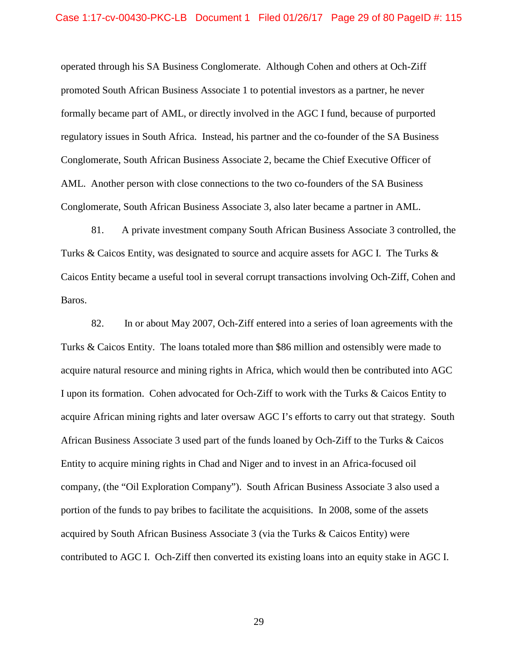operated through his SA Business Conglomerate. Although Cohen and others at Och-Ziff formally became part of AML, or directly involved in the AGC I fund, because of purported regulatory issues in South Africa. Instead, his partner and the co-founder of the SA Business AML. Another person with close connections to the two co-founders of the SA Business Conglomerate, South African Business Associate 3, also later became a partner in AML. promoted South African Business Associate 1 to potential investors as a partner, he never Conglomerate, South African Business Associate 2, became the Chief Executive Officer of

 Turks & Caicos Entity, was designated to source and acquire assets for AGC I. The Turks & Baros. Baros.<br>82. In or about May 2007, Och-Ziff entered into a series of loan agreements with the 81. A private investment company South African Business Associate 3 controlled, the Caicos Entity became a useful tool in several corrupt transactions involving Och-Ziff, Cohen and

 Turks & Caicos Entity. The loans totaled more than \$86 million and ostensibly were made to I upon its formation. Cohen advocated for Och-Ziff to work with the Turks & Caicos Entity to acquire African mining rights and later oversaw AGC I's efforts to carry out that strategy. South portion of the funds to pay bribes to facilitate the acquisitions. In 2008, some of the assets contributed to AGC I. Och-Ziff then converted its existing loans into an equity stake in AGC I. acquire natural resource and mining rights in Africa, which would then be contributed into AGC African Business Associate 3 used part of the funds loaned by Och-Ziff to the Turks & Caicos Entity to acquire mining rights in Chad and Niger and to invest in an Africa-focused oil company, (the "Oil Exploration Company"). South African Business Associate 3 also used a acquired by South African Business Associate 3 (via the Turks & Caicos Entity) were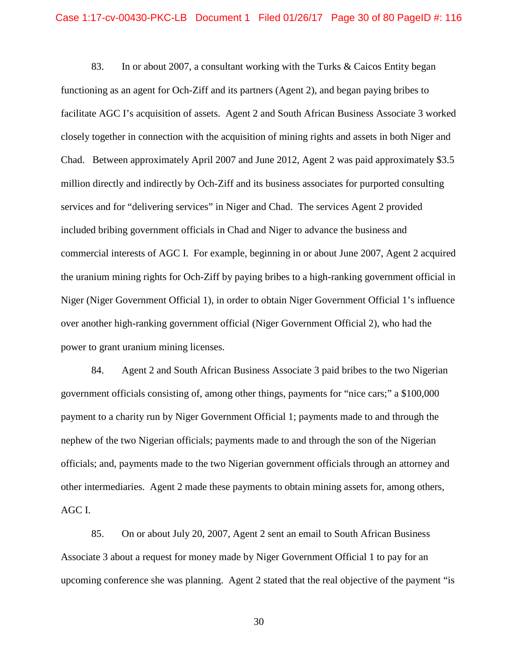83. In or about 2007, a consultant working with the Turks & Caicos Entity began functioning as an agent for Och-Ziff and its partners (Agent 2), and began paying bribes to facilitate AGC I's acquisition of assets. Agent 2 and South African Business Associate 3 worked Chad. Between approximately April 2007 and June 2012, Agent 2 was paid approximately \$3.5 services and for "delivering services" in Niger and Chad. The services Agent 2 provided commercial interests of AGC I. For example, beginning in or about June 2007, Agent 2 acquired the uranium mining rights for Och-Ziff by paying bribes to a high-ranking government official in over another high-ranking government official (Niger Government Official 2), who had the power to grant uranium mining licenses. closely together in connection with the acquisition of mining rights and assets in both Niger and million directly and indirectly by Och-Ziff and its business associates for purported consulting included bribing government officials in Chad and Niger to advance the business and Niger (Niger Government Official 1), in order to obtain Niger Government Official 1's influence

 84. Agent 2 and South African Business Associate 3 paid bribes to the two Nigerian other intermediaries. Agent 2 made these payments to obtain mining assets for, among others, government officials consisting of, among other things, payments for "nice cars;" a \$100,000 payment to a charity run by Niger Government Official 1; payments made to and through the nephew of the two Nigerian officials; payments made to and through the son of the Nigerian officials; and, payments made to the two Nigerian government officials through an attorney and AGC I.

 Associate 3 about a request for money made by Niger Government Official 1 to pay for an 85. On or about July 20, 2007, Agent 2 sent an email to South African Business upcoming conference she was planning. Agent 2 stated that the real objective of the payment "is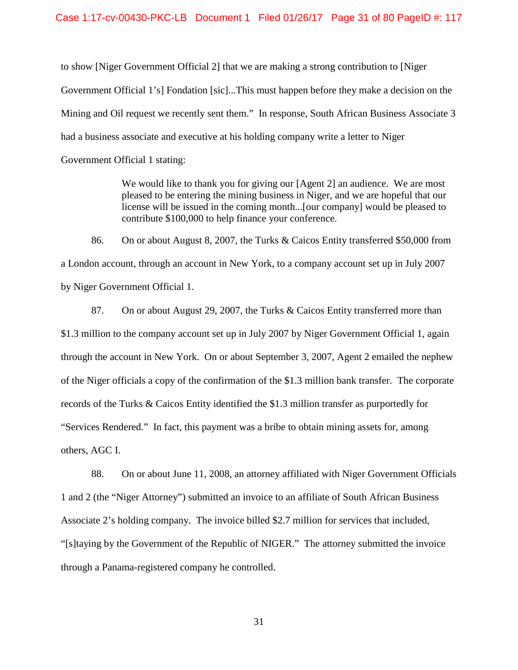Mining and Oil request we recently sent them." In response, South African Business Associate 3 to show [Niger Government Official 2] that we are making a strong contribution to [Niger Government Official 1's] Fondation [sic]...This must happen before they make a decision on the had a business associate and executive at his holding company write a letter to Niger Government Official 1 stating:

> We would like to thank you for giving our [Agent 2] an audience. We are most pleased to be entering the mining business in Niger, and we are hopeful that our license will be issued in the coming month...[our company] would be pleased to contribute \$100,000 to help finance your conference.

86. On or about August 8, 2007, the Turks & Caicos Entity transferred \$50,000 from a London account, through an account in New York, to a company account set up in July 2007 by Niger Government Official 1.

 \$1.3 million to the company account set up in July 2007 by Niger Government Official 1, again through the account in New York. On or about September 3, 2007, Agent 2 emailed the nephew "Services Rendered." In fact, this payment was a bribe to obtain mining assets for, among others, AGC I. 87. On or about August 29, 2007, the Turks & Caicos Entity transferred more than of the Niger officials a copy of the confirmation of the \$1.3 million bank transfer. The corporate records of the Turks & Caicos Entity identified the \$1.3 million transfer as purportedly for

88. On or about June 11, 2008, an attorney affiliated with Niger Government Officials 1 and 2 (the "Niger Attorney") submitted an invoice to an affiliate of South African Business Associate 2's holding company. The invoice billed \$2.7 million for services that included, "[s]taying by the Government of the Republic of NIGER." The attorney submitted the invoice through a Panama-registered company he controlled.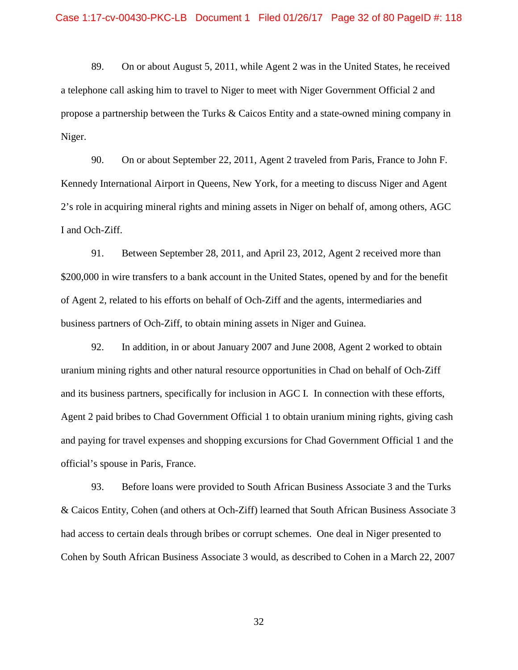89. On or about August 5, 2011, while Agent 2 was in the United States, he received a telephone call asking him to travel to Niger to meet with Niger Government Official 2 and propose a partnership between the Turks & Caicos Entity and a state-owned mining company in Niger.

 Kennedy International Airport in Queens, New York, for a meeting to discuss Niger and Agent 90. On or about September 22, 2011, Agent 2 traveled from Paris, France to John F. 2's role in acquiring mineral rights and mining assets in Niger on behalf of, among others, AGC I and Och-Ziff.

 of Agent 2, related to his efforts on behalf of Och-Ziff and the agents, intermediaries and 91. Between September 28, 2011, and April 23, 2012, Agent 2 received more than \$200,000 in wire transfers to a bank account in the United States, opened by and for the benefit business partners of Och-Ziff, to obtain mining assets in Niger and Guinea.

92. In addition, in or about January 2007 and June 2008, Agent 2 worked to obtain uranium mining rights and other natural resource opportunities in Chad on behalf of Och-Ziff and its business partners, specifically for inclusion in AGC I. In connection with these efforts, Agent 2 paid bribes to Chad Government Official 1 to obtain uranium mining rights, giving cash and paying for travel expenses and shopping excursions for Chad Government Official 1 and the official's spouse in Paris, France.

 93. Before loans were provided to South African Business Associate 3 and the Turks & Caicos Entity, Cohen (and others at Och-Ziff) learned that South African Business Associate 3 had access to certain deals through bribes or corrupt schemes. One deal in Niger presented to Cohen by South African Business Associate 3 would, as described to Cohen in a March 22, 2007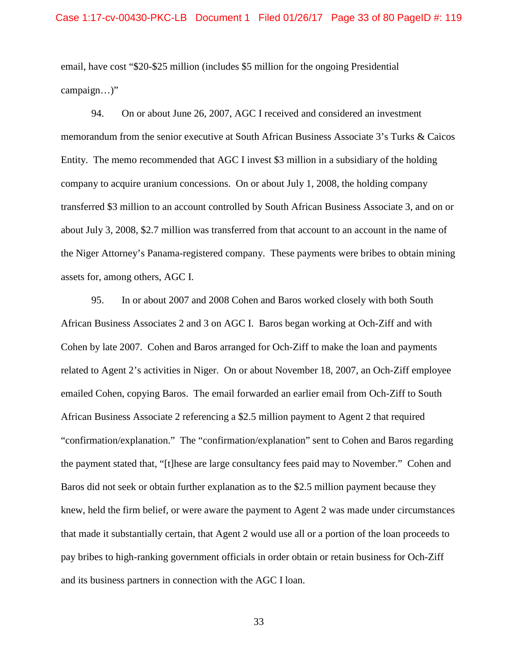email, have cost "\$20-\$25 million (includes \$5 million for the ongoing Presidential campaign…)"

 94. On or about June 26, 2007, AGC I received and considered an investment Entity. The memo recommended that AGC I invest \$3 million in a subsidiary of the holding the Niger Attorney's Panama-registered company. These payments were bribes to obtain mining assets for, among others, AGC I. memorandum from the senior executive at South African Business Associate 3's Turks & Caicos company to acquire uranium concessions. On or about July 1, 2008, the holding company transferred \$3 million to an account controlled by South African Business Associate 3, and on or about July 3, 2008, \$2.7 million was transferred from that account to an account in the name of

 95. In or about 2007 and 2008 Cohen and Baros worked closely with both South African Business Associates 2 and 3 on AGC I. Baros began working at Och-Ziff and with Cohen by late 2007. Cohen and Baros arranged for Och-Ziff to make the loan and payments emailed Cohen, copying Baros. The email forwarded an earlier email from Och-Ziff to South and its business partners in connection with the AGC I loan. related to Agent 2's activities in Niger. On or about November 18, 2007, an Och-Ziff employee African Business Associate 2 referencing a \$2.5 million payment to Agent 2 that required "confirmation/explanation." The "confirmation/explanation" sent to Cohen and Baros regarding the payment stated that, "[t]hese are large consultancy fees paid may to November." Cohen and Baros did not seek or obtain further explanation as to the \$2.5 million payment because they knew, held the firm belief, or were aware the payment to Agent 2 was made under circumstances that made it substantially certain, that Agent 2 would use all or a portion of the loan proceeds to pay bribes to high-ranking government officials in order obtain or retain business for Och-Ziff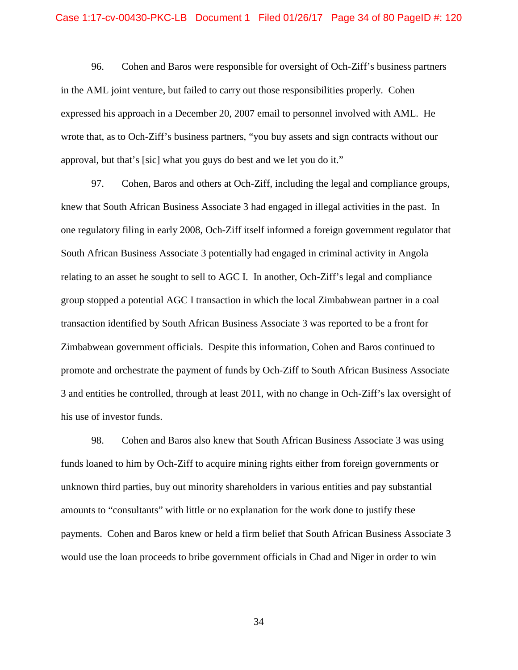in the AML joint venture, but failed to carry out those responsibilities properly. Cohen approval, but that's [sic] what you guys do best and we let you do it." 96. Cohen and Baros were responsible for oversight of Och-Ziff's business partners expressed his approach in a December 20, 2007 email to personnel involved with AML. He wrote that, as to Och-Ziff's business partners, "you buy assets and sign contracts without our

 knew that South African Business Associate 3 had engaged in illegal activities in the past. In group stopped a potential AGC I transaction in which the local Zimbabwean partner in a coal promote and orchestrate the payment of funds by Och-Ziff to South African Business Associate 3 and entities he controlled, through at least 2011, with no change in Och-Ziff's lax oversight of 97. Cohen, Baros and others at Och-Ziff, including the legal and compliance groups, one regulatory filing in early 2008, Och-Ziff itself informed a foreign government regulator that South African Business Associate 3 potentially had engaged in criminal activity in Angola relating to an asset he sought to sell to AGC I. In another, Och-Ziff's legal and compliance transaction identified by South African Business Associate 3 was reported to be a front for Zimbabwean government officials. Despite this information, Cohen and Baros continued to his use of investor funds.

 98. Cohen and Baros also knew that South African Business Associate 3 was using funds loaned to him by Och-Ziff to acquire mining rights either from foreign governments or amounts to "consultants" with little or no explanation for the work done to justify these payments. Cohen and Baros knew or held a firm belief that South African Business Associate 3 would use the loan proceeds to bribe government officials in Chad and Niger in order to win unknown third parties, buy out minority shareholders in various entities and pay substantial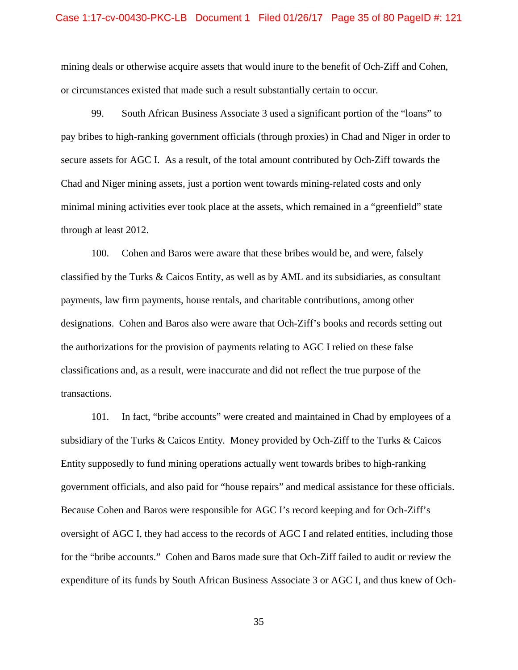## Case 1:17-cv-00430-PKC-LB Document 1 Filed 01/26/17 Page 35 of 80 PageID #: 121

or circumstances existed that made such a result substantially certain to occur. mining deals or otherwise acquire assets that would inure to the benefit of Och-Ziff and Cohen,

 secure assets for AGC I. As a result, of the total amount contributed by Och-Ziff towards the through at least 2012. through at least 2012.<br>100. Cohen and Baros were aware that these bribes would be, and were, falsely 99. South African Business Associate 3 used a significant portion of the "loans" to pay bribes to high-ranking government officials (through proxies) in Chad and Niger in order to Chad and Niger mining assets, just a portion went towards mining-related costs and only minimal mining activities ever took place at the assets, which remained in a "greenfield" state

 designations. Cohen and Baros also were aware that Och-Ziff's books and records setting out the authorizations for the provision of payments relating to AGC I relied on these false classified by the Turks & Caicos Entity, as well as by AML and its subsidiaries, as consultant payments, law firm payments, house rentals, and charitable contributions, among other classifications and, as a result, were inaccurate and did not reflect the true purpose of the transactions.

 101. In fact, "bribe accounts" were created and maintained in Chad by employees of a subsidiary of the Turks & Caicos Entity. Money provided by Och-Ziff to the Turks & Caicos Entity supposedly to fund mining operations actually went towards bribes to high-ranking government officials, and also paid for "house repairs" and medical assistance for these officials. Because Cohen and Baros were responsible for AGC I's record keeping and for Och-Ziff's Because Cohen and Baros were responsible for AGC I's record keeping and for Och-Ziff's oversight of AGC I, they had access to the records of AGC I and related entities, including those for the "bribe accounts." Cohen and Baros made sure that Och-Ziff failed to audit or review the expenditure of its funds by South African Business Associate 3 or AGC I, and thus knew of Och-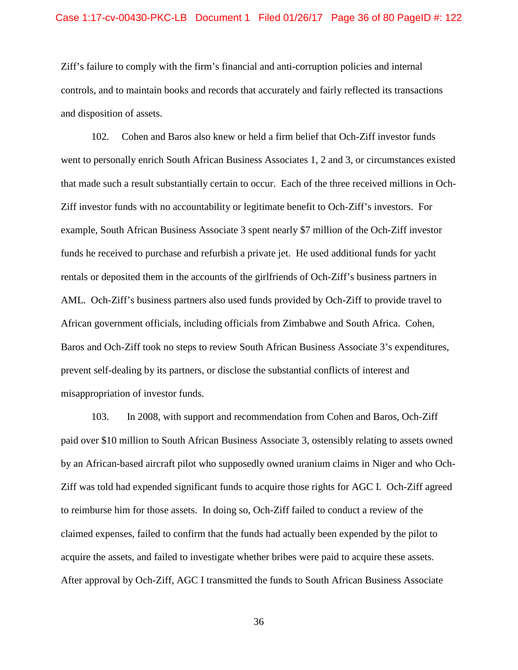and disposition of assets. Ziff's failure to comply with the firm's financial and anti-corruption policies and internal controls, and to maintain books and records that accurately and fairly reflected its transactions

 102. Cohen and Baros also knew or held a firm belief that Och-Ziff investor funds Ziff investor funds with no accountability or legitimate benefit to Och-Ziff's investors. For funds he received to purchase and refurbish a private jet. He used additional funds for yacht AML. Och-Ziff's business partners also used funds provided by Och-Ziff to provide travel to went to personally enrich South African Business Associates 1, 2 and 3, or circumstances existed that made such a result substantially certain to occur. Each of the three received millions in Ochexample, South African Business Associate 3 spent nearly \$7 million of the Och-Ziff investor rentals or deposited them in the accounts of the girlfriends of Och-Ziff's business partners in African government officials, including officials from Zimbabwe and South Africa. Cohen, Baros and Och-Ziff took no steps to review South African Business Associate 3's expenditures, prevent self-dealing by its partners, or disclose the substantial conflicts of interest and misappropriation of investor funds.

acquire the assets, and failed to investigate whether bribes were paid to acquire these assets. 103. In 2008, with support and recommendation from Cohen and Baros, Och-Ziff paid over \$10 million to South African Business Associate 3, ostensibly relating to assets owned by an African-based aircraft pilot who supposedly owned uranium claims in Niger and who Och-Ziff was told had expended significant funds to acquire those rights for AGC I. Och-Ziff agreed to reimburse him for those assets. In doing so, Och-Ziff failed to conduct a review of the claimed expenses, failed to confirm that the funds had actually been expended by the pilot to After approval by Och-Ziff, AGC I transmitted the funds to South African Business Associate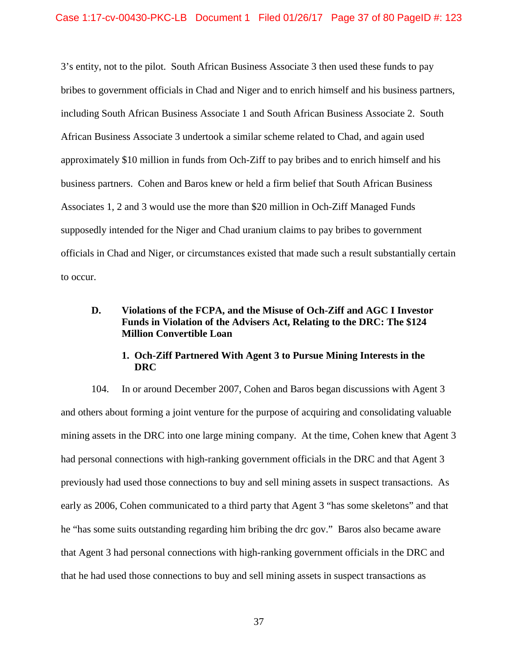3's entity, not to the pilot. South African Business Associate 3 then used these funds to pay including South African Business Associate 1 and South African Business Associate 2. South approximately \$10 million in funds from Och-Ziff to pay bribes and to enrich himself and his business partners. Cohen and Baros knew or held a firm belief that South African Business officials in Chad and Niger, or circumstances existed that made such a result substantially certain to occur. bribes to government officials in Chad and Niger and to enrich himself and his business partners, African Business Associate 3 undertook a similar scheme related to Chad, and again used Associates 1, 2 and 3 would use the more than \$20 million in Och-Ziff Managed Funds supposedly intended for the Niger and Chad uranium claims to pay bribes to government

# **D. Violations of the FCPA, and the Misuse of Och-Ziff and AGC I Investor Funds in Violation of the Advisers Act, Relating to the DRC: The \$124 Million Convertible Loan**

## **1. Och-Ziff Partnered With Agent 3 to Pursue Mining Interests in the DRC**

 he "has some suits outstanding regarding him bribing the drc gov." Baros also became aware 104. In or around December 2007, Cohen and Baros began discussions with Agent 3 and others about forming a joint venture for the purpose of acquiring and consolidating valuable mining assets in the DRC into one large mining company. At the time, Cohen knew that Agent 3 had personal connections with high-ranking government officials in the DRC and that Agent 3 previously had used those connections to buy and sell mining assets in suspect transactions. As early as 2006, Cohen communicated to a third party that Agent 3 "has some skeletons" and that that Agent 3 had personal connections with high-ranking government officials in the DRC and that he had used those connections to buy and sell mining assets in suspect transactions as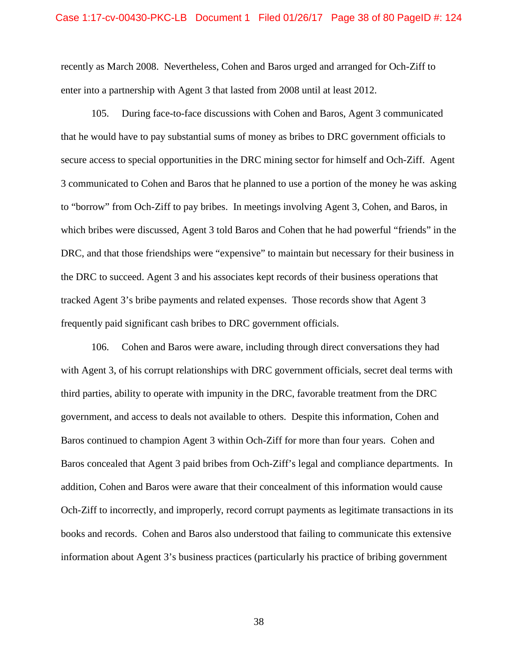#### Case 1:17-cv-00430-PKC-LB Document 1 Filed 01/26/17 Page 38 of 80 PageID #: 124

 enter into a partnership with Agent 3 that lasted from 2008 until at least 2012. recently as March 2008. Nevertheless, Cohen and Baros urged and arranged for Och-Ziff to

 that he would have to pay substantial sums of money as bribes to DRC government officials to 3 communicated to Cohen and Baros that he planned to use a portion of the money he was asking to "borrow" from Och-Ziff to pay bribes. In meetings involving Agent 3, Cohen, and Baros, in the DRC to succeed. Agent 3 and his associates kept records of their business operations that tracked Agent 3's bribe payments and related expenses. Those records show that Agent 3 frequently paid significant cash bribes to DRC government officials. 105. During face-to-face discussions with Cohen and Baros, Agent 3 communicated secure access to special opportunities in the DRC mining sector for himself and Och-Ziff. Agent which bribes were discussed, Agent 3 told Baros and Cohen that he had powerful "friends" in the DRC, and that those friendships were "expensive" to maintain but necessary for their business in

 106. Cohen and Baros were aware, including through direct conversations they had with Agent 3, of his corrupt relationships with DRC government officials, secret deal terms with Baros continued to champion Agent 3 within Och-Ziff for more than four years. Cohen and Baros concealed that Agent 3 paid bribes from Och-Ziff's legal and compliance departments. In addition, Cohen and Baros were aware that their concealment of this information would cause Och-Ziff to incorrectly, and improperly, record corrupt payments as legitimate transactions in its books and records. Cohen and Baros also understood that failing to communicate this extensive information about Agent 3's business practices (particularly his practice of bribing government third parties, ability to operate with impunity in the DRC, favorable treatment from the DRC government, and access to deals not available to others. Despite this information, Cohen and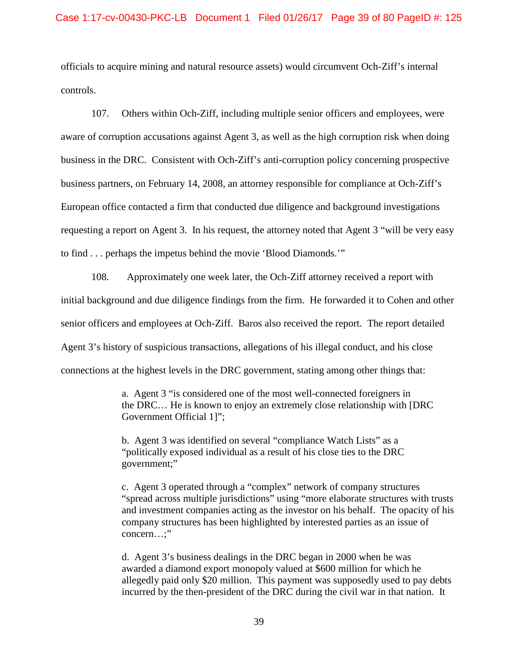controls. officials to acquire mining and natural resource assets) would circumvent Och-Ziff's internal

 business in the DRC. Consistent with Och-Ziff's anti-corruption policy concerning prospective business partners, on February 14, 2008, an attorney responsible for compliance at Och-Ziff's requesting a report on Agent 3. In his request, the attorney noted that Agent 3 "will be very easy to find . . . perhaps the impetus behind the movie 'Blood Diamonds." 107. Others within Och-Ziff, including multiple senior officers and employees, were aware of corruption accusations against Agent 3, as well as the high corruption risk when doing European office contacted a firm that conducted due diligence and background investigations

 initial background and due diligence findings from the firm. He forwarded it to Cohen and other senior officers and employees at Och-Ziff. Baros also received the report. The report detailed Agent 3's history of suspicious transactions, allegations of his illegal conduct, and his close 108. Approximately one week later, the Och-Ziff attorney received a report with connections at the highest levels in the DRC government, stating among other things that:

> a. Agent 3 "is considered one of the most well-connected foreigners in the DRC… He is known to enjoy an extremely close relationship with [DRC Government Official 1]";

b. Agent 3 was identified on several "compliance Watch Lists" as a "politically exposed individual as a result of his close ties to the DRC government;"

c. Agent 3 operated through a "complex" network of company structures "spread across multiple jurisdictions" using "more elaborate structures with trusts and investment companies acting as the investor on his behalf. The opacity of his company structures has been highlighted by interested parties as an issue of concern…;"

d. Agent 3's business dealings in the DRC began in 2000 when he was awarded a diamond export monopoly valued at \$600 million for which he allegedly paid only \$20 million. This payment was supposedly used to pay debts incurred by the then-president of the DRC during the civil war in that nation. It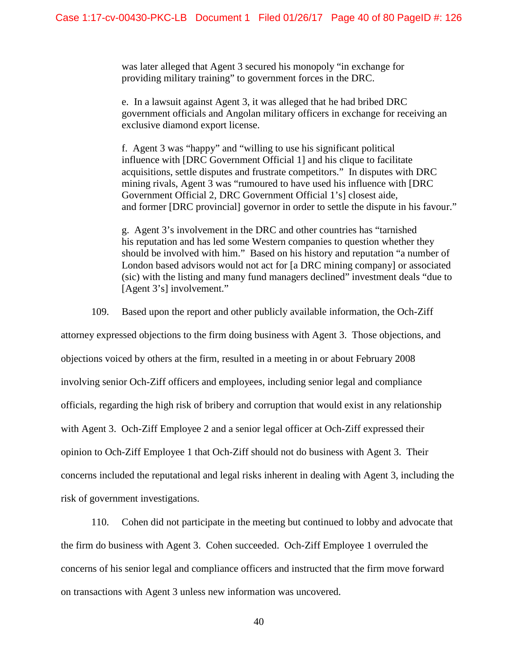was later alleged that Agent 3 secured his monopoly "in exchange for providing military training" to government forces in the DRC.

e. In a lawsuit against Agent 3, it was alleged that he had bribed DRC government officials and Angolan military officers in exchange for receiving an exclusive diamond export license.

f. Agent 3 was "happy" and "willing to use his significant political influence with [DRC Government Official 1] and his clique to facilitate acquisitions, settle disputes and frustrate competitors." In disputes with DRC mining rivals, Agent 3 was "rumoured to have used his influence with [DRC Government Official 2, DRC Government Official 1's] closest aide, and former [DRC provincial] governor in order to settle the dispute in his favour."

g. Agent 3's involvement in the DRC and other countries has "tarnished his reputation and has led some Western companies to question whether they should be involved with him." Based on his history and reputation "a number of London based advisors would not act for [a DRC mining company] or associated (sic) with the listing and many fund managers declined" investment deals "due to [Agent 3's] involvement."

109. Based upon the report and other publicly available information, the Och-Ziff

 with Agent 3. Och-Ziff Employee 2 and a senior legal officer at Och-Ziff expressed their attorney expressed objections to the firm doing business with Agent 3. Those objections, and objections voiced by others at the firm, resulted in a meeting in or about February 2008 involving senior Och-Ziff officers and employees, including senior legal and compliance officials, regarding the high risk of bribery and corruption that would exist in any relationship opinion to Och-Ziff Employee 1 that Och-Ziff should not do business with Agent 3. Their concerns included the reputational and legal risks inherent in dealing with Agent 3, including the risk of government investigations.

110. Cohen did not participate in the meeting but continued to lobby and advocate that the firm do business with Agent 3. Cohen succeeded. Och-Ziff Employee 1 overruled the concerns of his senior legal and compliance officers and instructed that the firm move forward on transactions with Agent 3 unless new information was uncovered.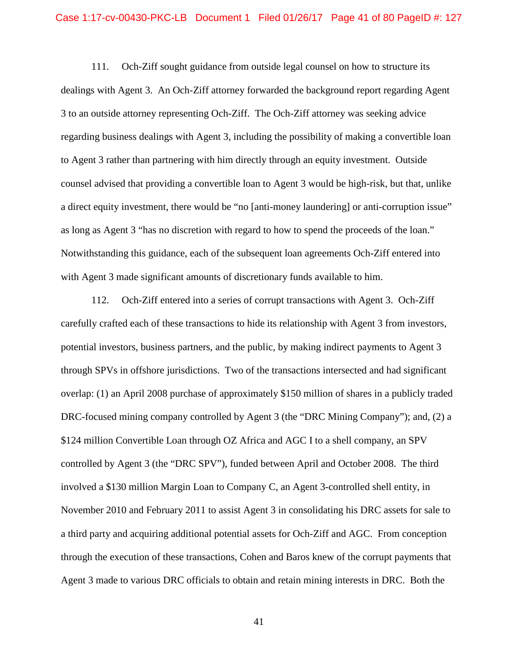dealings with Agent 3. An Och-Ziff attorney forwarded the background report regarding Agent to Agent 3 rather than partnering with him directly through an equity investment. Outside counsel advised that providing a convertible loan to Agent 3 would be high-risk, but that, unlike as long as Agent 3 "has no discretion with regard to how to spend the proceeds of the loan."<br>Notwithstanding this guidance, each of the subsequent loan agreements Och-Ziff entered into with Agent 3 made significant amounts of discretionary funds available to him. 111. Och-Ziff sought guidance from outside legal counsel on how to structure its 3 to an outside attorney representing Och-Ziff. The Och-Ziff attorney was seeking advice regarding business dealings with Agent 3, including the possibility of making a convertible loan a direct equity investment, there would be "no [anti-money laundering] or anti-corruption issue"

 112. Och-Ziff entered into a series of corrupt transactions with Agent 3. Och-Ziff carefully crafted each of these transactions to hide its relationship with Agent 3 from investors, through SPVs in offshore jurisdictions. Two of the transactions intersected and had significant overlap: (1) an April 2008 purchase of approximately \$150 million of shares in a publicly traded DRC-focused mining company controlled by Agent 3 (the "DRC Mining Company"); and, (2) a controlled by Agent 3 (the "DRC SPV"), funded between April and October 2008. The third involved a \$130 million Margin Loan to Company C, an Agent 3-controlled shell entity, in through the execution of these transactions, Cohen and Baros knew of the corrupt payments that Agent 3 made to various DRC officials to obtain and retain mining interests in DRC. Both the potential investors, business partners, and the public, by making indirect payments to Agent 3 \$124 million Convertible Loan through OZ Africa and AGC I to a shell company, an SPV November 2010 and February 2011 to assist Agent 3 in consolidating his DRC assets for sale to a third party and acquiring additional potential assets for Och-Ziff and AGC. From conception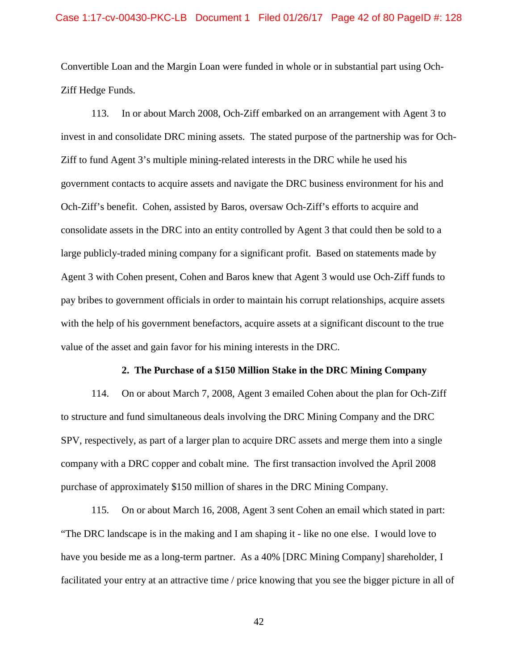**Ziff Hedge Funds.** Convertible Loan and the Margin Loan were funded in whole or in substantial part using Och-

 invest in and consolidate DRC mining assets. The stated purpose of the partnership was for Och- large publicly-traded mining company for a significant profit. Based on statements made by Agent 3 with Cohen present, Cohen and Baros knew that Agent 3 would use Och-Ziff funds to with the help of his government benefactors, acquire assets at a significant discount to the true value of the asset and gain favor for his mining interests in the DRC. 113. In or about March 2008, Och-Ziff embarked on an arrangement with Agent 3 to Ziff to fund Agent 3's multiple mining-related interests in the DRC while he used his government contacts to acquire assets and navigate the DRC business environment for his and Och-Ziff's benefit. Cohen, assisted by Baros, oversaw Och-Ziff's efforts to acquire and consolidate assets in the DRC into an entity controlled by Agent 3 that could then be sold to a pay bribes to government officials in order to maintain his corrupt relationships, acquire assets

### **2. The Purchase of a \$150 Million Stake in the DRC Mining Company**

 114. On or about March 7, 2008, Agent 3 emailed Cohen about the plan for Och-Ziff company with a DRC copper and cobalt mine. The first transaction involved the April 2008 purchase of approximately \$150 million of shares in the DRC Mining Company. to structure and fund simultaneous deals involving the DRC Mining Company and the DRC SPV, respectively, as part of a larger plan to acquire DRC assets and merge them into a single

 "The DRC landscape is in the making and I am shaping it - like no one else. I would love to 115. On or about March 16, 2008, Agent 3 sent Cohen an email which stated in part: have you beside me as a long-term partner. As a 40% [DRC Mining Company] shareholder, I facilitated your entry at an attractive time / price knowing that you see the bigger picture in all of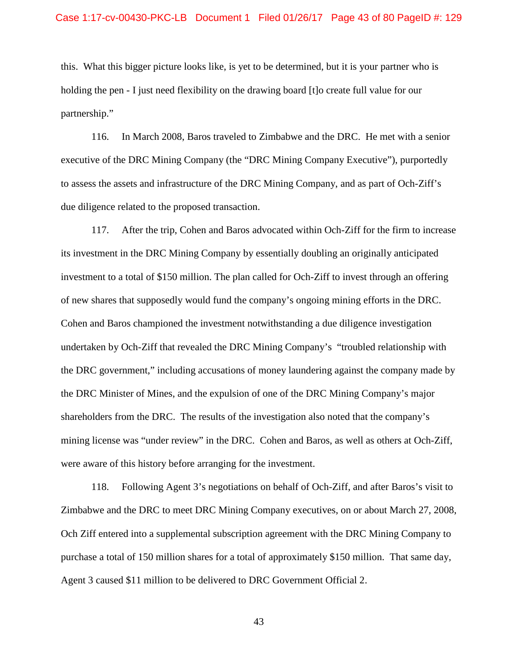this. What this bigger picture looks like, is yet to be determined, but it is your partner who is partnership." holding the pen - I just need flexibility on the drawing board [t] o create full value for our

 to assess the assets and infrastructure of the DRC Mining Company, and as part of Och-Ziff's 116. In March 2008, Baros traveled to Zimbabwe and the DRC. He met with a senior executive of the DRC Mining Company (the "DRC Mining Company Executive"), purportedly due diligence related to the proposed transaction.

 117. After the trip, Cohen and Baros advocated within Och-Ziff for the firm to increase investment to a total of \$150 million. The plan called for Och-Ziff to invest through an offering undertaken by Och-Ziff that revealed the DRC Mining Company's "troubled relationship with the DRC government," including accusations of money laundering against the company made by the DRC Minister of Mines, and the expulsion of one of the DRC Mining Company's major mining license was "under review" in the DRC. Cohen and Baros, as well as others at Och-Ziff, were aware of this history before arranging for the investment. its investment in the DRC Mining Company by essentially doubling an originally anticipated of new shares that supposedly would fund the company's ongoing mining efforts in the DRC. Cohen and Baros championed the investment notwithstanding a due diligence investigation shareholders from the DRC. The results of the investigation also noted that the company's

Agent 3 caused \$11 million to be delivered to DRC Government Official 2.<br>43 118. Following Agent 3's negotiations on behalf of Och-Ziff, and after Baros's visit to Zimbabwe and the DRC to meet DRC Mining Company executives, on or about March 27, 2008, Och Ziff entered into a supplemental subscription agreement with the DRC Mining Company to purchase a total of 150 million shares for a total of approximately \$150 million. That same day,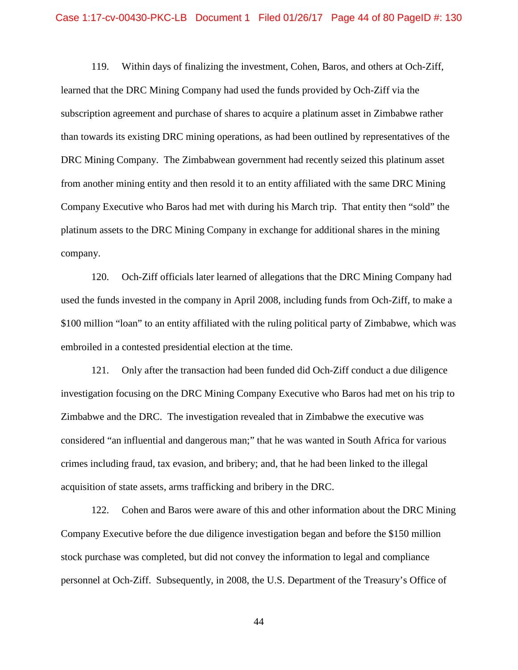### Case 1:17-cv-00430-PKC-LB Document 1 Filed 01/26/17 Page 44 of 80 PageID #: 130

 119. Within days of finalizing the investment, Cohen, Baros, and others at Och-Ziff, from another mining entity and then resold it to an entity affiliated with the same DRC Mining learned that the DRC Mining Company had used the funds provided by Och-Ziff via the subscription agreement and purchase of shares to acquire a platinum asset in Zimbabwe rather than towards its existing DRC mining operations, as had been outlined by representatives of the DRC Mining Company. The Zimbabwean government had recently seized this platinum asset Company Executive who Baros had met with during his March trip. That entity then "sold" the platinum assets to the DRC Mining Company in exchange for additional shares in the mining company.

 120. Och-Ziff officials later learned of allegations that the DRC Mining Company had embroiled in a contested presidential election at the time. used the funds invested in the company in April 2008, including funds from Och-Ziff, to make a \$100 million "loan" to an entity affiliated with the ruling political party of Zimbabwe, which was

 investigation focusing on the DRC Mining Company Executive who Baros had met on his trip to considered "an influential and dangerous man;" that he was wanted in South Africa for various acquisition of state assets, arms trafficking and bribery in the DRC. 121. Only after the transaction had been funded did Och-Ziff conduct a due diligence Zimbabwe and the DRC. The investigation revealed that in Zimbabwe the executive was crimes including fraud, tax evasion, and bribery; and, that he had been linked to the illegal

 Company Executive before the due diligence investigation began and before the \$150 million personnel at Och-Ziff. Subsequently, in 2008, the U.S. Department of the Treasury's Office of 122. Cohen and Baros were aware of this and other information about the DRC Mining stock purchase was completed, but did not convey the information to legal and compliance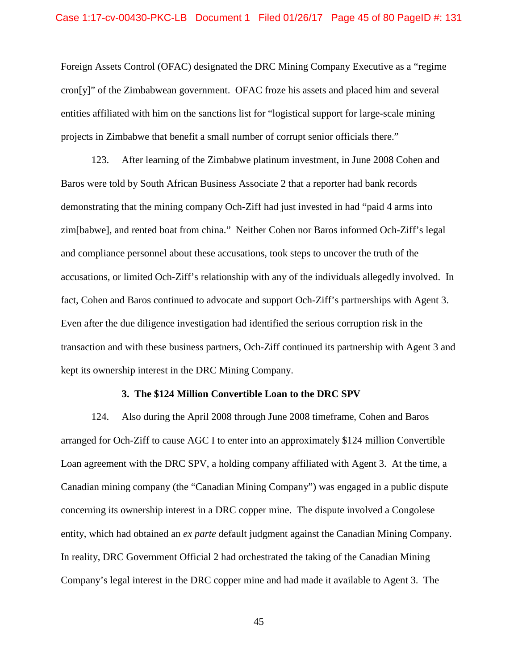projects in Zimbabwe that benefit a small number of corrupt senior officials there." 123. After learning of the Zimbabwe platinum investment, in June 2008 Cohen and Foreign Assets Control (OFAC) designated the DRC Mining Company Executive as a "regime cron[y]" of the Zimbabwean government. OFAC froze his assets and placed him and several entities affiliated with him on the sanctions list for "logistical support for large-scale mining

 transaction and with these business partners, Och-Ziff continued its partnership with Agent 3 and Baros were told by South African Business Associate 2 that a reporter had bank records demonstrating that the mining company Och-Ziff had just invested in had "paid 4 arms into zim[babwe], and rented boat from china." Neither Cohen nor Baros informed Och-Ziff's legal and compliance personnel about these accusations, took steps to uncover the truth of the accusations, or limited Och-Ziff's relationship with any of the individuals allegedly involved. In fact, Cohen and Baros continued to advocate and support Och-Ziff's partnerships with Agent 3. Even after the due diligence investigation had identified the serious corruption risk in the kept its ownership interest in the DRC Mining Company.

#### **3. The \$124 Million Convertible Loan to the DRC SPV**

 arranged for Och-Ziff to cause AGC I to enter into an approximately \$124 million Convertible Loan agreement with the DRC SPV, a holding company affiliated with Agent 3. At the time, a Canadian mining company (the "Canadian Mining Company") was engaged in a public dispute 124. Also during the April 2008 through June 2008 timeframe, Cohen and Baros concerning its ownership interest in a DRC copper mine. The dispute involved a Congolese entity, which had obtained an *ex parte* default judgment against the Canadian Mining Company. In reality, DRC Government Official 2 had orchestrated the taking of the Canadian Mining Company's legal interest in the DRC copper mine and had made it available to Agent 3. The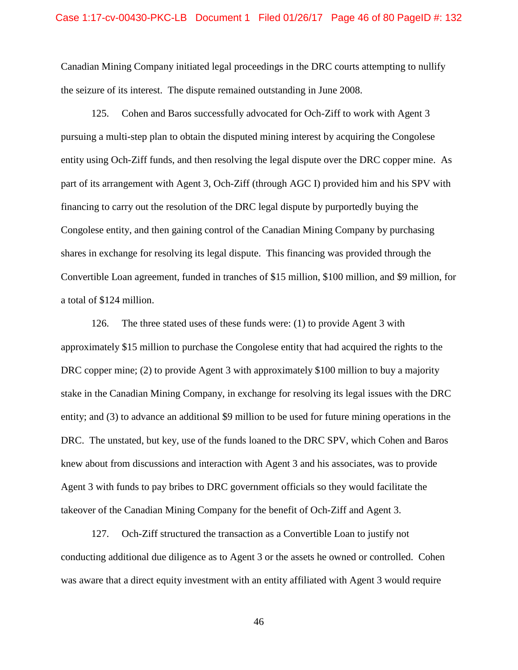Canadian Mining Company initiated legal proceedings in the DRC courts attempting to nullify the seizure of its interest. The dispute remained outstanding in June 2008.

 entity using Och-Ziff funds, and then resolving the legal dispute over the DRC copper mine. As part of its arrangement with Agent 3, Och-Ziff (through AGC I) provided him and his SPV with financing to carry out the resolution of the DRC legal dispute by purportedly buying the a total of \$124 million. 125. Cohen and Baros successfully advocated for Och-Ziff to work with Agent 3 pursuing a multi-step plan to obtain the disputed mining interest by acquiring the Congolese Congolese entity, and then gaining control of the Canadian Mining Company by purchasing shares in exchange for resolving its legal dispute. This financing was provided through the Convertible Loan agreement, funded in tranches of \$15 million, \$100 million, and \$9 million, for

a total of \$124 million.<br>126. The three stated uses of these funds were: (1) to provide Agent 3 with stake in the Canadian Mining Company, in exchange for resolving its legal issues with the DRC entity; and (3) to advance an additional \$9 million to be used for future mining operations in the DRC. The unstated, but key, use of the funds loaned to the DRC SPV, which Cohen and Baros knew about from discussions and interaction with Agent 3 and his associates, was to provide Agent 3 with funds to pay bribes to DRC government officials so they would facilitate the takeover of the Canadian Mining Company for the benefit of Och-Ziff and Agent 3. 127. Och-Ziff structured the transaction as a Convertible Loan to justify not approximately \$15 million to purchase the Congolese entity that had acquired the rights to the DRC copper mine; (2) to provide Agent 3 with approximately \$100 million to buy a majority

Och-Ziff structured the transaction as a Convertible Loan to justify not conducting additional due diligence as to Agent 3 or the assets he owned or controlled. Cohen was aware that a direct equity investment with an entity affiliated with Agent 3 would require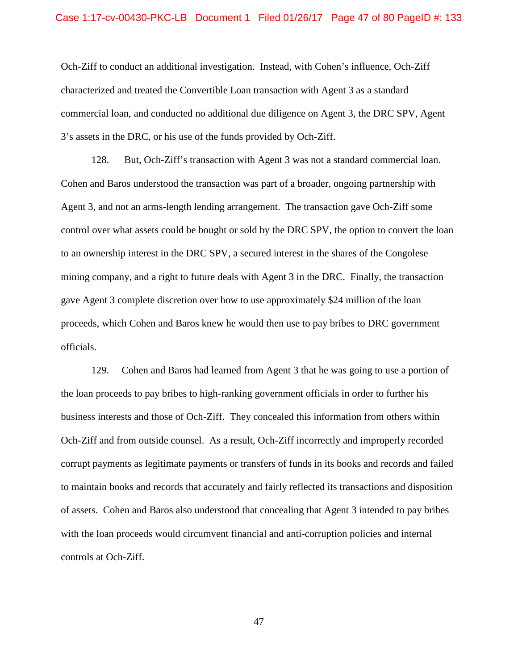Och-Ziff to conduct an additional investigation. Instead, with Cohen's influence, Och-Ziff characterized and treated the Convertible Loan transaction with Agent 3 as a standard 3's assets in the DRC, or his use of the funds provided by Och-Ziff. commercial loan, and conducted no additional due diligence on Agent 3, the DRC SPV, Agent

 128. But, Och-Ziff's transaction with Agent 3 was not a standard commercial loan. control over what assets could be bought or sold by the DRC SPV, the option to convert the loan Cohen and Baros understood the transaction was part of a broader, ongoing partnership with Agent 3, and not an arms-length lending arrangement. The transaction gave Och-Ziff some to an ownership interest in the DRC SPV, a secured interest in the shares of the Congolese mining company, and a right to future deals with Agent 3 in the DRC. Finally, the transaction gave Agent 3 complete discretion over how to use approximately \$24 million of the loan proceeds, which Cohen and Baros knew he would then use to pay bribes to DRC government officials.

 129. Cohen and Baros had learned from Agent 3 that he was going to use a portion of the loan proceeds to pay bribes to high-ranking government officials in order to further his business interests and those of Och-Ziff. They concealed this information from others within Och-Ziff and from outside counsel. As a result, Och-Ziff incorrectly and improperly recorded corrupt payments as legitimate payments or transfers of funds in its books and records and failed of assets. Cohen and Baros also understood that concealing that Agent 3 intended to pay bribes with the loan proceeds would circumvent financial and anti-corruption policies and internal controls at Och-Ziff. to maintain books and records that accurately and fairly reflected its transactions and disposition controls at Och-Ziff.<br>47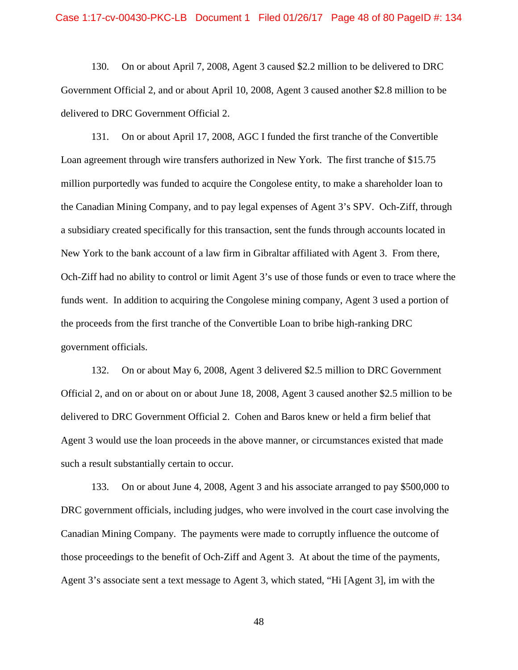Government Official 2, and or about April 10, 2008, Agent 3 caused another \$2.8 million to be 130. On or about April 7, 2008, Agent 3 caused \$2.2 million to be delivered to DRC delivered to DRC Government Official 2.

 131. On or about April 17, 2008, AGC I funded the first tranche of the Convertible Loan agreement through wire transfers authorized in New York. The first tranche of \$15.75 the Canadian Mining Company, and to pay legal expenses of Agent 3's SPV. Och-Ziff, through a subsidiary created specifically for this transaction, sent the funds through accounts located in New York to the bank account of a law firm in Gibraltar affiliated with Agent 3. From there, funds went. In addition to acquiring the Congolese mining company, Agent 3 used a portion of the proceeds from the first tranche of the Convertible Loan to bribe high-ranking DRC million purportedly was funded to acquire the Congolese entity, to make a shareholder loan to Och-Ziff had no ability to control or limit Agent 3's use of those funds or even to trace where the government officials.

 Official 2, and on or about on or about June 18, 2008, Agent 3 caused another \$2.5 million to be delivered to DRC Government Official 2. Cohen and Baros knew or held a firm belief that Agent 3 would use the loan proceeds in the above manner, or circumstances existed that made 132. On or about May 6, 2008, Agent 3 delivered \$2.5 million to DRC Government such a result substantially certain to occur.

 DRC government officials, including judges, who were involved in the court case involving the 133. On or about June 4, 2008, Agent 3 and his associate arranged to pay \$500,000 to Canadian Mining Company. The payments were made to corruptly influence the outcome of those proceedings to the benefit of Och-Ziff and Agent 3. At about the time of the payments, Agent 3's associate sent a text message to Agent 3, which stated, "Hi [Agent 3], im with the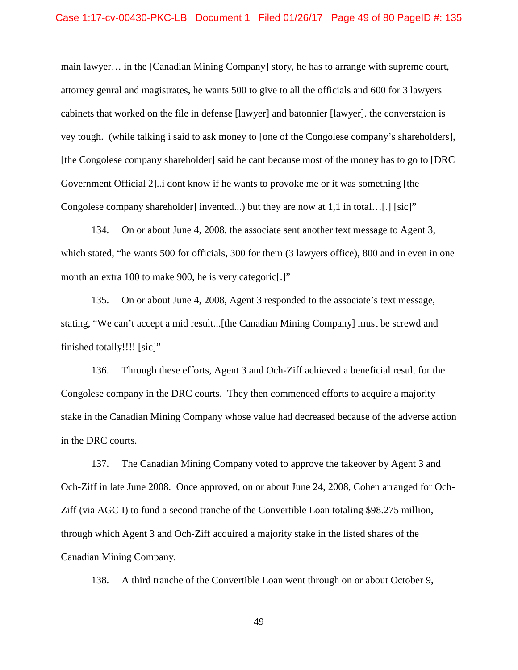### Case 1:17-cv-00430-PKC-LB Document 1 Filed 01/26/17 Page 49 of 80 PageID #: 135

 main lawyer… in the [Canadian Mining Company] story, he has to arrange with supreme court, vey tough. (while talking i said to ask money to [one of the Congolese company's shareholders], [the Congolese company shareholder] said he cant because most of the money has to go to [DRC Congolese company shareholder] invented...) but they are now at 1,1 in total…[.] [sic]" attorney genral and magistrates, he wants 500 to give to all the officials and 600 for 3 lawyers cabinets that worked on the file in defense [lawyer] and batonnier [lawyer]. the converstaion is Government Official 2]..i dont know if he wants to provoke me or it was something [the

 which stated, "he wants 500 for officials, 300 for them (3 lawyers office), 800 and in even in one 134. On or about June 4, 2008, the associate sent another text message to Agent 3, month an extra 100 to make 900, he is very categoric<sup>[.]"</sup>

 finished totally!!!! [sic]" 135. On or about June 4, 2008, Agent 3 responded to the associate's text message, stating, "We can't accept a mid result...[the Canadian Mining Company] must be screwd and

in the DRC courts. 136. Through these efforts, Agent 3 and Och-Ziff achieved a beneficial result for the Congolese company in the DRC courts. They then commenced efforts to acquire a majority stake in the Canadian Mining Company whose value had decreased because of the adverse action

 Ziff (via AGC I) to fund a second tranche of the Convertible Loan totaling \$98.275 million, through which Agent 3 and Och-Ziff acquired a majority stake in the listed shares of the 137. The Canadian Mining Company voted to approve the takeover by Agent 3 and Och-Ziff in late June 2008. Once approved, on or about June 24, 2008, Cohen arranged for Och-Canadian Mining Company.

138. A third tranche of the Convertible Loan went through on or about October 9,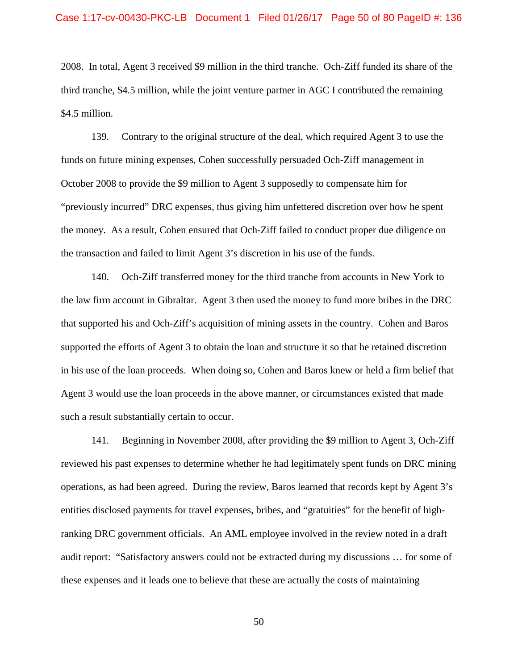third tranche, \$4.5 million, while the joint venture partner in AGC I contributed the remaining \$4.5 million. 2008. In total, Agent 3 received \$9 million in the third tranche. Och-Ziff funded its share of the

\$4.5 million.<br>139. Contrary to the original structure of the deal, which required Agent 3 to use the October 2008 to provide the \$9 million to Agent 3 supposedly to compensate him for funds on future mining expenses, Cohen successfully persuaded Och-Ziff management in "previously incurred" DRC expenses, thus giving him unfettered discretion over how he spent the money. As a result, Cohen ensured that Och-Ziff failed to conduct proper due diligence on the transaction and failed to limit Agent 3's discretion in his use of the funds.

 140. Och-Ziff transferred money for the third tranche from accounts in New York to the law firm account in Gibraltar. Agent 3 then used the money to fund more bribes in the DRC supported the efforts of Agent 3 to obtain the loan and structure it so that he retained discretion that supported his and Och-Ziff's acquisition of mining assets in the country. Cohen and Baros in his use of the loan proceeds. When doing so, Cohen and Baros knew or held a firm belief that Agent 3 would use the loan proceeds in the above manner, or circumstances existed that made such a result substantially certain to occur.

 operations, as had been agreed. During the review, Baros learned that records kept by Agent 3's ranking DRC government officials. An AML employee involved in the review noted in a draft audit report: "Satisfactory answers could not be extracted during my discussions … for some of 141. Beginning in November 2008, after providing the \$9 million to Agent 3, Och-Ziff reviewed his past expenses to determine whether he had legitimately spent funds on DRC mining entities disclosed payments for travel expenses, bribes, and "gratuities" for the benefit of highthese expenses and it leads one to believe that these are actually the costs of maintaining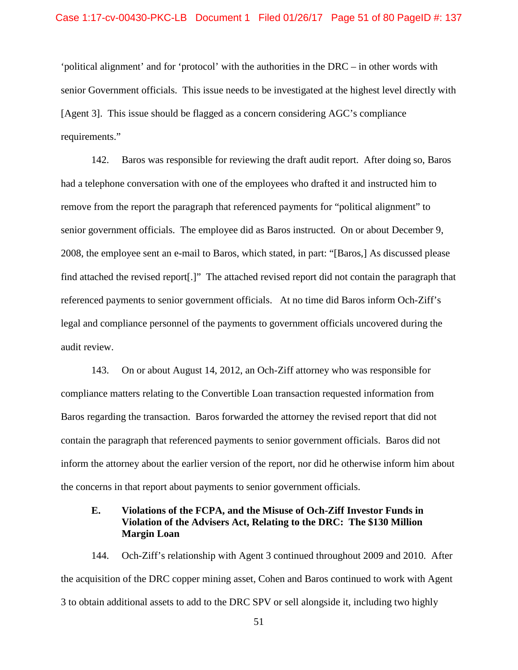#### Case 1:17-cv-00430-PKC-LB Document 1 Filed 01/26/17 Page 51 of 80 PageID #: 137

 'political alignment' and for 'protocol' with the authorities in the DRC – in other words with requirements." senior Government officials. This issue needs to be investigated at the highest level directly with [Agent 3]. This issue should be flagged as a concern considering AGC's compliance

 senior government officials. The employee did as Baros instructed. On or about December 9, referenced payments to senior government officials. At no time did Baros inform Och-Ziff's 142. Baros was responsible for reviewing the draft audit report. After doing so, Baros had a telephone conversation with one of the employees who drafted it and instructed him to remove from the report the paragraph that referenced payments for "political alignment" to 2008, the employee sent an e-mail to Baros, which stated, in part: "[Baros,] As discussed please find attached the revised report[.]" The attached revised report did not contain the paragraph that legal and compliance personnel of the payments to government officials uncovered during the audit review.

 143. On or about August 14, 2012, an Och-Ziff attorney who was responsible for compliance matters relating to the Convertible Loan transaction requested information from Baros regarding the transaction. Baros forwarded the attorney the revised report that did not contain the paragraph that referenced payments to senior government officials. Baros did not inform the attorney about the earlier version of the report, nor did he otherwise inform him about the concerns in that report about payments to senior government officials.

## **E. Violations of the FCPA, and the Misuse of Och-Ziff Investor Funds in Violation of the Advisers Act, Relating to the DRC: The \$130 Million Margin Loan**

 144. Och-Ziff's relationship with Agent 3 continued throughout 2009 and 2010. After 3 to obtain additional assets to add to the DRC SPV or sell alongside it, including two highly the acquisition of the DRC copper mining asset, Cohen and Baros continued to work with Agent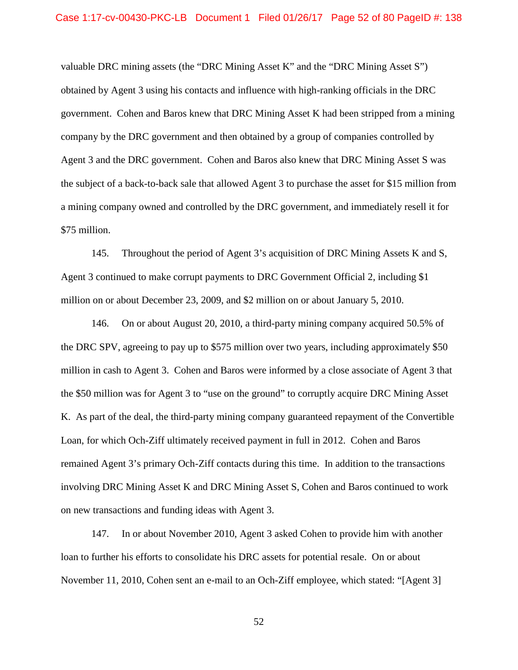valuable DRC mining assets (the "DRC Mining Asset K" and the "DRC Mining Asset S") company by the DRC government and then obtained by a group of companies controlled by a mining company owned and controlled by the DRC government, and immediately resell it for obtained by Agent 3 using his contacts and influence with high-ranking officials in the DRC government. Cohen and Baros knew that DRC Mining Asset K had been stripped from a mining Agent 3 and the DRC government. Cohen and Baros also knew that DRC Mining Asset S was the subject of a back-to-back sale that allowed Agent 3 to purchase the asset for \$15 million from \$75 million.

 million on or about December 23, 2009, and \$2 million on or about January 5, 2010. 145. Throughout the period of Agent 3's acquisition of DRC Mining Assets K and S, Agent 3 continued to make corrupt payments to DRC Government Official 2, including \$1

 million in cash to Agent 3. Cohen and Baros were informed by a close associate of Agent 3 that K. As part of the deal, the third-party mining company guaranteed repayment of the Convertible Loan, for which Och-Ziff ultimately received payment in full in 2012. Cohen and Baros remained Agent 3's primary Och-Ziff contacts during this time. In addition to the transactions on new transactions and funding ideas with Agent 3. 146. On or about August 20, 2010, a third-party mining company acquired 50.5% of the DRC SPV, agreeing to pay up to \$575 million over two years, including approximately \$50 the \$50 million was for Agent 3 to "use on the ground" to corruptly acquire DRC Mining Asset involving DRC Mining Asset K and DRC Mining Asset S, Cohen and Baros continued to work

 loan to further his efforts to consolidate his DRC assets for potential resale. On or about 147. In or about November 2010, Agent 3 asked Cohen to provide him with another November 11, 2010, Cohen sent an e-mail to an Och-Ziff employee, which stated: "[Agent 3]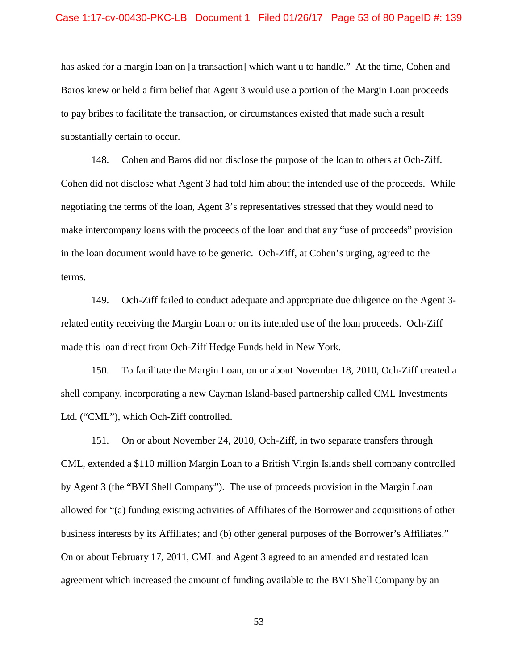### Case 1:17-cv-00430-PKC-LB Document 1 Filed 01/26/17 Page 53 of 80 PageID #: 139

 has asked for a margin loan on [a transaction] which want u to handle." At the time, Cohen and Baros knew or held a firm belief that Agent 3 would use a portion of the Margin Loan proceeds substantially certain to occur. substantially certain to occur.<br>148. Cohen and Baros did not disclose the purpose of the loan to others at Och-Ziff. to pay bribes to facilitate the transaction, or circumstances existed that made such a result

 Cohen did not disclose what Agent 3 had told him about the intended use of the proceeds. While make intercompany loans with the proceeds of the loan and that any "use of proceeds" provision in the loan document would have to be generic. Och-Ziff, at Cohen's urging, agreed to the negotiating the terms of the loan, Agent 3's representatives stressed that they would need to terms.

 149. Och-Ziff failed to conduct adequate and appropriate due diligence on the Agent 3 related entity receiving the Margin Loan or on its intended use of the loan proceeds. Och-Ziff made this loan direct from Och-Ziff Hedge Funds held in New York.

 Ltd. ("CML"), which Och-Ziff controlled. 150. To facilitate the Margin Loan, on or about November 18, 2010, Och-Ziff created a shell company, incorporating a new Cayman Island-based partnership called CML Investments

 by Agent 3 (the "BVI Shell Company"). The use of proceeds provision in the Margin Loan allowed for "(a) funding existing activities of Affiliates of the Borrower and acquisitions of other business interests by its Affiliates; and (b) other general purposes of the Borrower's Affiliates." 151. On or about November 24, 2010, Och-Ziff, in two separate transfers through CML, extended a \$110 million Margin Loan to a British Virgin Islands shell company controlled On or about February 17, 2011, CML and Agent 3 agreed to an amended and restated loan agreement which increased the amount of funding available to the BVI Shell Company by an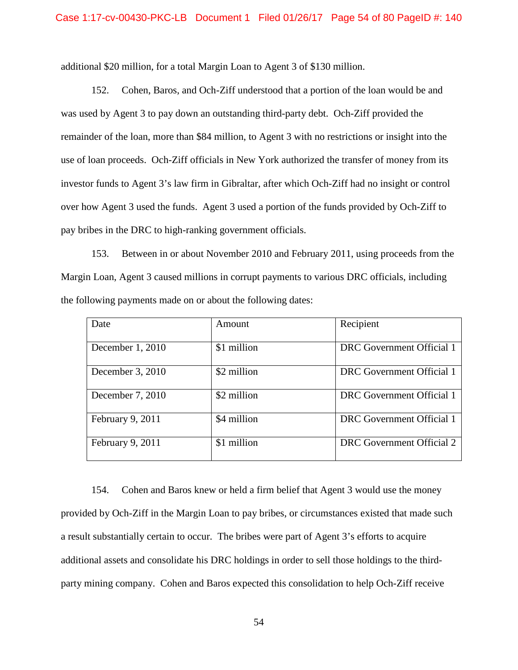additional \$20 million, for a total Margin Loan to Agent 3 of \$130 million.

 was used by Agent 3 to pay down an outstanding third-party debt. Och-Ziff provided the use of loan proceeds. Och-Ziff officials in New York authorized the transfer of money from its over how Agent 3 used the funds. Agent 3 used a portion of the funds provided by Och-Ziff to 152. Cohen, Baros, and Och-Ziff understood that a portion of the loan would be and remainder of the loan, more than \$84 million, to Agent 3 with no restrictions or insight into the investor funds to Agent 3's law firm in Gibraltar, after which Och-Ziff had no insight or control pay bribes in the DRC to high-ranking government officials.

153. Between in or about November 2010 and February 2011, using proceeds from the Margin Loan, Agent 3 caused millions in corrupt payments to various DRC officials, including the following payments made on or about the following dates:

| Date             | Amount      | Recipient                 |
|------------------|-------------|---------------------------|
| December 1, 2010 | \$1 million | DRC Government Official 1 |
| December 3, 2010 | \$2 million | DRC Government Official 1 |
| December 7, 2010 | \$2 million | DRC Government Official 1 |
| February 9, 2011 | \$4 million | DRC Government Official 1 |
| February 9, 2011 | \$1 million | DRC Government Official 2 |

 154. Cohen and Baros knew or held a firm belief that Agent 3 would use the money provided by Och-Ziff in the Margin Loan to pay bribes, or circumstances existed that made such a result substantially certain to occur. The bribes were part of Agent 3's efforts to acquire additional assets and consolidate his DRC holdings in order to sell those holdings to the thirdparty mining company. Cohen and Baros expected this consolidation to help Och-Ziff receive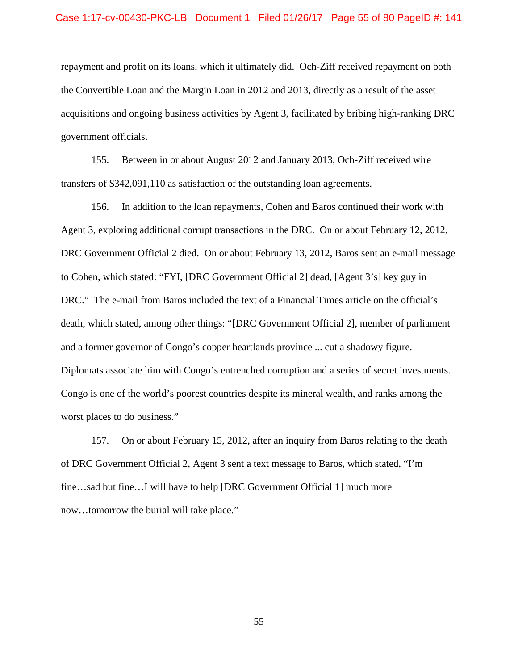#### Case 1:17-cv-00430-PKC-LB Document 1 Filed 01/26/17 Page 55 of 80 PageID #: 141

 repayment and profit on its loans, which it ultimately did. Och-Ziff received repayment on both government officials. the Convertible Loan and the Margin Loan in 2012 and 2013, directly as a result of the asset acquisitions and ongoing business activities by Agent 3, facilitated by bribing high-ranking DRC

transfers of \$342,091,110 as satisfaction of the outstanding loan agreements. 155. Between in or about August 2012 and January 2013, Och-Ziff received wire

 Agent 3, exploring additional corrupt transactions in the DRC. On or about February 12, 2012, DRC." The e-mail from Baros included the text of a Financial Times article on the official's and a former governor of Congo's copper heartlands province ... cut a shadowy figure. worst places to do business." worst places to do business."<br>157. On or about February 15, 2012, after an inquiry from Baros relating to the death 156. In addition to the loan repayments, Cohen and Baros continued their work with DRC Government Official 2 died. On or about February 13, 2012, Baros sent an e-mail message to Cohen, which stated: "FYI, [DRC Government Official 2] dead, [Agent 3's] key guy in death, which stated, among other things: "[DRC Government Official 2], member of parliament Diplomats associate him with Congo's entrenched corruption and a series of secret investments. Congo is one of the world's poorest countries despite its mineral wealth, and ranks among the

of DRC Government Official 2, Agent 3 sent a text message to Baros, which stated, "I'm fine…sad but fine…I will have to help [DRC Government Official 1] much more now…tomorrow the burial will take place."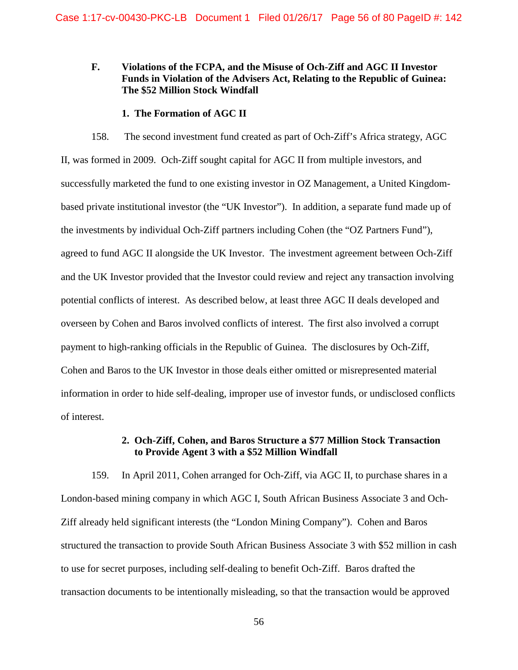# **Funds in Violation of the Advisers Act, Relating to the Republic of Guinea: The \$52 Million Stock Windfall The \$52 Million Stock Windfall F. Violations of the FCPA, and the Misuse of Och-Ziff and AGC II Investor**

#### **1. The Formation of AGC II**

 158. The second investment fund created as part of Och-Ziff's Africa strategy, AGC agreed to fund AGC II alongside the UK Investor. The investment agreement between Och-Ziff and the UK Investor provided that the Investor could review and reject any transaction involving potential conflicts of interest. As described below, at least three AGC II deals developed and overseen by Cohen and Baros involved conflicts of interest. The first also involved a corrupt payment to high-ranking officials in the Republic of Guinea. The disclosures by Och-Ziff, II, was formed in 2009. Och-Ziff sought capital for AGC II from multiple investors, and successfully marketed the fund to one existing investor in OZ Management, a United Kingdombased private institutional investor (the "UK Investor"). In addition, a separate fund made up of the investments by individual Och-Ziff partners including Cohen (the "OZ Partners Fund"), Cohen and Baros to the UK Investor in those deals either omitted or misrepresented material information in order to hide self-dealing, improper use of investor funds, or undisclosed conflicts of interest.

## **2. Och-Ziff, Cohen, and Baros Structure a \$77 Million Stock Transaction to Provide Agent 3 with a \$52 Million Windfall**

 to use for secret purposes, including self-dealing to benefit Och-Ziff. Baros drafted the 159. In April 2011, Cohen arranged for Och-Ziff, via AGC II, to purchase shares in a London-based mining company in which AGC I, South African Business Associate 3 and Och-Ziff already held significant interests (the "London Mining Company"). Cohen and Baros structured the transaction to provide South African Business Associate 3 with \$52 million in cash transaction documents to be intentionally misleading, so that the transaction would be approved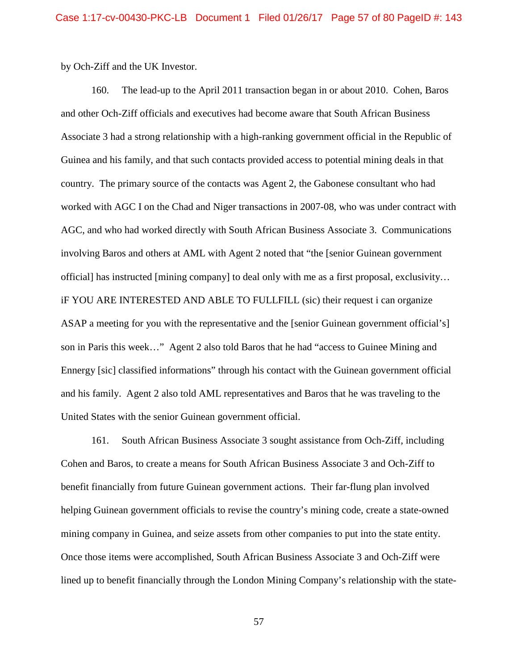by Och-Ziff and the UK Investor.

 160. The lead-up to the April 2011 transaction began in or about 2010. Cohen, Baros and other Och-Ziff officials and executives had become aware that South African Business AGC, and who had worked directly with South African Business Associate 3. Communications iF YOU ARE INTERESTED AND ABLE TO FULLFILL (sic) their request i can organize ASAP a meeting for you with the representative and the [senior Guinean government official's] son in Paris this week…" Agent 2 also told Baros that he had "access to Guinee Mining and Ennergy [sic] classified informations" through his contact with the Guinean government official and his family. Agent 2 also told AML representatives and Baros that he was traveling to the Associate 3 had a strong relationship with a high-ranking government official in the Republic of Guinea and his family, and that such contacts provided access to potential mining deals in that country. The primary source of the contacts was Agent 2, the Gabonese consultant who had worked with AGC I on the Chad and Niger transactions in 2007-08, who was under contract with involving Baros and others at AML with Agent 2 noted that "the [senior Guinean government official] has instructed [mining company] to deal only with me as a first proposal, exclusivity… United States with the senior Guinean government official.

 benefit financially from future Guinean government actions. Their far-flung plan involved helping Guinean government officials to revise the country's mining code, create a state-owned mining company in Guinea, and seize assets from other companies to put into the state entity. 161. South African Business Associate 3 sought assistance from Och-Ziff, including Cohen and Baros, to create a means for South African Business Associate 3 and Och-Ziff to Once those items were accomplished, South African Business Associate 3 and Och-Ziff were lined up to benefit financially through the London Mining Company's relationship with the state-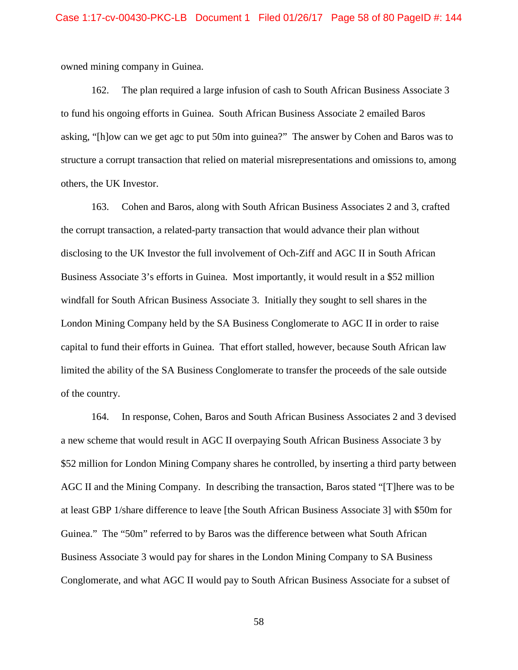owned mining company in Guinea.

 asking, "[h]ow can we get agc to put 50m into guinea?" The answer by Cohen and Baros was to others, the UK Investor. 162. The plan required a large infusion of cash to South African Business Associate 3 to fund his ongoing efforts in Guinea. South African Business Associate 2 emailed Baros structure a corrupt transaction that relied on material misrepresentations and omissions to, among

 the corrupt transaction, a related-party transaction that would advance their plan without disclosing to the UK Investor the full involvement of Och-Ziff and AGC II in South African London Mining Company held by the SA Business Conglomerate to AGC II in order to raise capital to fund their efforts in Guinea. That effort stalled, however, because South African law 163. Cohen and Baros, along with South African Business Associates 2 and 3, crafted Business Associate 3's efforts in Guinea. Most importantly, it would result in a \$52 million windfall for South African Business Associate 3. Initially they sought to sell shares in the limited the ability of the SA Business Conglomerate to transfer the proceeds of the sale outside of the country.

 164. In response, Cohen, Baros and South African Business Associates 2 and 3 devised AGC II and the Mining Company. In describing the transaction, Baros stated "[T]here was to be Guinea." The "50m" referred to by Baros was the difference between what South African Conglomerate, and what AGC II would pay to South African Business Associate for a subset of a new scheme that would result in AGC II overpaying South African Business Associate 3 by \$52 million for London Mining Company shares he controlled, by inserting a third party between at least GBP 1/share difference to leave [the South African Business Associate 3] with \$50m for Business Associate 3 would pay for shares in the London Mining Company to SA Business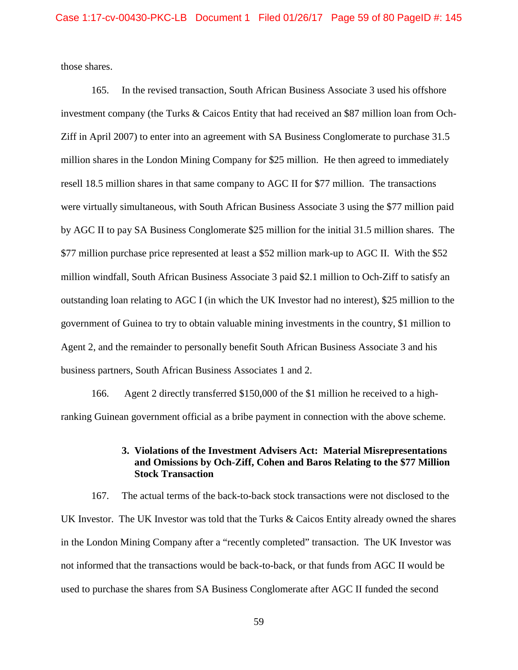those shares.

 by AGC II to pay SA Business Conglomerate \$25 million for the initial 31.5 million shares. The \$77 million purchase price represented at least a \$52 million mark-up to AGC II. With the \$52 million windfall, South African Business Associate 3 paid \$2.1 million to Och-Ziff to satisfy an outstanding loan relating to AGC I (in which the UK Investor had no interest), \$25 million to the Agent 2, and the remainder to personally benefit South African Business Associate 3 and his business partners, South African Business Associates 1 and 2. 165. In the revised transaction, South African Business Associate 3 used his offshore investment company (the Turks & Caicos Entity that had received an \$87 million loan from Och-Ziff in April 2007) to enter into an agreement with SA Business Conglomerate to purchase 31.5 million shares in the London Mining Company for \$25 million. He then agreed to immediately resell 18.5 million shares in that same company to AGC II for \$77 million. The transactions were virtually simultaneous, with South African Business Associate 3 using the \$77 million paid government of Guinea to try to obtain valuable mining investments in the country, \$1 million to

business partners, South African Business Associates 1 and 2.<br>166. Agent 2 directly transferred \$150,000 of the \$1 million he received to a high-ranking Guinean government official as a bribe payment in connection with the above scheme.

## **3. Violations of the Investment Advisers Act: Material Misrepresentations and Omissions by Och-Ziff, Cohen and Baros Relating to the \$77 Million Stock Transaction**

UK Investor. The UK Investor was told that the Turks & Caicos Entity already owned the shares in the London Mining Company after a "recently completed" transaction. The UK Investor was not informed that the transactions would be back-to-back, or that funds from AGC II would be used to purchase the shares from SA Business Conglomerate after AGC II funded the second 167. The actual terms of the back-to-back stock transactions were not disclosed to the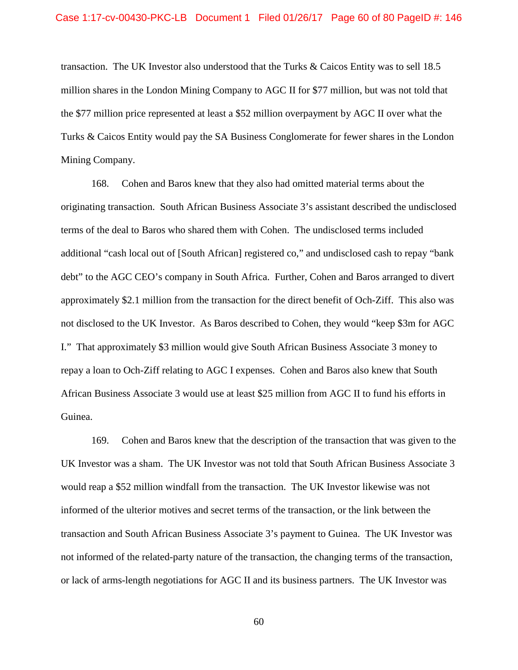million shares in the London Mining Company to AGC II for \$77 million, but was not told that the \$77 million price represented at least a \$52 million overpayment by AGC II over what the Turks & Caicos Entity would pay the SA Business Conglomerate for fewer shares in the London transaction. The UK Investor also understood that the Turks & Caicos Entity was to sell 18.5 Mining Company.

 168. Cohen and Baros knew that they also had omitted material terms about the originating transaction. South African Business Associate 3's assistant described the undisclosed debt" to the AGC CEO's company in South Africa. Further, Cohen and Baros arranged to divert approximately \$2.1 million from the transaction for the direct benefit of Och-Ziff. This also was not disclosed to the UK Investor. As Baros described to Cohen, they would "keep \$3m for AGC terms of the deal to Baros who shared them with Cohen. The undisclosed terms included additional "cash local out of [South African] registered co," and undisclosed cash to repay "bank I." That approximately \$3 million would give South African Business Associate 3 money to repay a loan to Och-Ziff relating to AGC I expenses. Cohen and Baros also knew that South African Business Associate 3 would use at least \$25 million from AGC II to fund his efforts in Guinea.

 169. Cohen and Baros knew that the description of the transaction that was given to the UK Investor was a sham. The UK Investor was not told that South African Business Associate 3 would reap a \$52 million windfall from the transaction. The UK Investor likewise was not transaction and South African Business Associate 3's payment to Guinea. The UK Investor was or lack of arms-length negotiations for AGC II and its business partners. The UK Investor was informed of the ulterior motives and secret terms of the transaction, or the link between the not informed of the related-party nature of the transaction, the changing terms of the transaction,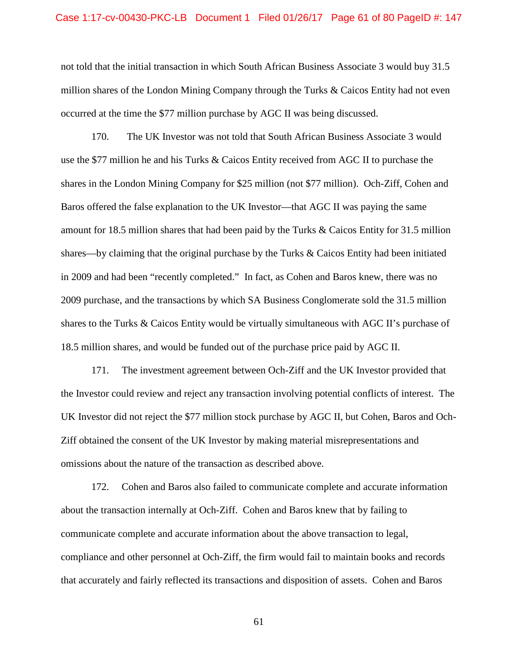#### Case 1:17-cv-00430-PKC-LB Document 1 Filed 01/26/17 Page 61 of 80 PageID #: 147

 million shares of the London Mining Company through the Turks & Caicos Entity had not even occurred at the time the \$77 million purchase by AGC II was being discussed. not told that the initial transaction in which South African Business Associate 3 would buy 31.5

 shares in the London Mining Company for \$25 million (not \$77 million). Och-Ziff, Cohen and Baros offered the false explanation to the UK Investor—that AGC II was paying the same shares—by claiming that the original purchase by the Turks & Caicos Entity had been initiated in 2009 and had been "recently completed." In fact, as Cohen and Baros knew, there was no 18.5 million shares, and would be funded out of the purchase price paid by AGC II. 170. The UK Investor was not told that South African Business Associate 3 would use the \$77 million he and his Turks & Caicos Entity received from AGC II to purchase the amount for 18.5 million shares that had been paid by the Turks & Caicos Entity for 31.5 million 2009 purchase, and the transactions by which SA Business Conglomerate sold the 31.5 million shares to the Turks & Caicos Entity would be virtually simultaneous with AGC II's purchase of

 171. The investment agreement between Och-Ziff and the UK Investor provided that UK Investor did not reject the \$77 million stock purchase by AGC II, but Cohen, Baros and Ochthe Investor could review and reject any transaction involving potential conflicts of interest. The Ziff obtained the consent of the UK Investor by making material misrepresentations and omissions about the nature of the transaction as described above.

 compliance and other personnel at Och-Ziff, the firm would fail to maintain books and records that accurately and fairly reflected its transactions and disposition of assets. Cohen and Baros 172. Cohen and Baros also failed to communicate complete and accurate information about the transaction internally at Och-Ziff. Cohen and Baros knew that by failing to communicate complete and accurate information about the above transaction to legal,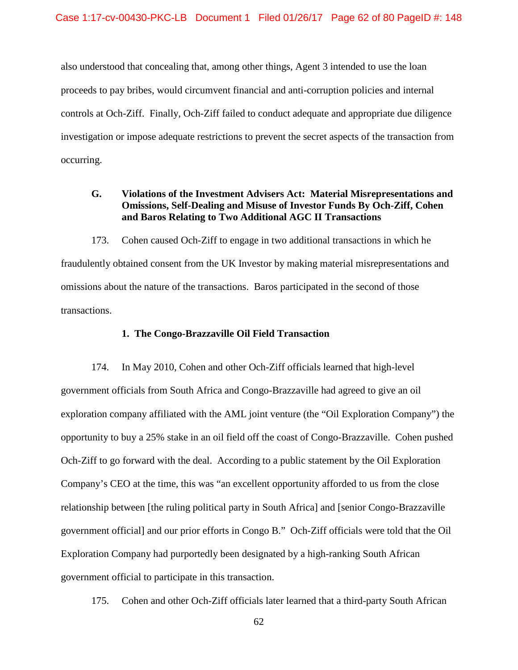proceeds to pay bribes, would circumvent financial and anti-corruption policies and internal controls at Och-Ziff. Finally, Och-Ziff failed to conduct adequate and appropriate due diligence also understood that concealing that, among other things, Agent 3 intended to use the loan investigation or impose adequate restrictions to prevent the secret aspects of the transaction from occurring.

# **G. Violations of the Investment Advisers Act: Material Misrepresentations and Omissions, Self-Dealing and Misuse of Investor Funds By Och-Ziff, Cohen and Baros Relating to Two Additional AGC II Transactions**

 fraudulently obtained consent from the UK Investor by making material misrepresentations and omissions about the nature of the transactions. Baros participated in the second of those 173. Cohen caused Och-Ziff to engage in two additional transactions in which he transactions.

## **1. The Congo-Brazzaville Oil Field Transaction**

 174. In May 2010, Cohen and other Och-Ziff officials learned that high-level opportunity to buy a 25% stake in an oil field off the coast of Congo-Brazzaville. Cohen pushed Och-Ziff to go forward with the deal. According to a public statement by the Oil Exploration Company's CEO at the time, this was "an excellent opportunity afforded to us from the close government officials from South Africa and Congo-Brazzaville had agreed to give an oil exploration company affiliated with the AML joint venture (the "Oil Exploration Company") the relationship between [the ruling political party in South Africa] and [senior Congo-Brazzaville government official] and our prior efforts in Congo B." Och-Ziff officials were told that the Oil Exploration Company had purportedly been designated by a high-ranking South African government official to participate in this transaction.

175. Cohen and other Och-Ziff officials later learned that a third-party South African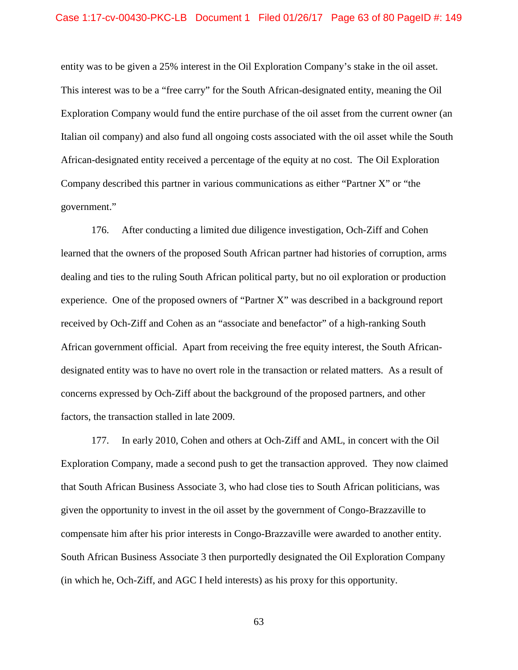entity was to be given a 25% interest in the Oil Exploration Company's stake in the oil asset. African-designated entity received a percentage of the equity at no cost. The Oil Exploration government." This interest was to be a "free carry" for the South African-designated entity, meaning the Oil Exploration Company would fund the entire purchase of the oil asset from the current owner (an Italian oil company) and also fund all ongoing costs associated with the oil asset while the South Company described this partner in various communications as either "Partner X" or "the

government."<br>176. After conducting a limited due diligence investigation, Och-Ziff and Cohen designated entity was to have no overt role in the transaction or related matters. As a result of concerns expressed by Och-Ziff about the background of the proposed partners, and other learned that the owners of the proposed South African partner had histories of corruption, arms dealing and ties to the ruling South African political party, but no oil exploration or production experience. One of the proposed owners of "Partner X" was described in a background report received by Och-Ziff and Cohen as an "associate and benefactor" of a high-ranking South African government official. Apart from receiving the free equity interest, the South Africanfactors, the transaction stalled in late 2009.

 Exploration Company, made a second push to get the transaction approved. They now claimed (in which he, Och-Ziff, and AGC I held interests) as his proxy for this opportunity. 177. In early 2010, Cohen and others at Och-Ziff and AML, in concert with the Oil that South African Business Associate 3, who had close ties to South African politicians, was given the opportunity to invest in the oil asset by the government of Congo-Brazzaville to compensate him after his prior interests in Congo-Brazzaville were awarded to another entity. South African Business Associate 3 then purportedly designated the Oil Exploration Company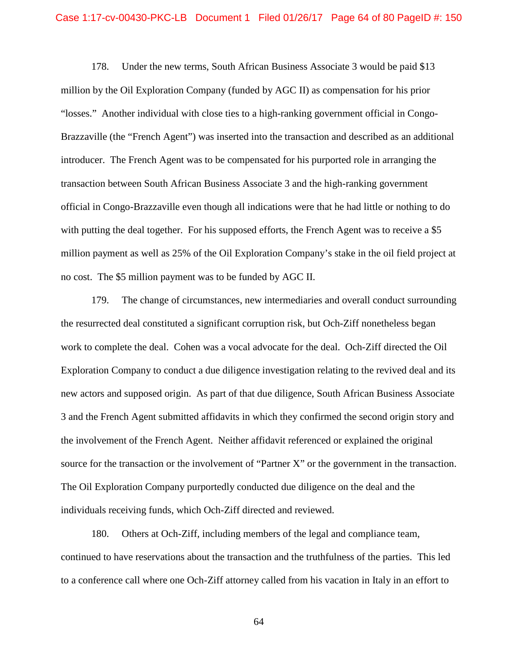### Case 1:17-cv-00430-PKC-LB Document 1 Filed 01/26/17 Page 64 of 80 PageID #: 150

 million by the Oil Exploration Company (funded by AGC II) as compensation for his prior "losses." Another individual with close ties to a high-ranking government official in Congo- Brazzaville (the "French Agent") was inserted into the transaction and described as an additional introducer. The French Agent was to be compensated for his purported role in arranging the with putting the deal together. For his supposed efforts, the French Agent was to receive a \$5 no cost. The \$5 million payment was to be funded by AGC II. 178. Under the new terms, South African Business Associate 3 would be paid \$13 transaction between South African Business Associate 3 and the high-ranking government official in Congo-Brazzaville even though all indications were that he had little or nothing to do million payment as well as 25% of the Oil Exploration Company's stake in the oil field project at

 179. The change of circumstances, new intermediaries and overall conduct surrounding work to complete the deal. Cohen was a vocal advocate for the deal. Och-Ziff directed the Oil new actors and supposed origin. As part of that due diligence, South African Business Associate the resurrected deal constituted a significant corruption risk, but Och-Ziff nonetheless began Exploration Company to conduct a due diligence investigation relating to the revived deal and its 3 and the French Agent submitted affidavits in which they confirmed the second origin story and the involvement of the French Agent. Neither affidavit referenced or explained the original source for the transaction or the involvement of "Partner X" or the government in the transaction. The Oil Exploration Company purportedly conducted due diligence on the deal and the individuals receiving funds, which Och-Ziff directed and reviewed.

 to a conference call where one Och-Ziff attorney called from his vacation in Italy in an effort to 180. Others at Och-Ziff, including members of the legal and compliance team, continued to have reservations about the transaction and the truthfulness of the parties. This led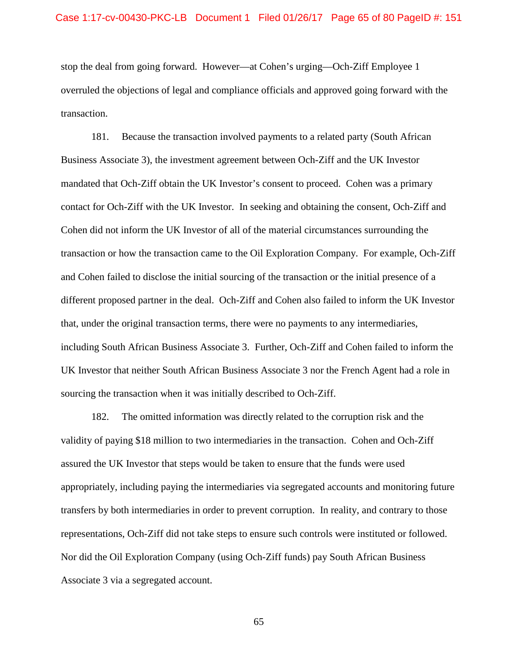stop the deal from going forward. However—at Cohen's urging—Och-Ziff Employee 1 transaction. overruled the objections of legal and compliance officials and approved going forward with the

 Business Associate 3), the investment agreement between Och-Ziff and the UK Investor mandated that Och-Ziff obtain the UK Investor's consent to proceed. Cohen was a primary contact for Och-Ziff with the UK Investor. In seeking and obtaining the consent, Och-Ziff and Cohen did not inform the UK Investor of all of the material circumstances surrounding the transaction or how the transaction came to the Oil Exploration Company. For example, Och-Ziff different proposed partner in the deal. Och-Ziff and Cohen also failed to inform the UK Investor including South African Business Associate 3. Further, Och-Ziff and Cohen failed to inform the UK Investor that neither South African Business Associate 3 nor the French Agent had a role in 181. Because the transaction involved payments to a related party (South African and Cohen failed to disclose the initial sourcing of the transaction or the initial presence of a that, under the original transaction terms, there were no payments to any intermediaries, sourcing the transaction when it was initially described to Och-Ziff.

 validity of paying \$18 million to two intermediaries in the transaction. Cohen and Och-Ziff assured the UK Investor that steps would be taken to ensure that the funds were used representations, Och-Ziff did not take steps to ensure such controls were instituted or followed. 182. The omitted information was directly related to the corruption risk and the appropriately, including paying the intermediaries via segregated accounts and monitoring future transfers by both intermediaries in order to prevent corruption. In reality, and contrary to those Nor did the Oil Exploration Company (using Och-Ziff funds) pay South African Business Associate 3 via a segregated account.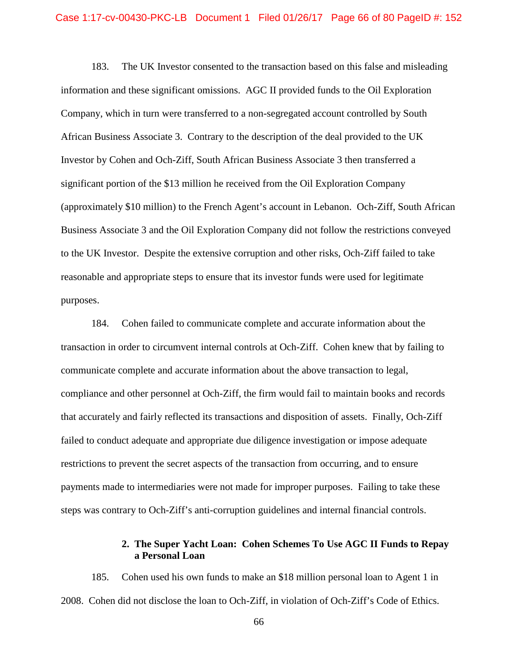183. The UK Investor consented to the transaction based on this false and misleading Company, which in turn were transferred to a non-segregated account controlled by South Business Associate 3 and the Oil Exploration Company did not follow the restrictions conveyed information and these significant omissions. AGC II provided funds to the Oil Exploration African Business Associate 3. Contrary to the description of the deal provided to the UK Investor by Cohen and Och-Ziff, South African Business Associate 3 then transferred a significant portion of the \$13 million he received from the Oil Exploration Company (approximately \$10 million) to the French Agent's account in Lebanon. Och-Ziff, South African to the UK Investor. Despite the extensive corruption and other risks, Och-Ziff failed to take reasonable and appropriate steps to ensure that its investor funds were used for legitimate purposes.

 transaction in order to circumvent internal controls at Och-Ziff. Cohen knew that by failing to that accurately and fairly reflected its transactions and disposition of assets. Finally, Och-Ziff 184. Cohen failed to communicate complete and accurate information about the communicate complete and accurate information about the above transaction to legal, compliance and other personnel at Och-Ziff, the firm would fail to maintain books and records failed to conduct adequate and appropriate due diligence investigation or impose adequate restrictions to prevent the secret aspects of the transaction from occurring, and to ensure payments made to intermediaries were not made for improper purposes. Failing to take these steps was contrary to Och-Ziff's anti-corruption guidelines and internal financial controls.

## **2. The Super Yacht Loan: Cohen Schemes To Use AGC II Funds to Repay a Personal Loan**

 2008. Cohen did not disclose the loan to Och-Ziff, in violation of Och-Ziff's Code of Ethics. 185. Cohen used his own funds to make an \$18 million personal loan to Agent 1 in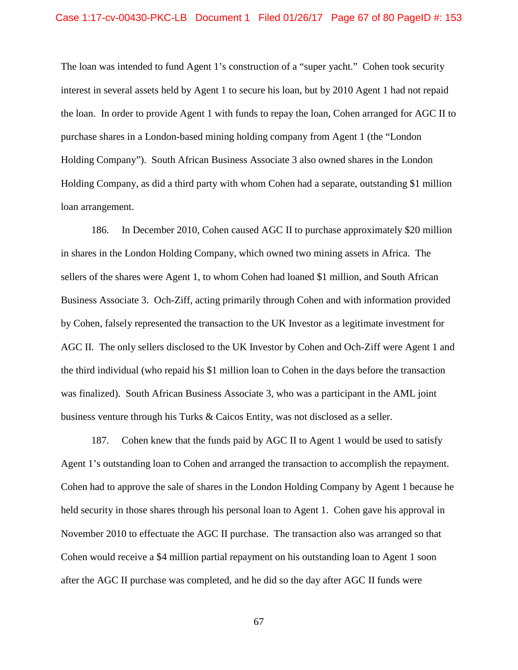The loan was intended to fund Agent 1's construction of a "super yacht." Cohen took security interest in several assets held by Agent 1 to secure his loan, but by 2010 Agent 1 had not repaid Holding Company, as did a third party with whom Cohen had a separate, outstanding \$1 million the loan. In order to provide Agent 1 with funds to repay the loan, Cohen arranged for AGC II to purchase shares in a London-based mining holding company from Agent 1 (the "London Holding Company"). South African Business Associate 3 also owned shares in the London loan arrangement.

 186. In December 2010, Cohen caused AGC II to purchase approximately \$20 million in shares in the London Holding Company, which owned two mining assets in Africa. The Business Associate 3. Och-Ziff, acting primarily through Cohen and with information provided by Cohen, falsely represented the transaction to the UK Investor as a legitimate investment for AGC II. The only sellers disclosed to the UK Investor by Cohen and Och-Ziff were Agent 1 and was finalized). South African Business Associate 3, who was a participant in the AML joint business venture through his Turks & Caicos Entity, was not disclosed as a seller.<br>187. Cohen knew that the funds paid by AGC II to Agent 1 would be used to satisfy sellers of the shares were Agent 1, to whom Cohen had loaned \$1 million, and South African the third individual (who repaid his \$1 million loan to Cohen in the days before the transaction

Cohen knew that the funds paid by AGC II to Agent 1 would be used to satisfy Agent 1's outstanding loan to Cohen and arranged the transaction to accomplish the repayment. Cohen had to approve the sale of shares in the London Holding Company by Agent 1 because he November 2010 to effectuate the AGC II purchase. The transaction also was arranged so that after the AGC II purchase was completed, and he did so the day after AGC II funds were held security in those shares through his personal loan to Agent 1. Cohen gave his approval in Cohen would receive a \$4 million partial repayment on his outstanding loan to Agent 1 soon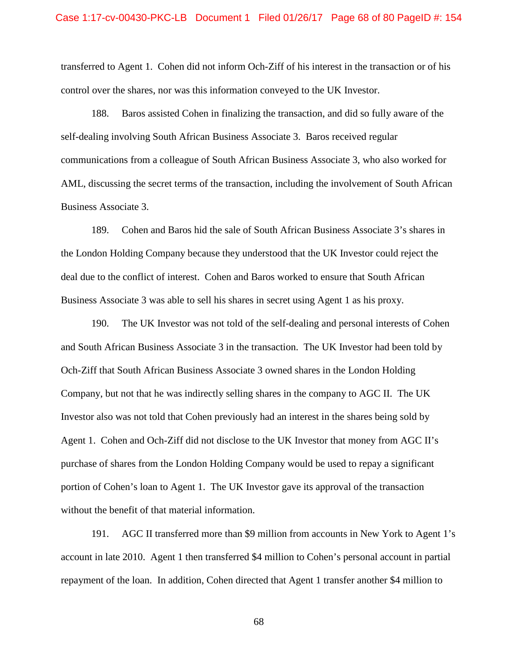transferred to Agent 1. Cohen did not inform Och-Ziff of his interest in the transaction or of his control over the shares, nor was this information conveyed to the UK Investor.

 self-dealing involving South African Business Associate 3. Baros received regular 188. Baros assisted Cohen in finalizing the transaction, and did so fully aware of the communications from a colleague of South African Business Associate 3, who also worked for AML, discussing the secret terms of the transaction, including the involvement of South African Business Associate 3.

 189. Cohen and Baros hid the sale of South African Business Associate 3's shares in the London Holding Company because they understood that the UK Investor could reject the Business Associate 3 was able to sell his shares in secret using Agent 1 as his proxy. deal due to the conflict of interest. Cohen and Baros worked to ensure that South African

 190. The UK Investor was not told of the self-dealing and personal interests of Cohen Company, but not that he was indirectly selling shares in the company to AGC II. The UK Agent 1. Cohen and Och-Ziff did not disclose to the UK Investor that money from AGC II's purchase of shares from the London Holding Company would be used to repay a significant portion of Cohen's loan to Agent 1. The UK Investor gave its approval of the transaction without the benefit of that material information. and South African Business Associate 3 in the transaction. The UK Investor had been told by Och-Ziff that South African Business Associate 3 owned shares in the London Holding Investor also was not told that Cohen previously had an interest in the shares being sold by

without the benefit of that material information.<br>191. AGC II transferred more than \$9 million from accounts in New York to Agent 1's account in late 2010. Agent 1 then transferred \$4 million to Cohen's personal account in partial repayment of the loan. In addition, Cohen directed that Agent 1 transfer another \$4 million to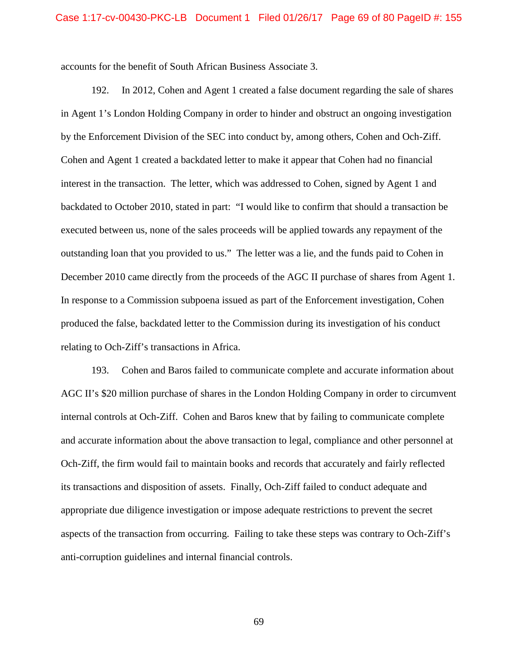accounts for the benefit of South African Business Associate 3.

 192. In 2012, Cohen and Agent 1 created a false document regarding the sale of shares interest in the transaction. The letter, which was addressed to Cohen, signed by Agent 1 and December 2010 came directly from the proceeds of the AGC II purchase of shares from Agent 1. relating to Och-Ziff's transactions in Africa. in Agent 1's London Holding Company in order to hinder and obstruct an ongoing investigation by the Enforcement Division of the SEC into conduct by, among others, Cohen and Och-Ziff. Cohen and Agent 1 created a backdated letter to make it appear that Cohen had no financial backdated to October 2010, stated in part: "I would like to confirm that should a transaction be executed between us, none of the sales proceeds will be applied towards any repayment of the outstanding loan that you provided to us." The letter was a lie, and the funds paid to Cohen in In response to a Commission subpoena issued as part of the Enforcement investigation, Cohen produced the false, backdated letter to the Commission during its investigation of his conduct

 Och-Ziff, the firm would fail to maintain books and records that accurately and fairly reflected its transactions and disposition of assets. Finally, Och-Ziff failed to conduct adequate and appropriate due diligence investigation or impose adequate restrictions to prevent the secret 193. Cohen and Baros failed to communicate complete and accurate information about AGC II's \$20 million purchase of shares in the London Holding Company in order to circumvent internal controls at Och-Ziff. Cohen and Baros knew that by failing to communicate complete and accurate information about the above transaction to legal, compliance and other personnel at aspects of the transaction from occurring. Failing to take these steps was contrary to Och-Ziff's anti-corruption guidelines and internal financial controls.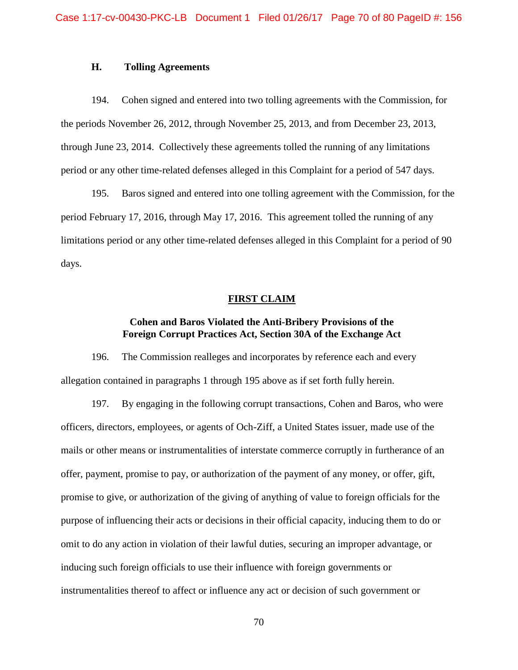### **H. Tolling Agreements**

194. Cohen signed and entered into two tolling agreements with the Commission, for the periods November 26, 2012, through November 25, 2013, and from December 23, 2013, through June 23, 2014. Collectively these agreements tolled the running of any limitations period or any other time-related defenses alleged in this Complaint for a period of 547 days.

195. Baros signed and entered into one tolling agreement with the Commission, for the period February 17, 2016, through May 17, 2016. This agreement tolled the running of any limitations period or any other time-related defenses alleged in this Complaint for a period of 90 days.

## **FIRST CLAIM**

# **Foreign Corrupt Practices Act, Section 30A of the Exchange Act Cohen and Baros Violated the Anti-Bribery Provisions of the**

 196. The Commission realleges and incorporates by reference each and every allegation contained in paragraphs 1 through 195 above as if set forth fully herein.

 promise to give, or authorization of the giving of anything of value to foreign officials for the purpose of influencing their acts or decisions in their official capacity, inducing them to do or 197. By engaging in the following corrupt transactions, Cohen and Baros, who were officers, directors, employees, or agents of Och-Ziff, a United States issuer, made use of the mails or other means or instrumentalities of interstate commerce corruptly in furtherance of an offer, payment, promise to pay, or authorization of the payment of any money, or offer, gift, omit to do any action in violation of their lawful duties, securing an improper advantage, or inducing such foreign officials to use their influence with foreign governments or instrumentalities thereof to affect or influence any act or decision of such government or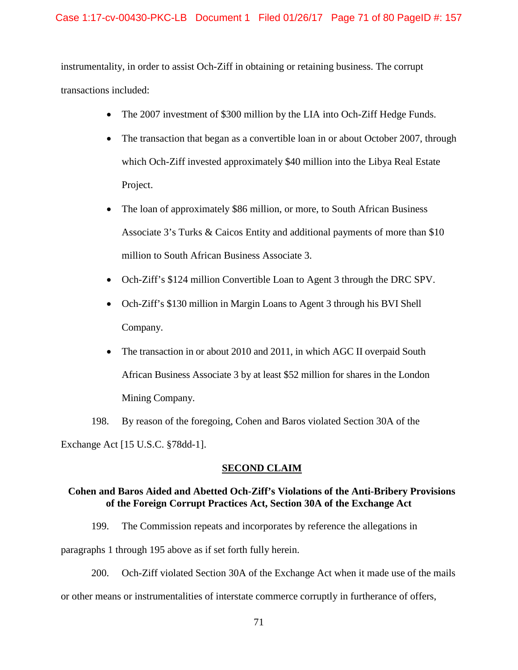## Case 1:17-cv-00430-PKC-LB Document 1 Filed 01/26/17 Page 71 of 80 PageID #: 157

 instrumentality, in order to assist Och-Ziff in obtaining or retaining business. The corrupt transactions included:

- The 2007 investment of \$300 million by the LIA into Och-Ziff Hedge Funds.
- The transaction that began as a convertible loan in or about October 2007, through which Och-Ziff invested approximately \$40 million into the Libya Real Estate Project.
- million to South African Business Associate 3. • The loan of approximately \$86 million, or more, to South African Business Associate 3's Turks & Caicos Entity and additional payments of more than \$10
- Och-Ziff's \$124 million Convertible Loan to Agent 3 through the DRC SPV.
- Och-Ziff's \$130 million in Margin Loans to Agent 3 through his BVI Shell Company.
- The transaction in or about 2010 and 2011, in which AGC II overpaid South African Business Associate 3 by at least \$52 million for shares in the London Mining Company.

198. By reason of the foregoing, Cohen and Baros violated Section 30A of the Exchange Act [15 U.S.C. §78dd-1].

## **SECOND CLAIM**

# **Cohen and Baros Aided and Abetted Och-Ziff's Violations of the Anti-Bribery Provisions of the Foreign Corrupt Practices Act, Section 30A of the Exchange Act**

199. The Commission repeats and incorporates by reference the allegations in

paragraphs 1 through 195 above as if set forth fully herein.

200. Och-Ziff violated Section 30A of the Exchange Act when it made use of the mails

or other means or instrumentalities of interstate commerce corruptly in furtherance of offers,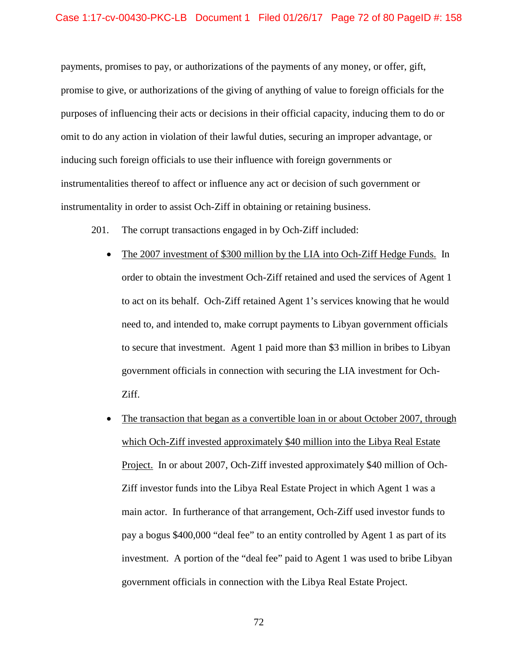### Case 1:17-cv-00430-PKC-LB Document 1 Filed 01/26/17 Page 72 of 80 PageID #: 158

 payments, promises to pay, or authorizations of the payments of any money, or offer, gift, promise to give, or authorizations of the giving of anything of value to foreign officials for the purposes of influencing their acts or decisions in their official capacity, inducing them to do or instrumentality in order to assist Och-Ziff in obtaining or retaining business. omit to do any action in violation of their lawful duties, securing an improper advantage, or inducing such foreign officials to use their influence with foreign governments or instrumentalities thereof to affect or influence any act or decision of such government or

- 201. The corrupt transactions engaged in by Och-Ziff included:
	- The 2007 investment of \$300 million by the LIA into Och-Ziff Hedge Funds. In to secure that investment. Agent 1 paid more than \$3 million in bribes to Libyan Ziff. order to obtain the investment Och-Ziff retained and used the services of Agent 1 to act on its behalf. Och-Ziff retained Agent 1's services knowing that he would need to, and intended to, make corrupt payments to Libyan government officials government officials in connection with securing the LIA investment for Och-
	- Project. In or about 2007, Och-Ziff invested approximately \$40 million of Och- main actor. In furtherance of that arrangement, Och-Ziff used investor funds to investment. A portion of the "deal fee" paid to Agent 1 was used to bribe Libyan • The transaction that began as a convertible loan in or about October 2007, through which Och-Ziff invested approximately \$40 million into the Libya Real Estate Ziff investor funds into the Libya Real Estate Project in which Agent 1 was a pay a bogus \$400,000 "deal fee" to an entity controlled by Agent 1 as part of its government officials in connection with the Libya Real Estate Project.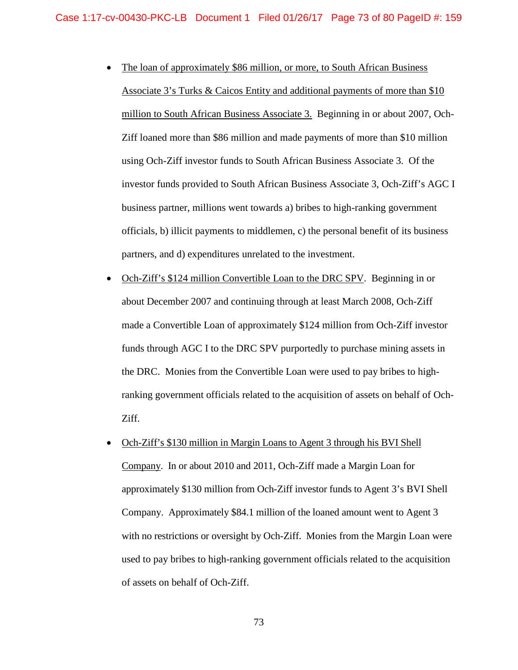- million to South African Business Associate 3. Beginning in or about 2007, Och- Ziff loaned more than \$86 million and made payments of more than \$10 million using Och-Ziff investor funds to South African Business Associate 3. Of the business partner, millions went towards a) bribes to high-ranking government partners, and d) expenditures unrelated to the investment. • The loan of approximately \$86 million, or more, to South African Business Associate 3's Turks & Caicos Entity and additional payments of more than \$10 investor funds provided to South African Business Associate 3, Och-Ziff's AGC I officials, b) illicit payments to middlemen, c) the personal benefit of its business
- the DRC. Monies from the Convertible Loan were used to pay bribes to high- Ziff. • Och-Ziff's \$124 million Convertible Loan to the DRC SPV. Beginning in or about December 2007 and continuing through at least March 2008, Och-Ziff made a Convertible Loan of approximately \$124 million from Och-Ziff investor funds through AGC I to the DRC SPV purportedly to purchase mining assets in ranking government officials related to the acquisition of assets on behalf of Och-
- Och-Ziff's \$130 million in Margin Loans to Agent 3 through his BVI Shell with no restrictions or oversight by Och-Ziff. Monies from the Margin Loan were used to pay bribes to high-ranking government officials related to the acquisition of assets on behalf of Och-Ziff.<br>
73 Company. In or about 2010 and 2011, Och-Ziff made a Margin Loan for approximately \$130 million from Och-Ziff investor funds to Agent 3's BVI Shell Company. Approximately \$84.1 million of the loaned amount went to Agent 3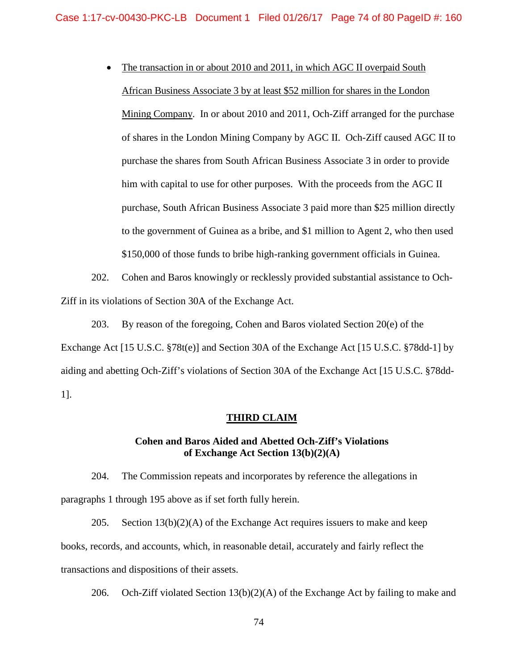• The transaction in or about 2010 and 2011, in which AGC II overpaid South African Business Associate 3 by at least \$52 million for shares in the London Mining Company. In or about 2010 and 2011, Och-Ziff arranged for the purchase of shares in the London Mining Company by AGC II. Och-Ziff caused AGC II to him with capital to use for other purposes. With the proceeds from the AGC II to the government of Guinea as a bribe, and \$1 million to Agent 2, who then used purchase the shares from South African Business Associate 3 in order to provide purchase, South African Business Associate 3 paid more than \$25 million directly \$150,000 of those funds to bribe high-ranking government officials in Guinea.

202. Cohen and Baros knowingly or recklessly provided substantial assistance to Och-Ziff in its violations of Section 30A of the Exchange Act.

203. By reason of the foregoing, Cohen and Baros violated Section 20(e) of the Exchange Act [15 U.S.C. §78t(e)] and Section 30A of the Exchange Act [15 U.S.C. §78dd-1] by aiding and abetting Och-Ziff's violations of Section 30A of the Exchange Act [15 U.S.C. §78dd-1].

### **THIRD CLAIM**

### **Cohen and Baros Aided and Abetted Och-Ziff's Violations of Exchange Act Section 13(b)(2)(A)**

204. The Commission repeats and incorporates by reference the allegations in paragraphs 1 through 195 above as if set forth fully herein.

 books, records, and accounts, which, in reasonable detail, accurately and fairly reflect the 205. Section  $13(b)(2)(A)$  of the Exchange Act requires issuers to make and keep transactions and dispositions of their assets.

206. Och-Ziff violated Section 13(b)(2)(A) of the Exchange Act by failing to make and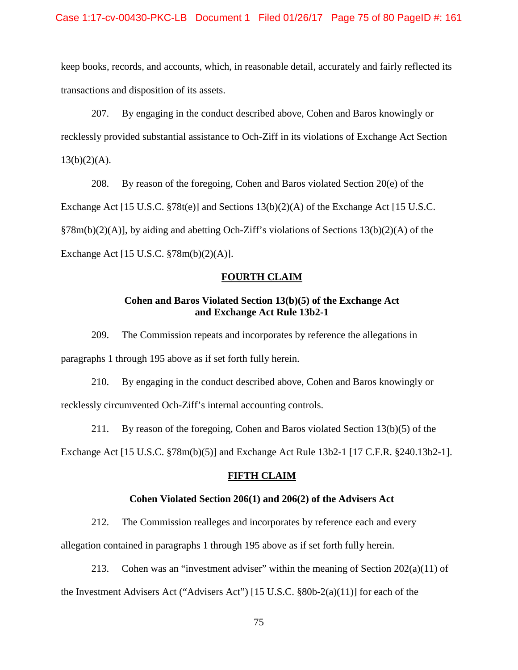transactions and disposition of its assets. keep books, records, and accounts, which, in reasonable detail, accurately and fairly reflected its

 207. By engaging in the conduct described above, Cohen and Baros knowingly or recklessly provided substantial assistance to Och-Ziff in its violations of Exchange Act Section  $13(b)(2)(A)$ .

 §78m(b)(2)(A)], by aiding and abetting Och-Ziff's violations of Sections 13(b)(2)(A) of the 208. By reason of the foregoing, Cohen and Baros violated Section 20(e) of the Exchange Act [15 U.S.C. §78t(e)] and Sections 13(b)(2)(A) of the Exchange Act [15 U.S.C. Exchange Act [15 U.S.C. §78m(b)(2)(A)].

### **FOURTH CLAIM**

# Cohen and Baros Violated Section 13(b)(5) of the Exchange Act<br>and Exchange Act Rule 13b2-1

209. The Commission repeats and incorporates by reference the allegations in paragraphs 1 through 195 above as if set forth fully herein.

210. By engaging in the conduct described above, Cohen and Baros knowingly or recklessly circumvented Och-Ziff's internal accounting controls.

 211. By reason of the foregoing, Cohen and Baros violated Section 13(b)(5) of the Exchange Act [15 U.S.C. §78m(b)(5)] and Exchange Act Rule 13b2-1 [17 C.F.R. §240.13b2-1].

### **FIFTH CLAIM**

### **Cohen Violated Section 206(1) and 206(2) of the Advisers Act**

212. The Commission realleges and incorporates by reference each and every

allegation contained in paragraphs 1 through 195 above as if set forth fully herein.

213. Cohen was an "investment adviser" within the meaning of Section 202(a)(11) of the Investment Advisers Act ("Advisers Act") [15 U.S.C. §80b-2(a)(11)] for each of the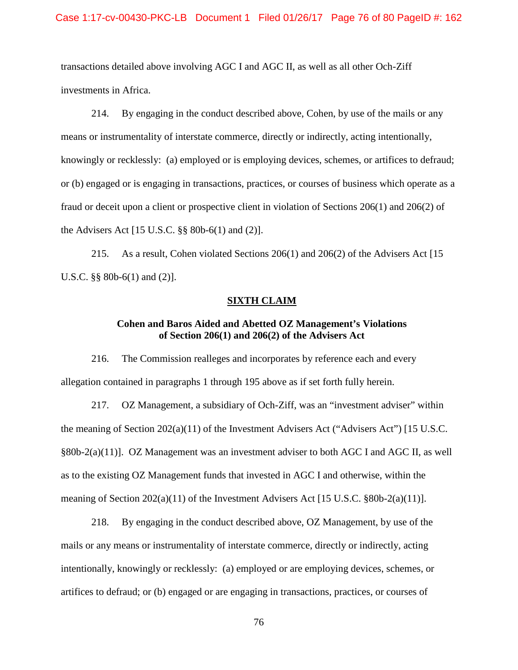#### Case 1:17-cv-00430-PKC-LB Document 1 Filed 01/26/17 Page 76 of 80 PageID #: 162

 transactions detailed above involving AGC I and AGC II, as well as all other Och-Ziff investments in Africa.

 or (b) engaged or is engaging in transactions, practices, or courses of business which operate as a the Advisers Act [15 U.S.C. §§ 80b-6(1) and (2)]. 214. By engaging in the conduct described above, Cohen, by use of the mails or any means or instrumentality of interstate commerce, directly or indirectly, acting intentionally, knowingly or recklessly: (a) employed or is employing devices, schemes, or artifices to defraud; fraud or deceit upon a client or prospective client in violation of Sections 206(1) and 206(2) of

 U.S.C. §§ 80b-6(1) and (2)]. 215. As a result, Cohen violated Sections 206(1) and 206(2) of the Advisers Act [15

### **SIXTH CLAIM**

### **Cohen and Baros Aided and Abetted OZ Management's Violations of Section 206(1) and 206(2) of the Advisers Act**

 216. The Commission realleges and incorporates by reference each and every allegation contained in paragraphs 1 through 195 above as if set forth fully herein.

 §80b-2(a)(11)]. OZ Management was an investment adviser to both AGC I and AGC II, as well as to the existing OZ Management funds that invested in AGC I and otherwise, within the meaning of Section 202(a)(11) of the Investment Advisers Act [15 U.S.C. §80b-2(a)(11)]. 217. OZ Management, a subsidiary of Och-Ziff, was an "investment adviser" within the meaning of Section 202(a)(11) of the Investment Advisers Act ("Advisers Act") [15 U.S.C.

 mails or any means or instrumentality of interstate commerce, directly or indirectly, acting 218. By engaging in the conduct described above, OZ Management, by use of the intentionally, knowingly or recklessly: (a) employed or are employing devices, schemes, or artifices to defraud; or (b) engaged or are engaging in transactions, practices, or courses of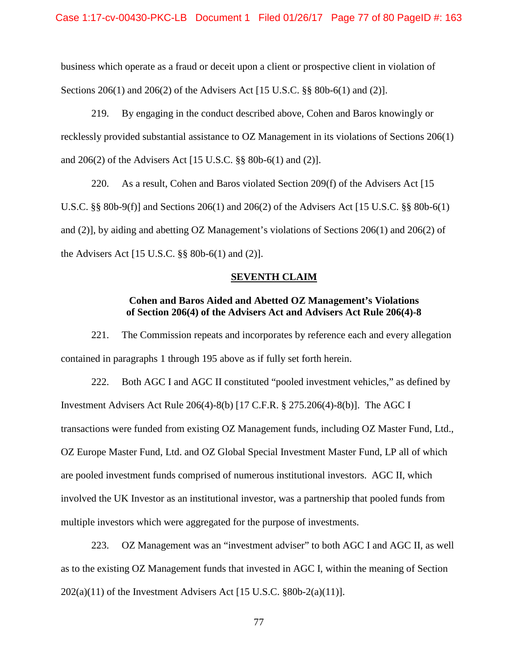Sections 206(1) and 206(2) of the Advisers Act [15 U.S.C. §§ 80b-6(1) and (2)]. business which operate as a fraud or deceit upon a client or prospective client in violation of

 219. By engaging in the conduct described above, Cohen and Baros knowingly or and 206(2) of the Advisers Act [15 U.S.C. §§ 80b-6(1) and (2)]. recklessly provided substantial assistance to OZ Management in its violations of Sections 206(1)

 220. As a result, Cohen and Baros violated Section 209(f) of the Advisers Act [15 U.S.C. §§ 80b-9(f)] and Sections 206(1) and 206(2) of the Advisers Act [15 U.S.C. §§ 80b-6(1) and (2)], by aiding and abetting OZ Management's violations of Sections 206(1) and 206(2) of the Advisers Act [15 U.S.C. §§ 80b-6(1) and (2)].

### **SEVENTH CLAIM**

### **Cohen and Baros Aided and Abetted OZ Management's Violations of Section 206(4) of the Advisers Act and Advisers Act Rule 206(4)-8**

 contained in paragraphs 1 through 195 above as if fully set forth herein. 221. The Commission repeats and incorporates by reference each and every allegation

 222. Both AGC I and AGC II constituted "pooled investment vehicles," as defined by Investment Advisers Act Rule 206(4)-8(b) [17 C.F.R. § 275.206(4)-8(b)]. The AGC I are pooled investment funds comprised of numerous institutional investors. AGC II, which involved the UK Investor as an institutional investor, was a partnership that pooled funds from multiple investors which were aggregated for the purpose of investments. transactions were funded from existing OZ Management funds, including OZ Master Fund, Ltd., OZ Europe Master Fund, Ltd. and OZ Global Special Investment Master Fund, LP all of which

multiple investors which were aggregated for the purpose of investments.<br>223. OZ Management was an "investment adviser" to both AGC I and AGC II, as well as to the existing OZ Management funds that invested in AGC I, within the meaning of Section  $202(a)(11)$  of the Investment Advisers Act [15 U.S.C.  $\S 80b-2(a)(11)$ ].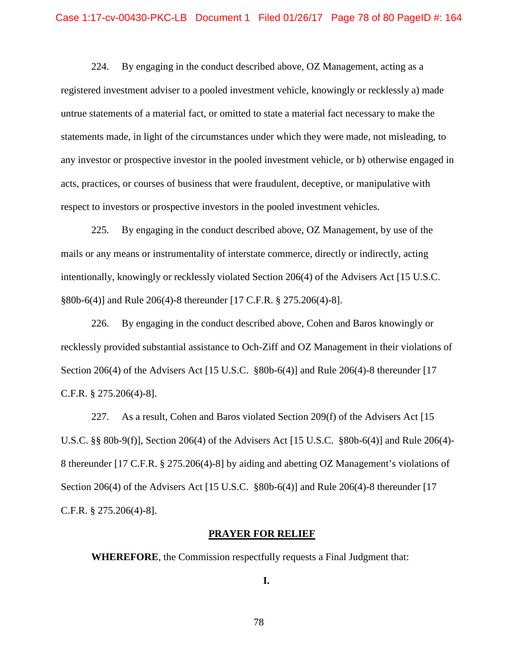224. By engaging in the conduct described above, OZ Management, acting as a registered investment adviser to a pooled investment vehicle, knowingly or recklessly a) made untrue statements of a material fact, or omitted to state a material fact necessary to make the acts, practices, or courses of business that were fraudulent, deceptive, or manipulative with statements made, in light of the circumstances under which they were made, not misleading, to any investor or prospective investor in the pooled investment vehicle, or b) otherwise engaged in respect to investors or prospective investors in the pooled investment vehicles.

 §80b-6(4)] and Rule 206(4)-8 thereunder [17 C.F.R. § 275.206(4)-8]. 225. By engaging in the conduct described above, OZ Management, by use of the mails or any means or instrumentality of interstate commerce, directly or indirectly, acting intentionally, knowingly or recklessly violated Section 206(4) of the Advisers Act [15 U.S.C.

 226. By engaging in the conduct described above, Cohen and Baros knowingly or recklessly provided substantial assistance to Och-Ziff and OZ Management in their violations of C.F.R. § 275.206(4)-8]. Section 206(4) of the Advisers Act [15 U.S.C. §80b-6(4)] and Rule 206(4)-8 thereunder [17

 227. As a result, Cohen and Baros violated Section 209(f) of the Advisers Act [15 U.S.C. §§ 80b-9(f)], Section 206(4) of the Advisers Act [15 U.S.C. §80b-6(4)] and Rule 206(4) 8 thereunder [17 C.F.R. § 275.206(4)-8] by aiding and abetting OZ Management's violations of C.F.R. § 275.206(4)-8]. Section 206(4) of the Advisers Act [15 U.S.C. §80b-6(4)] and Rule 206(4)-8 thereunder [17

### **PRAYER FOR RELIEF**

**WHEREFORE**, the Commission respectfully requests a Final Judgment that:

**I.**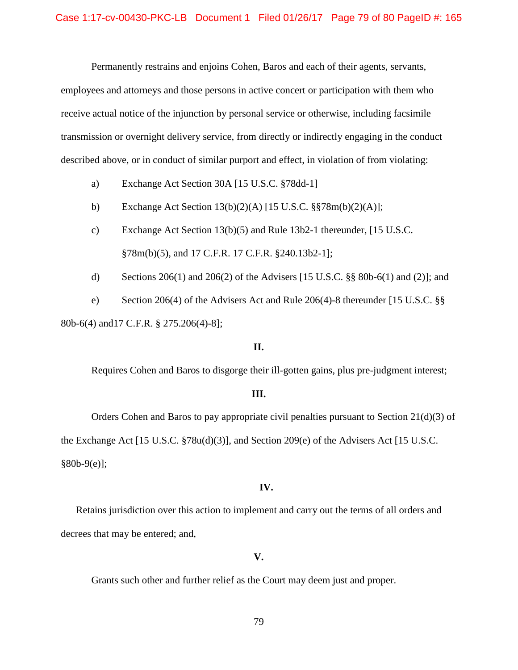Permanently restrains and enjoins Cohen, Baros and each of their agents, servants,

employees and attorneys and those persons in active concert or participation with them who receive actual notice of the injunction by personal service or otherwise, including facsimile transmission or overnight delivery service, from directly or indirectly engaging in the conduct described above, or in conduct of similar purport and effect, in violation of from violating:

- a) Exchange Act Section 30A [15 U.S.C. §78dd-1]
- b) Exchange Act Section 13(b)(2)(A) [15 U.S.C. §§78m(b)(2)(A)];
- c) Exchange Act Section 13(b)(5) and Rule 13b2-1 thereunder, [15 U.S.C. §78m(b)(5), and 17 C.F.R. 17 C.F.R. §240.13b2-1];
- d) Sections 206(1) and 206(2) of the Advisers [15 U.S.C. §§ 80b-6(1) and (2)]; and
- e) Section 206(4) of the Advisers Act and Rule 206(4)-8 thereunder [15 U.S.C. §§

80b-6(4) and17 C.F.R. § 275.206(4)-8];

### **II.**

Requires Cohen and Baros to disgorge their ill-gotten gains, plus pre-judgment interest;

### **III.**

 Orders Cohen and Baros to pay appropriate civil penalties pursuant to Section 21(d)(3) of the Exchange Act [15 U.S.C. §78u(d)(3)], and Section 209(e) of the Advisers Act [15 U.S.C. §80b-9(e)];

### **IV.**

Retains jurisdiction over this action to implement and carry out the terms of all orders and decrees that may be entered; and,

### **V.**

Grants such other and further relief as the Court may deem just and proper.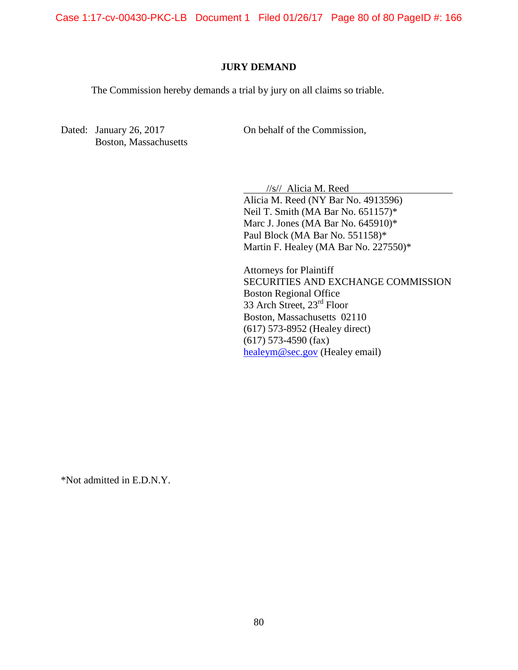Case 1:17-cv-00430-PKC-LB Document 1 Filed 01/26/17 Page 80 of 80 PageID #: 166

### **JURY DEMAND**

The Commission hereby demands a trial by jury on all claims so triable.

 $\overline{a}$ 

Dated: January 26, 2017 Boston, Massachusetts On behalf of the Commission,

//s// Alicia M. Reed

 Alicia M. Reed (NY Bar No. 4913596) Paul Block (MA Bar No. 551158)\* Neil T. Smith (MA Bar No. 651157)\* Marc J. Jones (MA Bar No. 645910)\* Martin F. Healey (MA Bar No.  $227550$ )\*

33 Arch Street, 23<sup>rd</sup> Floor (617) 573-8952 (Healey direct) Attorneys for Plaintiff SECURITIES AND EXCHANGE COMMISSION Boston Regional Office Boston, Massachusetts 02110 (617) 573-4590 (fax) [healeym@sec.gov](mailto:healeym@sec.gov) (Healey email)

\*Not admitted in E.D.N.Y.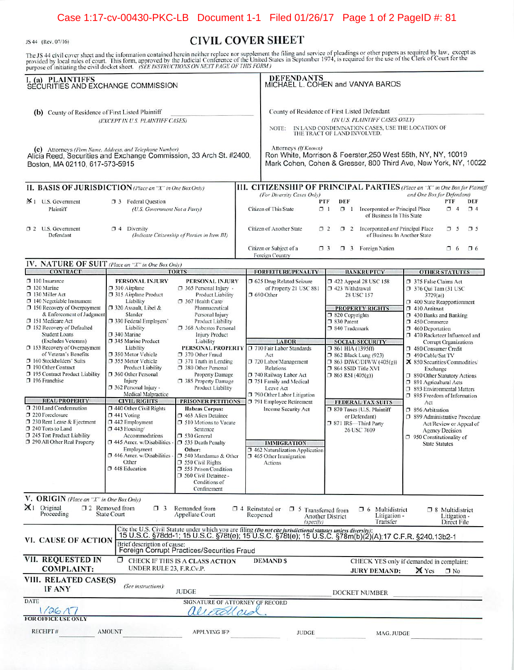### Case 1:17-cv-00430-PKC-LB Document 1-1 Filed 01/26/17 Page 1 of 2 PageID #: 81

JS 44 (Rev. 07/16)

### **CIVIL COVER SHEET**

The JS 44 civil cover sheet and the information contained herein neither replace nor supplement the filing and service of pleadings or other papers as required by law, except as provided by local rules of court. This form,

| I. (a) PLAINTIFFS<br>SECURITIES AND EXCHANGE COMMISSION                                                                                                                                                                                                                                                                                                                                                                                                                                                                                                                                                                          |                                                                                                                                                                                                                                                                                                                                                                                                                                                                                                                                                                                                                     |                                                                                                                                                                                                                                                                                                                                                                                                                                                                                                                                                                                                                                                                                                                                          |          | <b>DEFENDANTS</b><br>MICHAEL L. COHEN and VANYA BAROS                                                                                                                                                                                                                                                                                                                                                 |                                                                                                                                                                                  |                                                                                                                                                                                                                                                                             |                                                                                                                                                                                                                                                                                                                                                                                                                                                                                                                                                                                                                                                                               |                                   |                 |
|----------------------------------------------------------------------------------------------------------------------------------------------------------------------------------------------------------------------------------------------------------------------------------------------------------------------------------------------------------------------------------------------------------------------------------------------------------------------------------------------------------------------------------------------------------------------------------------------------------------------------------|---------------------------------------------------------------------------------------------------------------------------------------------------------------------------------------------------------------------------------------------------------------------------------------------------------------------------------------------------------------------------------------------------------------------------------------------------------------------------------------------------------------------------------------------------------------------------------------------------------------------|------------------------------------------------------------------------------------------------------------------------------------------------------------------------------------------------------------------------------------------------------------------------------------------------------------------------------------------------------------------------------------------------------------------------------------------------------------------------------------------------------------------------------------------------------------------------------------------------------------------------------------------------------------------------------------------------------------------------------------------|----------|-------------------------------------------------------------------------------------------------------------------------------------------------------------------------------------------------------------------------------------------------------------------------------------------------------------------------------------------------------------------------------------------------------|----------------------------------------------------------------------------------------------------------------------------------------------------------------------------------|-----------------------------------------------------------------------------------------------------------------------------------------------------------------------------------------------------------------------------------------------------------------------------|-------------------------------------------------------------------------------------------------------------------------------------------------------------------------------------------------------------------------------------------------------------------------------------------------------------------------------------------------------------------------------------------------------------------------------------------------------------------------------------------------------------------------------------------------------------------------------------------------------------------------------------------------------------------------------|-----------------------------------|-----------------|
| (b) County of Residence of First Listed Plaintiff<br>(EXCEPT IN U.S. PLAINTIFF CASES)<br>(c) Attorneys (Firm Name, Address, and Telephone Number)<br>Alicia Reed, Securities and Exchange Commission, 33 Arch St. #2400,<br>Boston, MA 02110, 617-573-5915                                                                                                                                                                                                                                                                                                                                                                       |                                                                                                                                                                                                                                                                                                                                                                                                                                                                                                                                                                                                                     |                                                                                                                                                                                                                                                                                                                                                                                                                                                                                                                                                                                                                                                                                                                                          |          | County of Residence of First Listed Defendant<br>NOTE:<br>Attorneys (If Known)<br>Ron White, Morrison & Foerster, 250 West 55th, NY, NY, 10019<br>Mark Cohen, Cohen & Gresser, 800 Third Ave, New York, NY, 10022                                                                                                                                                                                     | THE TRACT OF LAND INVOLVED.                                                                                                                                                      | (IN U.S. PLAINTIFF CASES ONLY)<br>IN LAND CONDEMNATION CASES, USE THE LOCATION OF                                                                                                                                                                                           |                                                                                                                                                                                                                                                                                                                                                                                                                                                                                                                                                                                                                                                                               |                                   |                 |
| II. BASIS OF JURISDICTION (Place an "X" in One Box Only)                                                                                                                                                                                                                                                                                                                                                                                                                                                                                                                                                                         |                                                                                                                                                                                                                                                                                                                                                                                                                                                                                                                                                                                                                     |                                                                                                                                                                                                                                                                                                                                                                                                                                                                                                                                                                                                                                                                                                                                          |          | III. CITIZENSHIP OF PRINCIPAL PARTIES (Place an "X" in One Box for Plaintiff                                                                                                                                                                                                                                                                                                                          |                                                                                                                                                                                  |                                                                                                                                                                                                                                                                             |                                                                                                                                                                                                                                                                                                                                                                                                                                                                                                                                                                                                                                                                               |                                   |                 |
| X 1 U.S. Government<br>Plaintiff                                                                                                                                                                                                                                                                                                                                                                                                                                                                                                                                                                                                 | <b>3</b> Federal Question<br>(U.S. Government Not a Party)                                                                                                                                                                                                                                                                                                                                                                                                                                                                                                                                                          |                                                                                                                                                                                                                                                                                                                                                                                                                                                                                                                                                                                                                                                                                                                                          |          | (For Diversity Cases Only)<br>Citizen of This State                                                                                                                                                                                                                                                                                                                                                   | DEF<br>PTF<br>7 <sub>1</sub>                                                                                                                                                     | 1 Incorporated or Principal Place<br>of Business In This State                                                                                                                                                                                                              | and One Box for Defendant)                                                                                                                                                                                                                                                                                                                                                                                                                                                                                                                                                                                                                                                    | PTF<br>$\Box$ 4                   | DEF<br>$\Box$ 4 |
| 1 2 U.S. Government<br>Defendant                                                                                                                                                                                                                                                                                                                                                                                                                                                                                                                                                                                                 | $\Box$ 4 Diversity                                                                                                                                                                                                                                                                                                                                                                                                                                                                                                                                                                                                  | (Indicate Citizenship of Parties in Item III)                                                                                                                                                                                                                                                                                                                                                                                                                                                                                                                                                                                                                                                                                            |          | Citizen of Another State                                                                                                                                                                                                                                                                                                                                                                              | $\Box$ 2                                                                                                                                                                         | 1 2 Incorporated and Principal Place<br>of Business In Another State                                                                                                                                                                                                        |                                                                                                                                                                                                                                                                                                                                                                                                                                                                                                                                                                                                                                                                               | 7 <sub>5</sub>                    | 75              |
|                                                                                                                                                                                                                                                                                                                                                                                                                                                                                                                                                                                                                                  |                                                                                                                                                                                                                                                                                                                                                                                                                                                                                                                                                                                                                     |                                                                                                                                                                                                                                                                                                                                                                                                                                                                                                                                                                                                                                                                                                                                          |          | Citizen or Subject of a<br>Foreign Country                                                                                                                                                                                                                                                                                                                                                            | $\Box$ 3                                                                                                                                                                         | 7 3 Foreign Nation                                                                                                                                                                                                                                                          |                                                                                                                                                                                                                                                                                                                                                                                                                                                                                                                                                                                                                                                                               | $\Box$ 6                          | $\square$ 6     |
| IV. NATURE OF SUIT (Place an "X" in One Box Only)                                                                                                                                                                                                                                                                                                                                                                                                                                                                                                                                                                                |                                                                                                                                                                                                                                                                                                                                                                                                                                                                                                                                                                                                                     |                                                                                                                                                                                                                                                                                                                                                                                                                                                                                                                                                                                                                                                                                                                                          |          |                                                                                                                                                                                                                                                                                                                                                                                                       |                                                                                                                                                                                  |                                                                                                                                                                                                                                                                             |                                                                                                                                                                                                                                                                                                                                                                                                                                                                                                                                                                                                                                                                               |                                   |                 |
| <b>CONTRACT</b><br>$\square$ 110 Insurance<br>120 Marine<br>130 Miller Act<br>□ 140 Negotiable Instrument<br>□ 150 Recovery of Overpayment<br>& Enforcement of Judgment<br>7 151 Medicare Act<br>152 Recovery of Defaulted<br>Student Loans<br>(Excludes Veterans)<br>153 Recovery of Overpayment<br>of Veteran's Benefits<br>7 160 Stockholders' Suits<br>190 Other Contract<br>195 Contract Product Liability<br>7 196 Franchise<br><b>REAL PROPERTY</b><br>1 210 Land Condemnation<br>7 220 Foreclosure<br>□ 230 Rent Lease & Ejectment<br>240 Torts to Land<br>7 245 Tort Product Liability<br>1 290 All Other Real Property | PERSONAL INJURY<br>7 310 Airplane<br>□ 315 Airplane Product<br>Liability<br>$\square$ 320 Assault, Libel &<br>Slander<br>7 330 Federal Employers'<br>Liability<br>7 340 Marine<br>□ 345 Marine Product<br>Liability<br>□ 350 Motor Vehicle<br>7 355 Motor Vehicle<br>Product Liability<br>360 Other Personal<br>Injury<br>7 362 Personal Injury -<br>Medical Malpractice<br><b>CIVIL RIGHTS</b><br>□ 440 Other Civil Rights<br>$\square$ 441 Voting<br>□ 442 Employment<br>7 443 Housing/<br>Accommodations<br>□ 445 Amer. w/Disabilities<br>Employment<br>7 446 Amer. w/Disabilities -<br>Other<br>□ 448 Education | <b>TORTS</b><br>PERSONAL INJURY<br>□ 365 Personal Injury -<br>Product Liability<br>1367 Health Care/<br>Pharmaceutical<br>Personal Injury<br>Product Liability<br>□ 368 Asbestos Personal<br>Injury Product<br>Liability<br>PERSONAL PROPERTY □ 710 Fair Labor Standards<br>7 370 Other Fraud<br>371 Truth in Lending<br>7 380 Other Personal<br>Property Damage<br>□ 385 Property Damage<br>Product Liability<br><b>PRISONER PETITIONS</b><br><b>Habeas Corpus:</b><br>1 463 Alien Detainee<br><b>310 Motions to Vacate</b><br>Sentence<br>□ 530 General<br><b>335 Death Penalty</b><br>Other:<br>□ 540 Mandamus & Other<br>□ 550 Civil Rights<br><b>355 Prison Condition</b><br>□ 560 Civil Detainee -<br>Conditions of<br>Confinement |          | <b>FORFEITURE/PENALTY</b><br>7 625 Drug Related Seizure<br>of Property 21 USC 881<br>7 690 Other<br>LABOR<br>Act<br>720 Labor/Management<br>Relations<br>740 Railway Labor Act<br>751 Family and Medical<br>Leave Act<br>790 Other Labor Litigation<br>791 Employee Retirement<br>Income Security Act<br><b>IMMIGRATION</b><br>7 462 Naturalization Application<br>7 465 Other Immigration<br>Actions | 7 423 Withdrawal<br>7 820 Copyrights<br>□ 830 Patent<br>340 Trademark<br>$\square$ 861 HIA (1395ff)<br>□ 864 SSID Title XVI<br>$\square$ 865 RSI (405(g))<br>371 IRS-Third Party | <b>BANKRUPTCY</b><br><b>D</b> 422 Appeal 28 USC 158<br>28 USC 157<br><b>PROPERTY RIGHTS</b><br><b>SOCIAL SECURITY</b><br>□ 862 Black Lung (923)<br>$\Box$ 863 DIWC/DIWW (405(g))<br><b>FEDERAL TAX SUITS</b><br>□ 870 Taxes (U.S. Plaintiff<br>or Defendant)<br>26 USC 7609 | <b>OTHER STATUTES</b><br>7 375 False Claims Act<br>7 376 Qui Tam (31 USC<br>3729(a)<br>7 400 State Reapportionment<br>$\Box$ 410 Antitrust<br>$\Box$ 430 Banks and Banking<br>7 450 Commerce<br>7 460 Deportation<br>7 470 Racketeer Influenced and<br><b>Corrupt Organizations</b><br>7 480 Consumer Credit<br>7 490 Cable/Sat TV<br>X 850 Securities/Commodities/<br>Exchange<br>7 890 Other Statutory Actions<br>7 891 Agricultural Acts<br>1 893 Environmental Matters<br>□ 895 Freedom of Information<br>Act<br>C 896 Arbitration<br>7 899 Administrative Procedure<br>Act/Review or Appeal of<br>Agency Decision<br>7 950 Constitutionality of<br><b>State Statutes</b> |                                   |                 |
| V. ORIGIN (Place an "X" in One Box Only)<br>$X1$ Original<br>Proceeding                                                                                                                                                                                                                                                                                                                                                                                                                                                                                                                                                          | 12 Removed from<br>$\Box$ 3<br>State Court                                                                                                                                                                                                                                                                                                                                                                                                                                                                                                                                                                          | Remanded from<br>Appellate Court                                                                                                                                                                                                                                                                                                                                                                                                                                                                                                                                                                                                                                                                                                         | Reopened | $\Box$ 4 Reinstated or $\Box$ 5 Transferred from                                                                                                                                                                                                                                                                                                                                                      | <b>Another District</b>                                                                                                                                                          | <b>1</b> 6 Multidistrict<br>Litigation -<br>Transfer                                                                                                                                                                                                                        |                                                                                                                                                                                                                                                                                                                                                                                                                                                                                                                                                                                                                                                                               | □ 8 Multidistrict<br>Litigation - |                 |
| VI. CAUSE OF ACTION                                                                                                                                                                                                                                                                                                                                                                                                                                                                                                                                                                                                              | Brief description of cause:                                                                                                                                                                                                                                                                                                                                                                                                                                                                                                                                                                                         | Foreign Corrupt Practices/Securities Fraud                                                                                                                                                                                                                                                                                                                                                                                                                                                                                                                                                                                                                                                                                               |          | (specify)<br>Cite the U.S. Civil Statute under which you are filing (Do not cite jurisdictional statutes unless diversity):<br>15 U.S.C. §78dd-1; 15 U.S.C. §78t(e); 15 U.S.C. §78t(e); 15 U.S.C. §78m(b)(2)(A); 17 C.F.R. §240.13b2-1                                                                                                                                                                |                                                                                                                                                                                  |                                                                                                                                                                                                                                                                             |                                                                                                                                                                                                                                                                                                                                                                                                                                                                                                                                                                                                                                                                               | Direct File                       |                 |
| VII. REQUESTED IN<br><b>COMPLAINT:</b>                                                                                                                                                                                                                                                                                                                                                                                                                                                                                                                                                                                           | UNDER RULE 23, F.R.Cv.P.                                                                                                                                                                                                                                                                                                                                                                                                                                                                                                                                                                                            | $\Box$ CHECK IF THIS IS A CLASS ACTION                                                                                                                                                                                                                                                                                                                                                                                                                                                                                                                                                                                                                                                                                                   |          | <b>DEMANDS</b>                                                                                                                                                                                                                                                                                                                                                                                        |                                                                                                                                                                                  | CHECK YES only if demanded in complaint:<br><b>JURY DEMAND:</b>                                                                                                                                                                                                             | X Yes                                                                                                                                                                                                                                                                                                                                                                                                                                                                                                                                                                                                                                                                         | $\Box$ No                         |                 |
| VIII. RELATED CASE(S)<br>IF ANY                                                                                                                                                                                                                                                                                                                                                                                                                                                                                                                                                                                                  | (See instructions):                                                                                                                                                                                                                                                                                                                                                                                                                                                                                                                                                                                                 | <b>JUDGE</b>                                                                                                                                                                                                                                                                                                                                                                                                                                                                                                                                                                                                                                                                                                                             |          |                                                                                                                                                                                                                                                                                                                                                                                                       |                                                                                                                                                                                  | DOCKET NUMBER                                                                                                                                                                                                                                                               |                                                                                                                                                                                                                                                                                                                                                                                                                                                                                                                                                                                                                                                                               |                                   |                 |
| DATE<br>1/26/17<br><b>FOR OFFICE USE ONLY</b>                                                                                                                                                                                                                                                                                                                                                                                                                                                                                                                                                                                    |                                                                                                                                                                                                                                                                                                                                                                                                                                                                                                                                                                                                                     | SIGNATURE OF ATTORNEY OF RECORD<br>alletaller                                                                                                                                                                                                                                                                                                                                                                                                                                                                                                                                                                                                                                                                                            |          |                                                                                                                                                                                                                                                                                                                                                                                                       |                                                                                                                                                                                  |                                                                                                                                                                                                                                                                             |                                                                                                                                                                                                                                                                                                                                                                                                                                                                                                                                                                                                                                                                               |                                   |                 |
| <b>RECEIPT#</b>                                                                                                                                                                                                                                                                                                                                                                                                                                                                                                                                                                                                                  | <b>AMOUNT</b>                                                                                                                                                                                                                                                                                                                                                                                                                                                                                                                                                                                                       | <b>APPLYING IFP</b>                                                                                                                                                                                                                                                                                                                                                                                                                                                                                                                                                                                                                                                                                                                      |          | <b>JUDGE</b>                                                                                                                                                                                                                                                                                                                                                                                          |                                                                                                                                                                                  | MAG. JUDGE                                                                                                                                                                                                                                                                  |                                                                                                                                                                                                                                                                                                                                                                                                                                                                                                                                                                                                                                                                               |                                   |                 |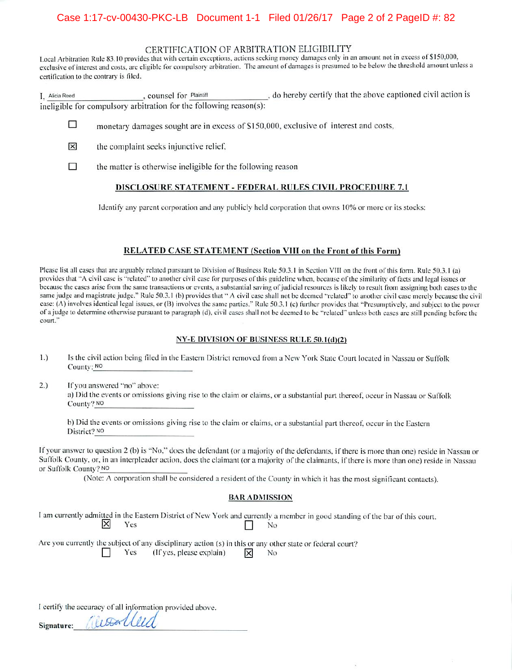#### CERTIFICATION OF ARBITRATION ELIGIBILITY

Local Arbitration Rule 83.10 provides that with certain exceptions, actions seeking money damages only in an amount not in excess of \$150,000, exclusive of interest and costs, are eligible for compulsory arbitration. The amount of damages is presumed to be below the threshold amount unless a certification to the contrary is filed.

I, Alicia Reed civil action is ineligible for compulsory arbitration for the following reason(s):

- □ monetary damages sought are in excess of \$150,000, exclusive of interest and costs,
- × the complaint seeks injunctive relief,
- $\Box$ the matter is otherwise ineligible for the following reason

#### DISCLOSURE STATEMENT - FEDERAL RULES CIVIL PROCEDURE 7.1

Identify any parent corporation and any publicly held corporation that owns 10% or more or its stocks:

#### RELATED CASE STATEMENT (Section VIII on the Front of this Form)

Please list all cases that are arguably related pursuant to Division of Business Rule 50.3.1 in Section VIII on the front of this form. Rule 50.3.1 (a) provides that "A civil case is "related" to another civil case for purposes of this guideline when, because of the similarity of facts and legal issues or because the cases arise from the same transactions or events, a substantial saving of judicial resources is likely to result from assigning both cases to the same judge and magistrate judge." Rule 50.3.1 (b) provides that " A civil case shall not be deemed "related" to another civil case merely because the civil case: (A) involves identical legal issues, or (B) involves the same parties." Rule 50.3.1 (c) further provides that "Presumptively, and subject to the power of a judge to determine otherwise pursuant to paragraph (d), civil cases shall not be deemed to be "related" unless both cases are still pending before the court."

#### NY-E DIVISION OF BUSINESS RULE 50.1(d)(2)

- Is the civil action being filed in the Eastern District removed from a New York State Court located in Nassau or Suffolk  $1.)$ County: NO
- $2.)$ If you answered "no" above: a) Did the events or omissions giving rise to the claim or claims, or a substantial part thereof, occur in Nassau or Suffolk County? NO

b) Did the events or omissions giving rise to the claim or claims, or a substantial part thereof, occur in the Eastern District? NO

If your answer to question 2 (b) is "No," does the defendant (or a majority of the defendants, if there is more than one) reside in Nassau or Suffolk County, or, in an interpleader action, does the claimant (or a majority of the claimants, if there is more than one) reside in Nassau or Suffolk County? NO

(Note: A corporation shall be considered a resident of the County in which it has the most significant contacts).

#### **BAR ADMISSION**

I am currently admitted in the Eastern District of New York and currently a member in good standing of the bar of this court. × Yes No

Are you currently the subject of any disciplinary action (s) in this or any other state or federal court? 冈 Yes (If yes, please explain) No

I certify the accuracy of all information provided above.

alwalleed

Signature: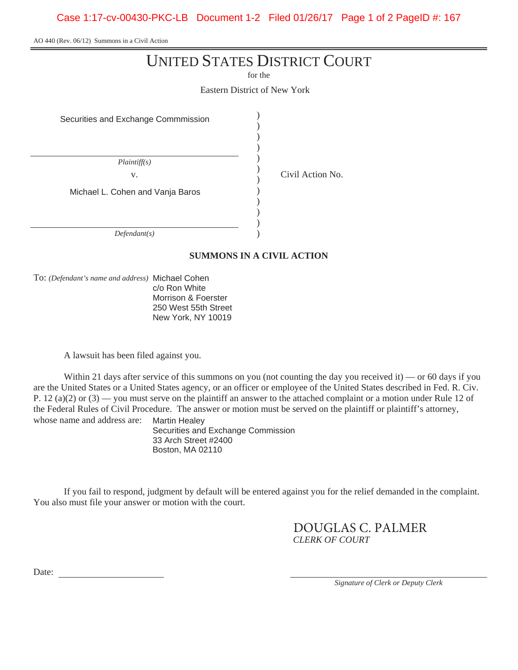Case 1:17-cv-00430-PKC-LB Document 1-2 Filed 01/26/17 Page 1 of 2 PageID #: 167

AO 440 (Rev. 06/12) Summons in a Civil Action

# UNITED STATES DISTRICT COURT

for the

Eastern District of New York

) ) )

) )

) ) )

Securities and Exchange Commmission )

*Plaintiff(s)*  v. Michael L. Cohen and Vanja Baros (a) *Defendant(s)* )

### **SUMMONS IN A CIVIL ACTION**

To: *(Defendant's name and address)* Michael Cohen

c/o Ron White Morrison & Foerster 250 West 55th Street New York, NY 10019

A lawsuit has been filed against you.

Within 21 days after service of this summons on you (not counting the day you received it) — or 60 days if you are the United States or a United States agency, or an officer or employee of the United States described in Fed. R. Civ. P. 12 (a)(2) or  $(3)$  — you must serve on the plaintiff an answer to the attached complaint or a motion under Rule 12 of the Federal Rules of Civil Procedure. The answer or motion must be served on the plaintiff or plaintiff's attorney, whose name and address are: Martin Healey

Securities and Exchange Commission 33 Arch Street #2400 Boston, MA 02110

If you fail to respond, judgment by default will be entered against you for the relief demanded in the complaint. You also must file your answer or motion with the court.

> DOUGLAS C. PALMER *CLERK OF COURT*

Date:

*Signature of Clerk or Deputy Clerk* 

 $\int$  Civil Action No.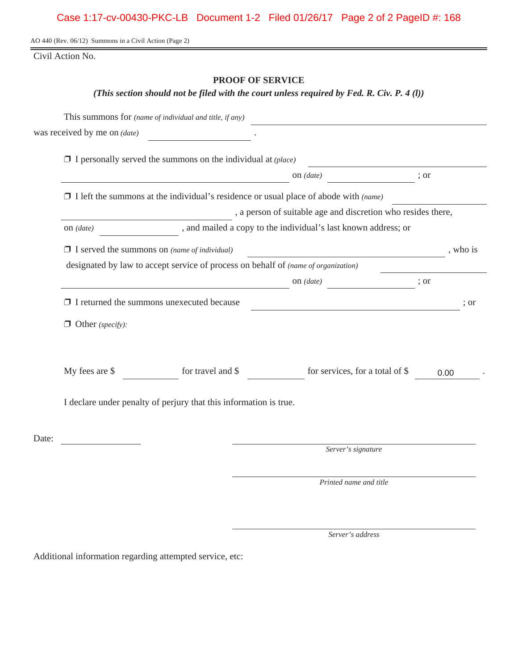### Case 1:17-cv-00430-PKC-LB Document 1-2 Filed 01/26/17 Page 2 of 2 PageID #: 168

AO 440 (Rev. 06/12) Summons in a Civil Action (Page 2)

Civil Action No.

### **PROOF OF SERVICE**

*(This section should not be filed with the court unless required by Fed. R. Civ. P. 4 (l))* 

|       |                                                                                                        | This summons for (name of individual and title, if any)             |                                                                                             |          |  |  |  |  |
|-------|--------------------------------------------------------------------------------------------------------|---------------------------------------------------------------------|---------------------------------------------------------------------------------------------|----------|--|--|--|--|
|       | was received by me on <i>(date)</i>                                                                    |                                                                     |                                                                                             |          |  |  |  |  |
|       |                                                                                                        | $\Box$ I personally served the summons on the individual at (place) |                                                                                             |          |  |  |  |  |
|       |                                                                                                        |                                                                     | on $(data)$                                                                                 | ; or     |  |  |  |  |
|       |                                                                                                        |                                                                     | $\Box$ I left the summons at the individual's residence or usual place of abode with (name) |          |  |  |  |  |
|       | , a person of suitable age and discretion who resides there,                                           |                                                                     |                                                                                             |          |  |  |  |  |
|       | on $\left( date\right)$ $\qquad \qquad$ , and mailed a copy to the individual's last known address; or |                                                                     |                                                                                             |          |  |  |  |  |
|       |                                                                                                        | $\Box$ I served the summons on (name of individual)                 |                                                                                             | , who is |  |  |  |  |
|       | designated by law to accept service of process on behalf of (name of organization)                     |                                                                     |                                                                                             |          |  |  |  |  |
|       |                                                                                                        |                                                                     | on <i>(date)</i>                                                                            | ; or     |  |  |  |  |
|       | $\Box$ I returned the summons unexecuted because                                                       |                                                                     |                                                                                             |          |  |  |  |  |
|       | $\Box$ Other (specify):                                                                                |                                                                     |                                                                                             |          |  |  |  |  |
|       | My fees are \$                                                                                         |                                                                     | for travel and $\$ for services, for a total of $\$                                         | 0.00     |  |  |  |  |
|       | I declare under penalty of perjury that this information is true.                                      |                                                                     |                                                                                             |          |  |  |  |  |
| Date: |                                                                                                        |                                                                     |                                                                                             |          |  |  |  |  |
|       |                                                                                                        |                                                                     | Server's signature                                                                          |          |  |  |  |  |
|       |                                                                                                        |                                                                     | Printed name and title                                                                      |          |  |  |  |  |
|       |                                                                                                        |                                                                     |                                                                                             |          |  |  |  |  |

*Server's address* 

Additional information regarding attempted service, etc: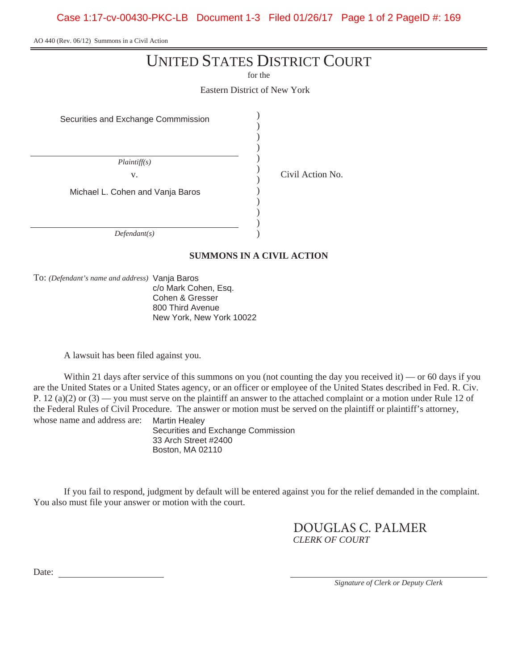Case 1:17-cv-00430-PKC-LB Document 1-3 Filed 01/26/17 Page 1 of 2 PageID #: 169

AO 440 (Rev. 06/12) Summons in a Civil Action

# UNITED STATES DISTRICT COURT

for the

Eastern District of New York

) ) )

) )

) ) )

Securities and Exchange Commmission )

*Plaintiff(s)*  v. Michael L. Cohen and Vanja Baros (a) *Defendant(s)* )

**SUMMONS IN A CIVIL ACTION** 

To: *(Defendant's name and address)* Vanja Baros

c/o Mark Cohen, Esq. Cohen & Gresser 800 Third Avenue New York, New York 10022

A lawsuit has been filed against you.

Within 21 days after service of this summons on you (not counting the day you received it) — or 60 days if you are the United States or a United States agency, or an officer or employee of the United States described in Fed. R. Civ. P. 12 (a)(2) or  $(3)$  — you must serve on the plaintiff an answer to the attached complaint or a motion under Rule 12 of the Federal Rules of Civil Procedure. The answer or motion must be served on the plaintiff or plaintiff's attorney, whose name and address are: Martin Healey

Securities and Exchange Commission 33 Arch Street #2400 Boston, MA 02110

If you fail to respond, judgment by default will be entered against you for the relief demanded in the complaint. You also must file your answer or motion with the court.

> DOUGLAS C. PALMER *CLERK OF COURT*

Date:

*Signature of Clerk or Deputy Clerk* 

 $\int$  Civil Action No.